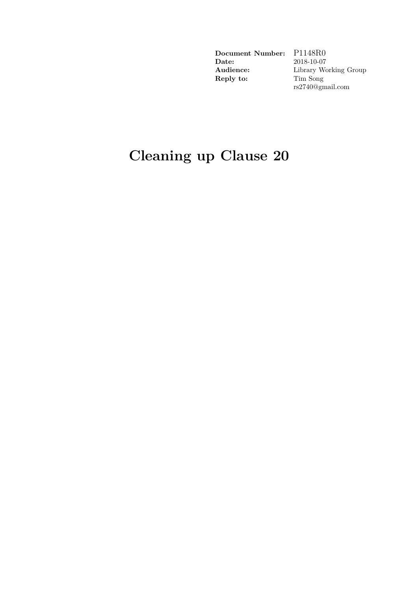**Document Number:** P1148R0<br>**Date:** 2018-10-07 **Audience:** Library Working Group **Reply to:** 

**Date:** 2018-10-07 rs2740@gmail.com

# **Cleaning up Clause 20**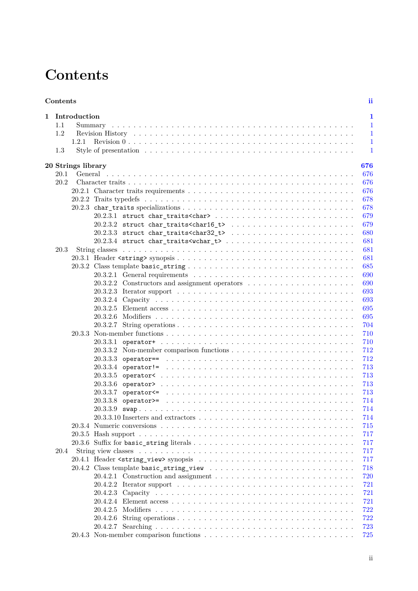# **Contents**

<span id="page-1-0"></span>

| Contents |                    |                                         |  |  |  |  |  |  |  |                                                                                                         |  |  |  |  |  |  |  |  |  |  |  |  |  |  |  |  |  |  |  |  |  |  | ii.          |  |
|----------|--------------------|-----------------------------------------|--|--|--|--|--|--|--|---------------------------------------------------------------------------------------------------------|--|--|--|--|--|--|--|--|--|--|--|--|--|--|--|--|--|--|--|--|--|--|--------------|--|
|          | 1 Introduction     |                                         |  |  |  |  |  |  |  |                                                                                                         |  |  |  |  |  |  |  |  |  |  |  |  |  |  |  |  |  |  |  |  |  |  | 1            |  |
| 1.1      |                    |                                         |  |  |  |  |  |  |  |                                                                                                         |  |  |  |  |  |  |  |  |  |  |  |  |  |  |  |  |  |  |  |  |  |  | $\mathbf{1}$ |  |
| 1.2      |                    |                                         |  |  |  |  |  |  |  |                                                                                                         |  |  |  |  |  |  |  |  |  |  |  |  |  |  |  |  |  |  |  |  |  |  | $\mathbf{1}$ |  |
|          | 1.2.1              |                                         |  |  |  |  |  |  |  |                                                                                                         |  |  |  |  |  |  |  |  |  |  |  |  |  |  |  |  |  |  |  |  |  |  | $\mathbf{1}$ |  |
| 1.3      |                    |                                         |  |  |  |  |  |  |  |                                                                                                         |  |  |  |  |  |  |  |  |  |  |  |  |  |  |  |  |  |  |  |  |  |  | 1            |  |
|          |                    |                                         |  |  |  |  |  |  |  |                                                                                                         |  |  |  |  |  |  |  |  |  |  |  |  |  |  |  |  |  |  |  |  |  |  |              |  |
|          | 20 Strings library |                                         |  |  |  |  |  |  |  |                                                                                                         |  |  |  |  |  |  |  |  |  |  |  |  |  |  |  |  |  |  |  |  |  |  | 676          |  |
| 20.1     |                    |                                         |  |  |  |  |  |  |  |                                                                                                         |  |  |  |  |  |  |  |  |  |  |  |  |  |  |  |  |  |  |  |  |  |  | 676          |  |
| 20.2     |                    |                                         |  |  |  |  |  |  |  |                                                                                                         |  |  |  |  |  |  |  |  |  |  |  |  |  |  |  |  |  |  |  |  |  |  | 676          |  |
|          |                    |                                         |  |  |  |  |  |  |  |                                                                                                         |  |  |  |  |  |  |  |  |  |  |  |  |  |  |  |  |  |  |  |  |  |  | 676          |  |
|          |                    |                                         |  |  |  |  |  |  |  |                                                                                                         |  |  |  |  |  |  |  |  |  |  |  |  |  |  |  |  |  |  |  |  |  |  | 678          |  |
|          |                    |                                         |  |  |  |  |  |  |  |                                                                                                         |  |  |  |  |  |  |  |  |  |  |  |  |  |  |  |  |  |  |  |  |  |  | 678          |  |
|          |                    |                                         |  |  |  |  |  |  |  |                                                                                                         |  |  |  |  |  |  |  |  |  |  |  |  |  |  |  |  |  |  |  |  |  |  | 679          |  |
|          |                    |                                         |  |  |  |  |  |  |  |                                                                                                         |  |  |  |  |  |  |  |  |  |  |  |  |  |  |  |  |  |  |  |  |  |  | 679          |  |
|          |                    |                                         |  |  |  |  |  |  |  |                                                                                                         |  |  |  |  |  |  |  |  |  |  |  |  |  |  |  |  |  |  |  |  |  |  | 680          |  |
|          |                    |                                         |  |  |  |  |  |  |  |                                                                                                         |  |  |  |  |  |  |  |  |  |  |  |  |  |  |  |  |  |  |  |  |  |  | 681          |  |
| 20.3     |                    |                                         |  |  |  |  |  |  |  |                                                                                                         |  |  |  |  |  |  |  |  |  |  |  |  |  |  |  |  |  |  |  |  |  |  | 681          |  |
|          |                    |                                         |  |  |  |  |  |  |  |                                                                                                         |  |  |  |  |  |  |  |  |  |  |  |  |  |  |  |  |  |  |  |  |  |  | 681          |  |
|          |                    |                                         |  |  |  |  |  |  |  |                                                                                                         |  |  |  |  |  |  |  |  |  |  |  |  |  |  |  |  |  |  |  |  |  |  | 685          |  |
|          |                    |                                         |  |  |  |  |  |  |  |                                                                                                         |  |  |  |  |  |  |  |  |  |  |  |  |  |  |  |  |  |  |  |  |  |  | 690          |  |
|          |                    | 20.3.2.2                                |  |  |  |  |  |  |  |                                                                                                         |  |  |  |  |  |  |  |  |  |  |  |  |  |  |  |  |  |  |  |  |  |  | 690          |  |
|          |                    |                                         |  |  |  |  |  |  |  |                                                                                                         |  |  |  |  |  |  |  |  |  |  |  |  |  |  |  |  |  |  |  |  |  |  | 693          |  |
|          |                    |                                         |  |  |  |  |  |  |  |                                                                                                         |  |  |  |  |  |  |  |  |  |  |  |  |  |  |  |  |  |  |  |  |  |  | 693          |  |
|          |                    |                                         |  |  |  |  |  |  |  |                                                                                                         |  |  |  |  |  |  |  |  |  |  |  |  |  |  |  |  |  |  |  |  |  |  | 695          |  |
|          |                    |                                         |  |  |  |  |  |  |  |                                                                                                         |  |  |  |  |  |  |  |  |  |  |  |  |  |  |  |  |  |  |  |  |  |  | 695          |  |
|          |                    | 20.3.2.7                                |  |  |  |  |  |  |  |                                                                                                         |  |  |  |  |  |  |  |  |  |  |  |  |  |  |  |  |  |  |  |  |  |  | 704          |  |
|          |                    |                                         |  |  |  |  |  |  |  |                                                                                                         |  |  |  |  |  |  |  |  |  |  |  |  |  |  |  |  |  |  |  |  |  |  | 710          |  |
|          |                    | 20.3.3.1                                |  |  |  |  |  |  |  |                                                                                                         |  |  |  |  |  |  |  |  |  |  |  |  |  |  |  |  |  |  |  |  |  |  | 710          |  |
|          |                    |                                         |  |  |  |  |  |  |  |                                                                                                         |  |  |  |  |  |  |  |  |  |  |  |  |  |  |  |  |  |  |  |  |  |  | 712          |  |
|          |                    | 20.3.3.3                                |  |  |  |  |  |  |  | operator== $\ldots \ldots \ldots \ldots \ldots \ldots \ldots \ldots \ldots \ldots \ldots \ldots \ldots$ |  |  |  |  |  |  |  |  |  |  |  |  |  |  |  |  |  |  |  |  |  |  | 712          |  |
|          |                    | 20.3.3.4                                |  |  |  |  |  |  |  |                                                                                                         |  |  |  |  |  |  |  |  |  |  |  |  |  |  |  |  |  |  |  |  |  |  | 713          |  |
|          |                    | 20.3.3.5                                |  |  |  |  |  |  |  |                                                                                                         |  |  |  |  |  |  |  |  |  |  |  |  |  |  |  |  |  |  |  |  |  |  | 713          |  |
|          |                    | 20.3.3.6                                |  |  |  |  |  |  |  |                                                                                                         |  |  |  |  |  |  |  |  |  |  |  |  |  |  |  |  |  |  |  |  |  |  | 713          |  |
|          |                    | 20.3.3.7                                |  |  |  |  |  |  |  |                                                                                                         |  |  |  |  |  |  |  |  |  |  |  |  |  |  |  |  |  |  |  |  |  |  | 713          |  |
|          |                    | 20.3.3.8                                |  |  |  |  |  |  |  |                                                                                                         |  |  |  |  |  |  |  |  |  |  |  |  |  |  |  |  |  |  |  |  |  |  | 714          |  |
|          |                    | 20.3.3.9                                |  |  |  |  |  |  |  |                                                                                                         |  |  |  |  |  |  |  |  |  |  |  |  |  |  |  |  |  |  |  |  |  |  | 714          |  |
|          |                    |                                         |  |  |  |  |  |  |  |                                                                                                         |  |  |  |  |  |  |  |  |  |  |  |  |  |  |  |  |  |  |  |  |  |  | 714          |  |
|          |                    |                                         |  |  |  |  |  |  |  |                                                                                                         |  |  |  |  |  |  |  |  |  |  |  |  |  |  |  |  |  |  |  |  |  |  | 715          |  |
|          |                    |                                         |  |  |  |  |  |  |  |                                                                                                         |  |  |  |  |  |  |  |  |  |  |  |  |  |  |  |  |  |  |  |  |  |  | 717          |  |
|          |                    |                                         |  |  |  |  |  |  |  |                                                                                                         |  |  |  |  |  |  |  |  |  |  |  |  |  |  |  |  |  |  |  |  |  |  | 717          |  |
|          |                    |                                         |  |  |  |  |  |  |  |                                                                                                         |  |  |  |  |  |  |  |  |  |  |  |  |  |  |  |  |  |  |  |  |  |  |              |  |
| 20.4     |                    |                                         |  |  |  |  |  |  |  |                                                                                                         |  |  |  |  |  |  |  |  |  |  |  |  |  |  |  |  |  |  |  |  |  |  | 717          |  |
|          |                    |                                         |  |  |  |  |  |  |  |                                                                                                         |  |  |  |  |  |  |  |  |  |  |  |  |  |  |  |  |  |  |  |  |  |  | 717          |  |
|          |                    | 20.4.2 Class template basic_string_view |  |  |  |  |  |  |  |                                                                                                         |  |  |  |  |  |  |  |  |  |  |  |  |  |  |  |  |  |  |  |  |  |  | 718          |  |
|          |                    |                                         |  |  |  |  |  |  |  |                                                                                                         |  |  |  |  |  |  |  |  |  |  |  |  |  |  |  |  |  |  |  |  |  |  | 720          |  |
|          |                    |                                         |  |  |  |  |  |  |  |                                                                                                         |  |  |  |  |  |  |  |  |  |  |  |  |  |  |  |  |  |  |  |  |  |  | 721          |  |
|          |                    |                                         |  |  |  |  |  |  |  |                                                                                                         |  |  |  |  |  |  |  |  |  |  |  |  |  |  |  |  |  |  |  |  |  |  | 721          |  |
|          |                    |                                         |  |  |  |  |  |  |  |                                                                                                         |  |  |  |  |  |  |  |  |  |  |  |  |  |  |  |  |  |  |  |  |  |  | 721          |  |
|          |                    |                                         |  |  |  |  |  |  |  |                                                                                                         |  |  |  |  |  |  |  |  |  |  |  |  |  |  |  |  |  |  |  |  |  |  | 722          |  |
|          |                    |                                         |  |  |  |  |  |  |  |                                                                                                         |  |  |  |  |  |  |  |  |  |  |  |  |  |  |  |  |  |  |  |  |  |  | 722          |  |
|          |                    |                                         |  |  |  |  |  |  |  |                                                                                                         |  |  |  |  |  |  |  |  |  |  |  |  |  |  |  |  |  |  |  |  |  |  | 723          |  |
|          |                    |                                         |  |  |  |  |  |  |  |                                                                                                         |  |  |  |  |  |  |  |  |  |  |  |  |  |  |  |  |  |  |  |  |  |  | 725          |  |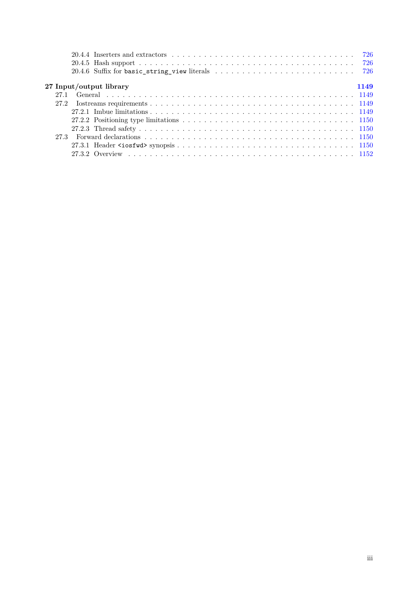| 726                                                                                                                            |  |
|--------------------------------------------------------------------------------------------------------------------------------|--|
|                                                                                                                                |  |
|                                                                                                                                |  |
| 27 Input/output library<br>1149                                                                                                |  |
| 27.1                                                                                                                           |  |
| 27.2                                                                                                                           |  |
|                                                                                                                                |  |
| 27.2.2 Positioning type limitations $\ldots \ldots \ldots \ldots \ldots \ldots \ldots \ldots \ldots \ldots \ldots \ldots 1150$ |  |
|                                                                                                                                |  |
|                                                                                                                                |  |
|                                                                                                                                |  |
|                                                                                                                                |  |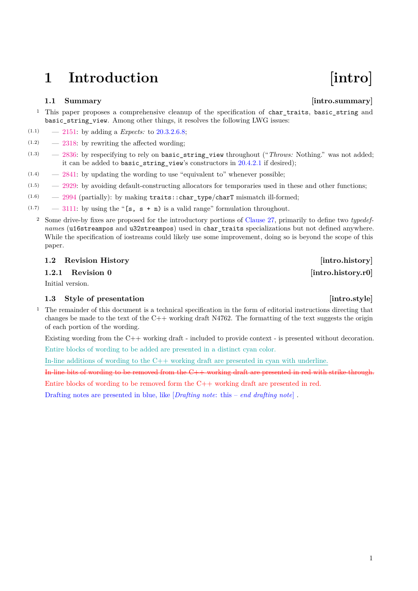# <span id="page-3-0"></span>1 Introduction **[intro]**

### <span id="page-3-1"></span>**1.1 Summary [intro.summary]**

- $1$  This paper proposes a comprehensive cleanup of the specification of charatraits, basic string and basic string view. Among other things, it resolves the following LWG issues:
- (1.1) [2151:](https://wg21.link/LWG2151) by adding a *Expects:* to [20.3.2.6.8;](#page-32-1)
- $(1.2)$  [2318:](https://wg21.link/LWG2318) by rewriting the affected wording;
- $(1.3)$  [2836:](https://wg21.link/LWG2836) by respecifying to rely on basic string view throughout ("*Throws:* Nothing." was not added; it can be added to basic string view's constructors in  $20.4.2.1$  if desired);
- $(1.4)$  [2841:](https://wg21.link/LWG2841) by updating the wording to use "equivalent to" whenever possible;
- (1.5) [2929:](https://wg21.link/LWG2929) by avoiding default-constructing allocators for temporaries used in these and other functions;
- $(1.6)$  [2994](https://wg21.link/LWG2994) (partially): by making traits::char type/charT mismatch ill-formed;
- $(1.7)$  [3111:](https://wg21.link/LWG3111) by using the "[s, s + n) is a valid range" formulation throughout.
	- <sup>2</sup> Some drive-by fixes are proposed for the introductory portions of [Clause 27,](#page-55-1) primarily to define two *typedefname*s (u16streampos and u32streampos) used in char\_traits specializations but not defined anywhere. While the specification of iostreams could likely use some improvement, doing so is beyond the scope of this paper.

### <span id="page-3-2"></span>**1.2 Revision History [intro.history]**

<span id="page-3-3"></span>**1.2.1 Revision 0 [intro.history.r0]** 

Initial version.

### <span id="page-3-4"></span>**1.3** Style of presentation **intro.style**

<sup>1</sup> The remainder of this document is a technical specification in the form of editorial instructions directing that changes be made to the text of the  $C++$  working draft N4762. The formatting of the text suggests the origin of each portion of the wording.

Existing wording from the C++ working draft - included to provide context - is presented without decoration.

Entire blocks of wording to be added are presented in a distinct cyan color.

In-line additions of wording to the C++ working draft are presented in cyan with underline.

In-line bits of wording to be removed from the C++ working draft are presented in red with strike-through.

Entire blocks of wording to be removed form the C++ working draft are presented in red.

Drafting notes are presented in blue, like [*Drafting note*: this – *end drafting note*] .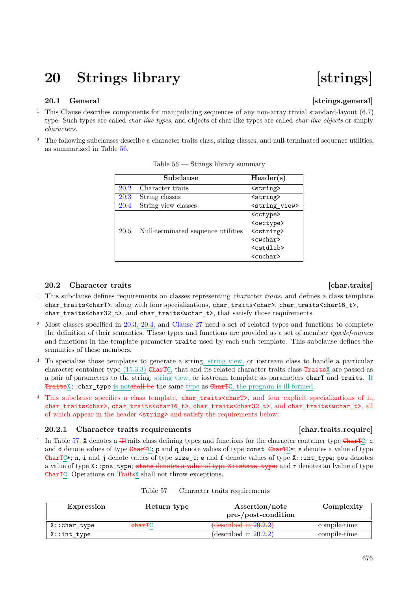## <span id="page-4-0"></span>**20 Strings library [strings]**

### <span id="page-4-1"></span>**20.1 General**  *Construction Construction* **<b>***Construction Construction Construction* **<b>***Construction Construction* *Construction* *Construction* *Construction* **<b>***Construction Construction*

- <sup>1</sup> This Clause describes components for manipulating sequences of any non-array trivial standard-layout (6.7) type. Such types are called *char-like types*, and objects of char-like types are called *char-like objects* or simply *characters*.
- <sup>2</sup> The following subclauses describe a character traits class, string classes, and null-terminated sequence utilities, as summarized in Table [56.](#page-4-4)

|      | Subclause                          | Header(s)                 |
|------|------------------------------------|---------------------------|
| 20.2 | Character traits                   | <string></string>         |
| 20.3 | String classes                     | <string></string>         |
| 20.4 | String view classes                | <string view=""></string> |
|      |                                    | <cctype></cctype>         |
|      |                                    | <cwctype></cwctype>       |
| 20.5 | Null-terminated sequence utilities | <cstring></cstring>       |
|      |                                    | $<$ cwchar $>$            |
|      |                                    | <cstdlib></cstdlib>       |
|      |                                    | <cuchar></cuchar>         |

<span id="page-4-4"></span>Table 56 — Strings library summary

### <span id="page-4-2"></span>**20.2** Character traits **and Character traits**

- <sup>1</sup> This subclause defines requirements on classes representing *character traits*, and defines a class template char traits<charT>, along with four specializations, char traits<char>, char traits<char16 t>, char traits<char32 t>, and char traits<wchar t>, that satisfy those requirements.
- <sup>2</sup> Most classes specified in [20.3,](#page-9-0) [20.4,](#page-45-0) and [Clause 27](#page-55-1) need a set of related types and functions to complete the definition of their semantics. These types and functions are provided as a set of member *typedef-name*s and functions in the template parameter traits used by each such template. This subclause defines the semantics of these members.
- <sup>3</sup> To specialize those templates to generate a string, string view, or iostream class to handle a particular character container type  $(15.3.3)$  GharTC, that and its related character traits class TraitsX are passed as a pair of parameters to the string, string view, or iostream template as parameters charT and traits. If TraitsX:: char\_type is notshall be the same type as CharTC, the program is ill-formed.
- <sup>4</sup> This subclause specifies a class template, char\_traits<charT>, and four explicit specializations of it, char\_traits<char>, char\_traits<char16\_t>, char\_traits<char32\_t>, and char\_traits<wchar\_t>, all of which appear in the header <string> and satisfy the requirements below.

### <span id="page-4-3"></span>**20.2.1 Character traits requirements [char.traits.require]**

<sup>1</sup> In Table [57,](#page-4-5) **X** denotes a  $\pm$ traits class defining types and functions for the character container type  $\pm$ **nar** $\pm$ C; c and d denote values of type  $\text{CharTC}$ ; p and q denote values of type const  $\text{CharTC}$ ; s denotes a value of type CharTC\*; n, i and j denote values of type size\_t; e and f denote values of type X::int\_type; pos denotes a value of type  $X:pos\_type$ ; state denotes a value of type  $X:state\_type$ ; and r denotes an lvalue of type CharTC. Operations on TraitsX shall not throw exceptions.

<span id="page-4-5"></span>

| Expression    | Return type        | Assertion/note<br>pre-/post-condition | Complexity   |
|---------------|--------------------|---------------------------------------|--------------|
| X::char_type  | <del>charT</del> C | $\{\text{described in } 20.2.2\}$     | compile-time |
| $X:int\_type$ |                    | (described in $20.2.2$ )              | compile-time |

### Table 57 — Character traits requirements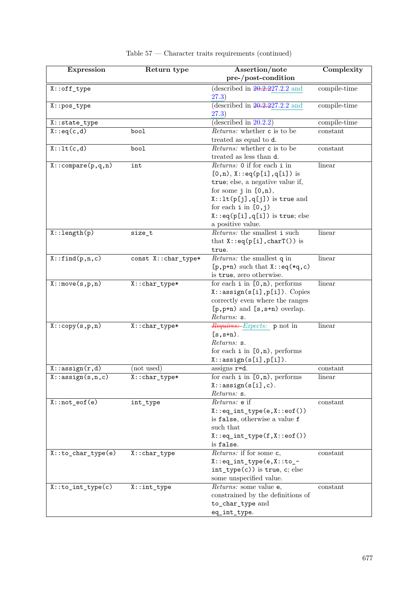| <b>Expression</b>             | Return type                   | Assertion/note                                                               | Complexity   |
|-------------------------------|-------------------------------|------------------------------------------------------------------------------|--------------|
|                               |                               | pre-/post-condition                                                          |              |
| $X: \text{off\_type}$         |                               | (described in $20.2.227.2.2$ and<br>(27.3)                                   | compile-time |
| $X:pos_type$                  |                               | (described in $20.2.227.2.2$ and<br>(27.3)                                   | compile-time |
| X::state_type                 |                               | (described in $20.2.2$ )                                                     | compile-time |
| X:eq(c,d)                     | bool                          | <i>Returns:</i> whether c is to be                                           | constant     |
|                               |                               | treated as equal to d.                                                       |              |
| $X:$ : $lt(c,d)$              | bool                          | <i>Returns:</i> whether c is to be                                           | constant     |
|                               |                               | treated as less than d.                                                      |              |
| $X: \text{compare}(p,q,n)$    | int                           | Returns: 0 if for each i in                                                  | linear       |
|                               |                               | $[0,n)$ , X::eq(p[i],q[i]) is                                                |              |
|                               |                               | true; else, a negative value if,                                             |              |
|                               |                               | for some $j$ in $[0,n)$ ,                                                    |              |
|                               |                               | $X: \mathsf{lt}(p[j], q[j])$ is true and                                     |              |
|                               |                               | for each $i$ in $[0,j)$                                                      |              |
|                               |                               | $X:eq(p[i],q[i])$ is true; else                                              |              |
|                               |                               | a positive value.                                                            |              |
| $X: \text{length}(p)$         | size_t                        | Returns: the smallest i such                                                 | linear       |
|                               |                               | that $X:eq(p[i],charT())$ is                                                 |              |
|                               |                               | true.                                                                        |              |
| X: find(p, n, c)              | const X:: char_type*          | Returns: the smallest q in                                                   | linear       |
|                               |                               | $[p, p+n)$ such that $X$ : : eq(*q, c)                                       |              |
|                               |                               | is true, zero otherwise.                                                     |              |
| X:move(s, p, n)               | X:: char_type*                | for each $i$ in $[0, n)$ , performs                                          | linear       |
|                               |                               | $X: \texttt{assign}(s[i], p[i])$ . Copies<br>correctly even where the ranges |              |
|                               |                               | $[p, p+n]$ and $[s, s+n]$ overlap.                                           |              |
|                               |                               | Returns: s.                                                                  |              |
| X:copy(s,p,n)                 | X:: char_type*                | <i>Requires: Expects:</i> p not in                                           | linear       |
|                               |                               | $[s, s+n)$ .                                                                 |              |
|                               |                               | Returns: s.                                                                  |              |
|                               |                               | for each $i$ in $[0, n)$ , performs                                          |              |
|                               |                               | $X: \text{assign}(s[i], p[i]).$                                              |              |
| $\overline{X:}$ : assign(r,d) | (not used)                    | assigns r=d.                                                                 | constant     |
| $X:$ : assign $(s, n, c)$     | $\overline{X}$ : : char_type* | for each $i$ in $[0, n)$ , performs                                          | linear       |
|                               |                               | $X: \text{assign}(s[i], c)$ .                                                |              |
|                               |                               | Returns: s.                                                                  |              |
| $X: \text{not\_eof}(e)$       | int_type                      | Returns: e if                                                                | constant     |
|                               |                               | $X:eq\_int\_type(e, X::eq())$                                                |              |
|                               |                               | is false, otherwise a value f                                                |              |
|                               |                               | such that                                                                    |              |
|                               |                               | $X:eq\_int\_type(f, X::eof())$                                               |              |
| $X:to\_char\_type(e)$         |                               | is false.<br>$Returns$ : if for some c,                                      | constant     |
|                               | $X:char\_type$                | $X:eq\_int\_type(e, X::to\_$                                                 |              |
|                               |                               | $int_type(c)$ ) is true, c; else                                             |              |
|                               |                               | some unspecified value.                                                      |              |
| $X: to int_type(c)$           | $X:int\_type$                 | Returns: some value e,                                                       | constant     |
|                               |                               | constrained by the definitions of                                            |              |
|                               |                               | to_char_type and                                                             |              |
|                               |                               | eq_int_type.                                                                 |              |
|                               |                               |                                                                              |              |

### Table 57 — Character traits requirements (continued)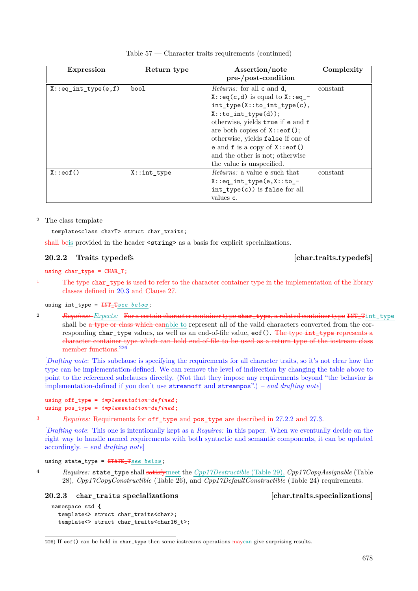| <b>Expression</b>       | Return type | Assertion/note<br>$pre-/post-condition$                                                                                                                                                                                                                                                                                                                   | Complexity |
|-------------------------|-------------|-----------------------------------------------------------------------------------------------------------------------------------------------------------------------------------------------------------------------------------------------------------------------------------------------------------------------------------------------------------|------------|
| $X:eq\_int\_type(e, f)$ | bool        | <i>Returns:</i> for all c and d,<br>$X:eq(c,d)$ is equal to $X:eq^{-}$<br>$int_type(X::to-int_type(c),$<br>$X: to int_type(d));$<br>otherwise, yields true if e and f<br>are both copies of $X$ : : eof ();<br>otherwise, yields false if one of<br>e and $f$ is a copy of $X$ : : eof ()<br>and the other is not; otherwise<br>the value is unspecified. | constant   |
| X: eof()                | X:int type  | <i>Returns:</i> a value e such that<br>$X:eq\_int\_type(e, X::to\_$<br>$int_type(c)$ ) is false for all<br>values c.                                                                                                                                                                                                                                      | constant   |

|  |  |  | Table $57$ — Character traits requirements (continued) |  |  |
|--|--|--|--------------------------------------------------------|--|--|
|--|--|--|--------------------------------------------------------|--|--|

### <sup>2</sup> The class template

template<class charT> struct char\_traits;

shall be is provided in the header  $\langle$ string> as a basis for explicit specializations.

### <span id="page-6-0"></span>**20.2.2 Traits typedefs [char.traits.typedefs]**

using  $char_type = CHAR_T$ ;

<sup>1</sup> The type char\_type is used to refer to the character container type in the implementation of the library classes defined in [20.3](#page-9-0) and Clause 27.

### using int\_type = INT\_T*see below* ;

<sup>2</sup> *Requires: Expects:* For a certain character container type char\_type, a related container type INT\_Tint\_type shall be a type or class which can able to represent all of the valid characters converted from the corresponding char\_type values, as well as an end-of-file value,  $\cot(.)$ . The type int\_type represents a character container type which can hold end-of-file to be used as a return type of the iostream class member functions.<sup>[226](#page-6-2)</sup>

[*Drafting note*: This subclause is specifying the requirements for all character traits, so it's not clear how the type can be implementation-defined. We can remove the level of indirection by changing the table above to point to the referenced subclauses directly. (Not that they impose any requirements beyond "the behavior is implementation-defined if you don't use streamoff and streampos".) – *end drafting note*]

```
using off_type = implementation-defined ;
using pos_type = implementation-defined ;
```
<sup>3</sup> *Requires:* Requirements for off\_type and pos\_type are described in [27.2.2](#page-56-0) and [27.3.](#page-56-2)

[*Drafting note*: This one is intentionally kept as a *Requires:* in this paper. When we eventually decide on the right way to handle named requirements with both syntactic and semantic components, it can be updated accordingly. – *end drafting note*]

using state\_type = STATE\_T*see below* ;

<sup>4</sup> *Requires:* state\_type shall satisfymeet the *Cpp17Destructible* (Table 29), *Cpp17CopyAssignable* (Table 28), *Cpp17CopyConstructible* (Table 26), and *Cpp17DefaultConstructible* (Table 24) requirements.

### <span id="page-6-1"></span>**20.2.3 char\_traits specializations [char.traits.specializations]**

```
namespace std {
  template<> struct char traits<char>;
  template<> struct char_traits<char16_t>;
```
<span id="page-6-2"></span>226) If eof() can be held in char\_type then some iostreams operations  $\frac{1}{2}$  maycan give surprising results.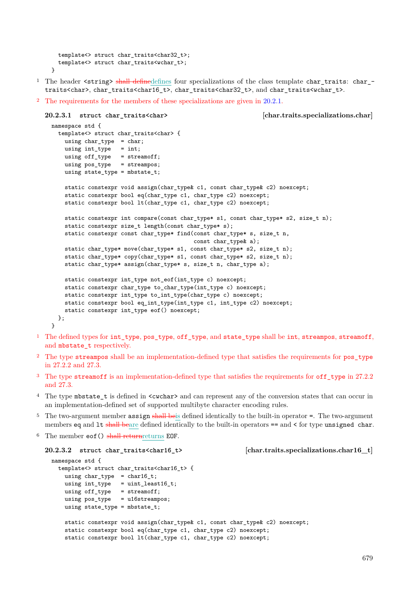```
template<> struct char_traits<char32_t>;
  template<> struct char_traits<wchar_t>;
}
```
- <sup>1</sup> The header <string> shall definedefines four specializations of the class template char traits: char traits<char>, char\_traits<char16\_t>, char\_traits<char32\_t>, and char\_traits<wchar\_t>.
- <sup>2</sup> The requirements for the members of these specializations are given in [20.2.1.](#page-4-3)

```
20.2.3.1 struct char_traits<char> [char.traits.specializations.char]
 namespace std {
   template<> struct char_traits<char> {
     using char_type = char;
     using int_type = int;
     using off_type = streamoff;
     using pos_type = streampos;
     using state_type = mbstate_t;
     static constexpr void assign(char_type& c1, const char_type& c2) noexcept;
     static constexpr bool eq(char_type c1, char_type c2) noexcept;
     static constexpr bool lt(char_type c1, char_type c2) noexcept;
     static constexpr int compare(const char_type* s1, const char_type* s2, size_t n);
     static constexpr size_t length(const char_type* s);
     static constexpr const char_type* find(const char_type* s, size_t n,
                                           const char_type& a);
     static char_type* move(char_type* s1, const char_type* s2, size_t n);
     static char_type* copy(char_type* s1, const char_type* s2, size_t n);
     static char_type* assign(char_type* s, size_t n, char_type a);
     static constexpr int_type not_eof(int_type c) noexcept;
     static constexpr char_type to_char_type(int_type c) noexcept;
     static constexpr int_type to_int_type(char_type c) noexcept;
     static constexpr bool eq_int_type(int_type c1, int_type c2) noexcept;
     static constexpr int_type eof() noexcept;
   };
 }
```
- <sup>1</sup> The defined types for int\_type, pos\_type, off\_type, and state\_type shall be int, streampos, streamoff, and mbstate\_t respectively.
- <sup>2</sup> The type streampos shall be an implementation-defined type that satisfies the requirements for pos\_type in 27.2.2 and 27.3.
- <sup>3</sup> The type streamoff is an implementation-defined type that satisfies the requirements for off\_type in 27.2.2 and 27.3.
- <sup>4</sup> The type mbstate t is defined in  $\langle$  cwchar> and can represent any of the conversion states that can occur in an implementation-defined set of supported multibyte character encoding rules.
- The two-argument member assign shall beis defined identically to the built-in operator =. The two-argument members eq and  $It is shown that the result of the solution is  $z = \text{and } z$  for type unsigned characters.$
- $6$  The member  $eof()$  shall returnreturns EOF.

```
20.2.3.2 struct char_traits<char16_t> [char.traits.specializations.char16_t]
```

```
namespace std {
  template<> struct char_traits<char16_t> {
   using char_type = char16_t;using int_type = unit\_least16_t;using off_type = streamoff;
   using pos_type = u16streampos;
   using state_type = mbstate_t;
   static constexpr void assign(char_type& c1, const char_type& c2) noexcept;
   static constexpr bool eq(char_type c1, char_type c2) noexcept;
   static constexpr bool lt(char_type c1, char_type c2) noexcept;
```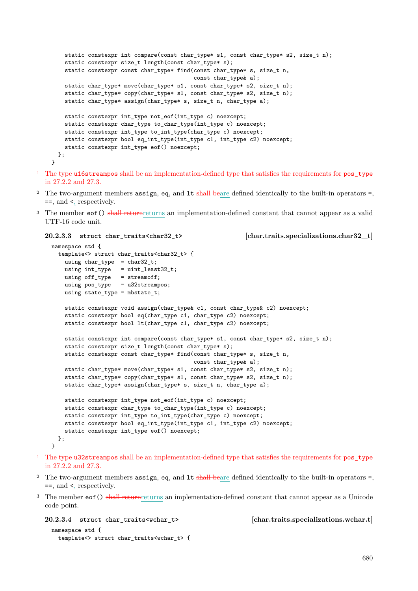```
static constexpr int compare(const char_type* s1, const char_type* s2, size_t n);
    static constexpr size_t length(const char_type* s);
    static constexpr const char_type* find(const char_type* s, size_t n,
                                           const char_type& a);
    static char_type* move(char_type* s1, const char_type* s2, size_t n);
    static char_type* copy(char_type* s1, const char_type* s2, size_t n);
    static char_type* assign(char_type* s, size_t n, char_type a);
    static constexpr int_type not_eof(int_type c) noexcept;
    static constexpr char_type to_char_type(int_type c) noexcept;
    static constexpr int_type to_int_type(char_type c) noexcept;
    static constexpr bool eq_int_type(int_type c1, int_type c2) noexcept;
    static constexpr int_type eof() noexcept;
 };
}
```
- <sup>1</sup> The type u16streampos shall be an implementation-defined type that satisfies the requirements for pos\_type in 27.2.2 and 27.3.
- <sup>2</sup> The two-argument members assign, eq, and  $It$  shall beare defined identically to the built-in operators =, ==, and <, respectively.
- <sup>3</sup> The member eof() shall returnreturns an implementation-defined constant that cannot appear as a valid UTF-16 code unit.

```
20.2.3.3 struct char_traits<char32_t> [char.traits.specializations.char32_t]
```

```
namespace std {
  template<> struct char_traits<char32_t> {
    using char_type = char32_t;using int_type = uint_least32_t;
    using off_type = streamoff;
    using pos_type = u32streampos;
    using state_type = mbstate_t;
    static constexpr void assign(char_type& c1, const char_type& c2) noexcept;
    static constexpr bool eq(char_type c1, char_type c2) noexcept;
    static constexpr bool lt(char_type c1, char_type c2) noexcept;
    static constexpr int compare(const char_type* s1, const char_type* s2, size_t n);
    static constexpr size_t length(const char_type* s);
    static constexpr const char_type* find(const char_type* s, size_t n,
                                          const char_type& a);
    static char_type* move(char_type* s1, const char_type* s2, size_t n);
    static char_type* copy(char_type* s1, const char_type* s2, size_t n);
    static char_type* assign(char_type* s, size_t n, char_type a);
    static constexpr int_type not_eof(int_type c) noexcept;
    static constexpr char_type to_char_type(int_type c) noexcept;
    static constexpr int_type to_int_type(char_type c) noexcept;
    static constexpr bool eq_int_type(int_type c1, int_type c2) noexcept;
    static constexpr int_type eof() noexcept;
  };
}
```
- <sup>1</sup> The type u32streampos shall be an implementation-defined type that satisfies the requirements for pos\_type in 27.2.2 and 27.3.
- <sup>2</sup> The two-argument members assign, eq, and  $It$  shall beare defined identically to the built-in operators =, ==, and <, respectively.
- <sup>3</sup> The member eof () shall returnreturns an implementation-defined constant that cannot appear as a Unicode code point.

namespace std { template<> struct char\_traits<wchar\_t> {

<span id="page-8-1"></span>**20.2.3.4 struct char\_traits<wchar\_t> [char.traits.specializations.wchar.t]**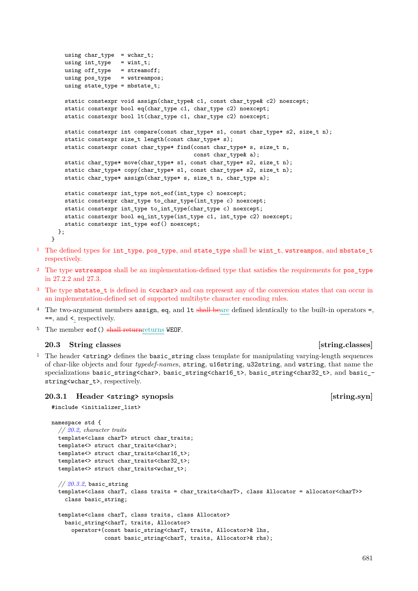```
using char_type = wchar_t;
  using int_type = wint_t;
  using off\_type = streamoff;
  using pos_type = wstreampos;
  using state_type = mbstate_t;
  static constexpr void assign(char_type& c1, const char_type& c2) noexcept;
  static constexpr bool eq(char_type c1, char_type c2) noexcept;
  static constexpr bool lt(char_type c1, char_type c2) noexcept;
  static constexpr int compare(const char_type* s1, const char_type* s2, size_t n);
  static constexpr size_t length(const char_type* s);
  static constexpr const char_type* find(const char_type* s, size_t n,
                                        const char_type& a);
  static char_type* move(char_type* s1, const char_type* s2, size_t n);
  static char_type* copy(char_type* s1, const char_type* s2, size_t n);
  static char_type* assign(char_type* s, size_t n, char_type a);
  static constexpr int_type not_eof(int_type c) noexcept;
  static constexpr char_type to_char_type(int_type c) noexcept;
  static constexpr int_type to_int_type(char_type c) noexcept;
  static constexpr bool eq_int_type(int_type c1, int_type c2) noexcept;
  static constexpr int_type eof() noexcept;
};
```
- <sup>1</sup> The defined types for int type, pos type, and state type shall be wint t, wstreampos, and mbstate t respectively.
- <sup>2</sup> The type wstreampos shall be an implementation-defined type that satisfies the requirements for pos\_type in 27.2.2 and 27.3.
- <sup>3</sup> The type mbstate\_t is defined in <cwchar> and can represent any of the conversion states that can occur in an implementation-defined set of supported multibyte character encoding rules.
- $4$  The two-argument members assign, eq, and 1t shall beare defined identically to the built-in operators =, ==, and <, respectively.
- $5$  The member  $eof()$  shall returnreturns WEOF.

### <span id="page-9-0"></span>**20.3 String classes** *p string.classes string.classes string.classes*

}

<sup>1</sup> The header <string> defines the basic\_string class template for manipulating varying-length sequences of char-like objects and four *typedef-name*s, string, u16string, u32string, and wstring, that name the specializations basic\_string<char>, basic\_string<char16\_t>, basic\_string<char32\_t>, and basic\_ string<wchar\_t>, respectively.

### <span id="page-9-1"></span>**20.3.1 Header <string> synopsis [string.syn]**

```
#include <initializer_list>
```

```
namespace std {
  // 20.2, character traits
  template<class charT> struct char_traits;
 template<> struct char_traits<char>;
  template<> struct char_traits<char16_t>;
  template<> struct char_traits<char32_t>;
  template<> struct char_traits<wchar_t>;
  // 20.3.2, basic_string
  template<class charT, class traits = char_traits<charT>, class Allocator = allocator<charT>>
    class basic_string;
  template<class charT, class traits, class Allocator>
    basic string<charT, traits, Allocator>
      operator+(const basic_string<charT, traits, Allocator>& lhs,
                const basic_string<charT, traits, Allocator>& rhs);
```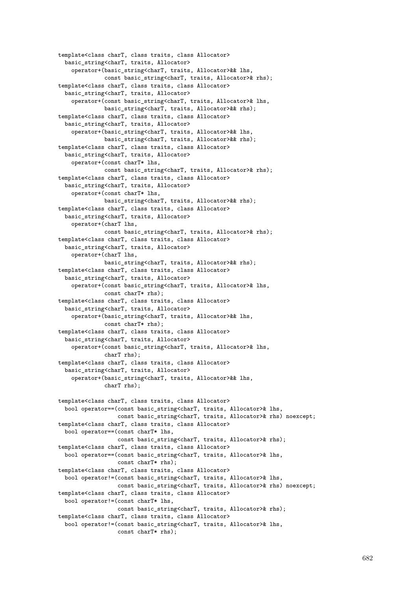```
template<class charT, class traits, class Allocator>
  basic_string<charT, traits, Allocator>
    operator+(basic_string<charT, traits, Allocator>&& lhs,
              const basic_string<charT, traits, Allocator>& rhs);
template<class charT, class traits, class Allocator>
  basic_string<charT, traits, Allocator>
    operator+(const basic_string<charT, traits, Allocator>& lhs,
              basic_string<charT, traits, Allocator>&& rhs);
template<class charT, class traits, class Allocator>
  basic_string<charT, traits, Allocator>
    operator+(basic_string<charT, traits, Allocator>&& lhs,
              basic_string<charT, traits, Allocator>&& rhs);
template<class charT, class traits, class Allocator>
  basic_string<charT, traits, Allocator>
    operator+(const charT* lhs,
              const basic_string<charT, traits, Allocator>& rhs);
template<class charT, class traits, class Allocator>
  basic_string<charT, traits, Allocator>
    operator+(const charT* lhs,
              basic_string<charT, traits, Allocator>&& rhs);
template<class charT, class traits, class Allocator>
  basic_string<charT, traits, Allocator>
    operator+(charT lhs,
              const basic_string<charT, traits, Allocator>& rhs);
template<class charT, class traits, class Allocator>
  basic_string<charT, traits, Allocator>
    operator+(charT lhs,
              basic_string<charT, traits, Allocator>&& rhs);
template<class charT, class traits, class Allocator>
  basic_string<charT, traits, Allocator>
    operator+(const basic_string<charT, traits, Allocator>& lhs,
              const charT* rhs);
template<class charT, class traits, class Allocator>
  basic_string<charT, traits, Allocator>
    operator+(basic_string<charT, traits, Allocator>&& lhs,
              const charT* rhs);
template<class charT, class traits, class Allocator>
  basic_string<charT, traits, Allocator>
    operator+(const basic_string<charT, traits, Allocator>& lhs,
              charT rhs);
template<class charT, class traits, class Allocator>
  basic_string<charT, traits, Allocator>
    operator+(basic_string<charT, traits, Allocator>&& lhs,
              charT rhs);
template<class charT, class traits, class Allocator>
  bool operator==(const basic_string<charT, traits, Allocator>& lhs,
                 const basic_string<charT, traits, Allocator>& rhs) noexcept;
template<class charT, class traits, class Allocator>
  bool operator==(const charT* lhs,
                  const basic_string<charT, traits, Allocator>& rhs);
template<class charT, class traits, class Allocator>
  bool operator==(const basic_string<charT, traits, Allocator>& lhs,
                  const charT* rhs);
template<class charT, class traits, class Allocator>
  bool operator!=(const basic_string<charT, traits, Allocator>& lhs,
                  const basic_string<charT, traits, Allocator>& rhs) noexcept;
template<class charT, class traits, class Allocator>
  bool operator!=(const charT* lhs,
                  const basic_string<charT, traits, Allocator>& rhs);
template<class charT, class traits, class Allocator>
  bool operator!=(const basic_string<charT, traits, Allocator>& lhs,
                  const charT* rhs);
```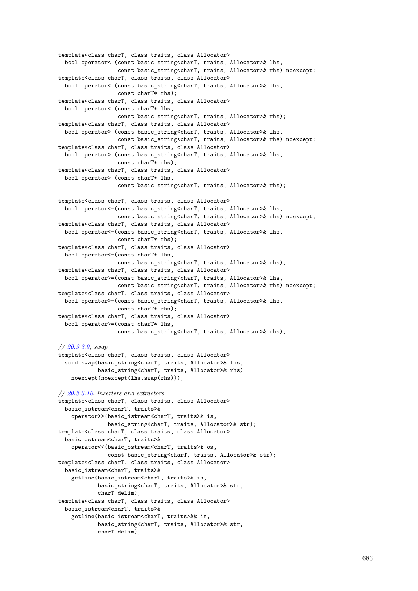```
template<class charT, class traits, class Allocator>
 bool operator< (const basic_string<charT, traits, Allocator>& lhs,
                  const basic_string<charT, traits, Allocator>& rhs) noexcept;
template<class charT, class traits, class Allocator>
 bool operator< (const basic_string<charT, traits, Allocator>& lhs,
                 const charT* rhs);
template<class charT, class traits, class Allocator>
 bool operator< (const charT* lhs,
                 const basic_string<charT, traits, Allocator>& rhs);
template<class charT, class traits, class Allocator>
 bool operator> (const basic_string<charT, traits, Allocator>& lhs,
                 const basic_string<charT, traits, Allocator>& rhs) noexcept;
template<class charT, class traits, class Allocator>
 bool operator> (const basic_string<charT, traits, Allocator>& lhs,
                  const charT* rhs);
template<class charT, class traits, class Allocator>
 bool operator> (const charT* lhs,
                  const basic_string<charT, traits, Allocator>& rhs);
template<class charT, class traits, class Allocator>
  bool operator<=(const basic_string<charT, traits, Allocator>& lhs,
                  const basic_string<charT, traits, Allocator>& rhs) noexcept;
template<class charT, class traits, class Allocator>
 bool operator<=(const basic_string<charT, traits, Allocator>& lhs,
                  const charT* rhs);
template<class charT, class traits, class Allocator>
 bool operator<=(const charT* lhs,
                 const basic_string<charT, traits, Allocator>& rhs);
template<class charT, class traits, class Allocator>
 bool operator>=(const basic_string<charT, traits, Allocator>& lhs,
                 const basic_string<charT, traits, Allocator>& rhs) noexcept;
template<class charT, class traits, class Allocator>
 bool operator>=(const basic_string<charT, traits, Allocator>& lhs,
                 const charT* rhs);
template<class charT, class traits, class Allocator>
 bool operator>=(const charT* lhs,
                 const basic_string<charT, traits, Allocator>& rhs);
// 20.3.3.9, swap
template<class charT, class traits, class Allocator>
  void swap(basic_string<charT, traits, Allocator>& lhs,
            basic_string<charT, traits, Allocator>& rhs)
    noexcept(noexcept(lhs.swap(rhs)));
// 20.3.3.10, inserters and extractors
template<class charT, class traits, class Allocator>
 basic_istream<charT, traits>&
    operator>>(basic_istream<charT, traits>& is,
              basic_string<charT, traits, Allocator>& str);
template<class charT, class traits, class Allocator>
 basic_ostream<charT, traits>&
    operator<<(basic_ostream<charT, traits>& os,
               const basic_string<charT, traits, Allocator>& str);
template<class charT, class traits, class Allocator>
 basic_istream<charT, traits>&
    getline(basic_istream<charT, traits>& is,
           basic_string<charT, traits, Allocator>& str,
            charT delim);
template<class charT, class traits, class Allocator>
 basic_istream<charT, traits>&
    getline(basic_istream<charT, traits>&& is,
            basic_string<charT, traits, Allocator>& str,
            charT delim);
```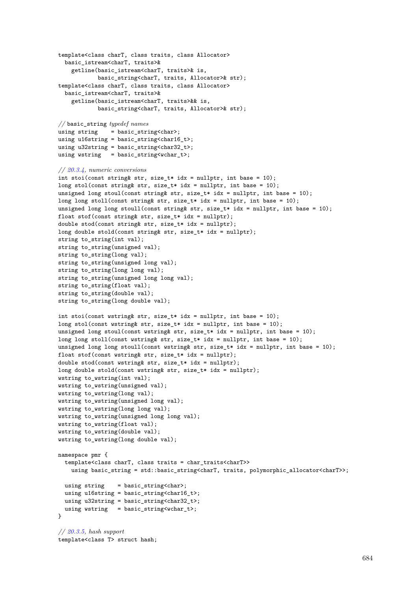```
template<class charT, class traits, class Allocator>
  basic_istream<charT, traits>&
    getline(basic_istream<charT, traits>& is,
            basic_string<charT, traits, Allocator>& str);
template<class charT, class traits, class Allocator>
  basic_istream<charT, traits>&
    getline(basic_istream<charT, traits>&& is,
            basic_string<charT, traits, Allocator>& str);
// basic_string typedef names
using string = basic_string<br> <math>;
using u16string = basic_string<char16_t>;
using u32string = basic_string<char32_t>;
using wstring = basic_string<wchar_t>;
// 20.3.4, numeric conversions
int stoi(const string& str, size_t* idx = nullptr, int base = 10);
long stol(const string& str, size_t* idx = nullptr, int base = 10);
unsigned long stoul(const string& str, size_t* idx = nullptr, int base = 10);
long long stoll(const string& str, size_t* idx = nullptr, int base = 10);
unsigned long long stoull(const string& str, size_t* idx = nullptr, int base = 10);
float stof(const string& str, size_t* idx = nullptr);
double stod(const string& str, size_t* idx = nullptr);
long double stold(const string& str, size_t* idx = nullptr);
string to_string(int val);
string to_string(unsigned val);
string to_string(long val);
string to_string(unsigned long val);
string to_string(long long val);
string to_string(unsigned long long val);
string to_string(float val);
string to_string(double val);
string to_string(long double val);
int stoi(const wstring& str, size_t* idx = nullptr, int base = 10);
long stol(const wstring& str, size_t* idx = nullptr, int base = 10);
unsigned long stoul(const wstring& str, size_t* idx = nullptr, int base = 10);
long long stoll(const wstring& str, size_t* idx = nullptr, int base = 10);
unsigned long long stoull(const wstring& str, size_t* idx = nullptr, int base = 10);
float stof(const wstring& str, size_t* idx = nullptr);
double stod(const wstring& str, size_t* idx = nullptr);
long double stold(const wstring& str, size_t* idx = nullptr);
wstring to_wstring(int val);
wstring to_wstring(unsigned val);
wstring to_wstring(long val);
wstring to_wstring(unsigned long val);
wstring to_wstring(long long val);
wstring to_wstring(unsigned long long val);
wstring to_wstring(float val);
wstring to_wstring(double val);
wstring to_wstring(long double val);
namespace pmr {
  template<class charT, class traits = char_traits<charT>>
    using basic_string = std::basic_string<charT, traits, polymorphic_allocator<charT>>;
  using string = basic_string<char>;
  using u16string = basic_string<char16_t>;
  using u32string = basic_string<char32_t>;
  using wstring = basic_string<wchar_t>;
}
// 20.3.5, hash support
```

```
template<class T> struct hash;
```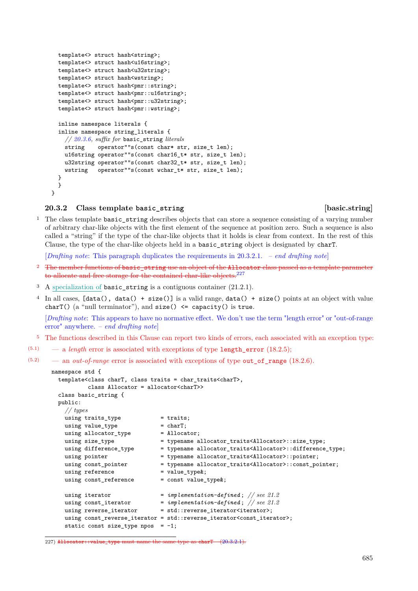```
template<> struct hash<string>;
  template<> struct hash<u16string>;
  template<> struct hash<u32string>;
  template<> struct hash<wstring>;
  template<> struct hash<pmr::string>;
  template<> struct hash<pmr::u16string>;
  template<> struct hash<pmr::u32string>;
  template<> struct hash<pmr::wstring>;
  inline namespace literals {
  inline namespace string_literals {
    // 20.3.6, suffix for basic_string literals
    string operator""s(const char* str, size_t len);
    u16string operator""s(const char16_t* str, size_t len);
    u32string operator""s(const char32_t* str, size_t len);
    wstring operator""s(const wchar_t* str, size_t len);
  }
  }
}
```
### <span id="page-13-0"></span>**20.3.2 Class template basic\_string [basic.string]**

<sup>1</sup> The class template **basic\_string** describes objects that can store a sequence consisting of a varying number of arbitrary char-like objects with the first element of the sequence at position zero. Such a sequence is also called a "string" if the type of the char-like objects that it holds is clear from context. In the rest of this Clause, the type of the char-like objects held in a basic\_string object is designated by charT.

[*Drafting note*: This paragraph duplicates the requirements in [20.3.2.1.](#page-18-0) – *end drafting note*]

- <sup>2</sup> The member functions of basic string use an object of the Allocator class passed as a template parameter to allocate and free storage for the contained char-like objects.<sup>[227](#page-13-1)</sup>
- <sup>3</sup> A specialization of basic\_string is a contiguous container (21.2.1).
- <sup>4</sup> In all cases,  $[data()$ ,  $data()$  +  $size()$ ] is a valid range,  $data()$  +  $size()$  points at an object with value charT() (a "null terminator"), and  $size() \leq capacity()$  is true.

[*Drafting note*: This appears to have no normative effect. We don't use the term "length error" or "out-of-range error" anywhere. – *end drafting note*]

- <sup>5</sup> The functions described in this Clause can report two kinds of errors, each associated with an exception type:
- (5.1) a *length* error is associated with exceptions of type length\_error (18.2.5);

(5.2) — an *out-of-range* error is associated with exceptions of type out\_of\_range (18.2.6).

```
namespace std {
 template<class charT, class traits = char_traits<charT>,
          class Allocator = allocator<charT>>
  class basic_string {
 public:
   // types
   using \text{ traits\_type} = traits;
   using value_type = charT;
   using allocator_type = Allocator;
   using size_type = typename allocator_traits<Allocator>::size_type;
   using difference_type = typename allocator_traits<Allocator>::difference_type;
   using pointer = typename allocator_traits<Allocator>::pointer;
   using const_pointer = typename allocator_traits<Allocator>::const_pointer;
   using reference = value_type&;
   using const_reference = const value_type&;
   using iterator = implementation-defined; // see 21.2
   using const_iterator = implementation-defined ; // see 21.2
   using reverse_iterator = std::reverse_iterator<iterator>;
   using const_reverse_iterator = std::reverse_iterator<const_iterator>;
   static const size_type npos = -1;
```
<span id="page-13-1"></span><sup>227)</sup> Allocator::value\_type must name the same type as charT [\(20.3.2.1\)](#page-18-0).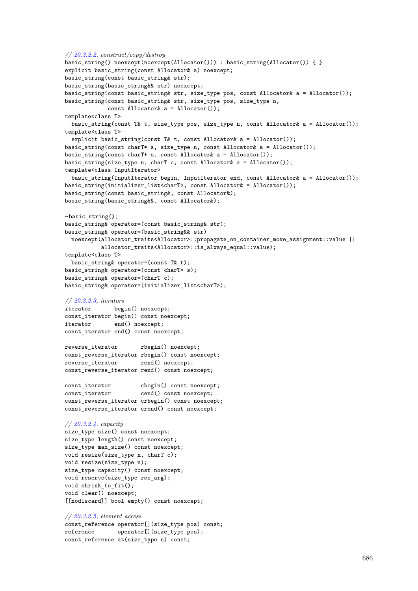```
// 20.3.2.2, construct/copy/destroy
basic_string() noexcept(noexcept(Allocator())) : basic_string(Allocator()) { }
explicit basic_string(const Allocator& a) noexcept;
basic_string(const basic_string& str);
basic_string(basic_string&& str) noexcept;
basic_string(const basic_string& str, size_type pos, const Allocator& a = Allocator());
basic_string(const basic_string& str, size_type pos, size_type n,
            const Allocator& a = Allocator());
template<class T>
 basic_string(const T& t, size_type pos, size_type n, const Allocator& a = Allocator());
template<class T>
 explicit basic_string(const T& t, const Allocator& a = Allocator());
basic_string(const charT* s, size_type n, const Allocator& a = Allocator());
basic_string(const charT* s, const Allocator& a = Allocator());
basic_string(size_type n, charT c, const Allocator& a = Allocator());
template<class InputIterator>
 basic_string(InputIterator begin, InputIterator end, const Allocator& a = Allocator());
basic_string(initializer_list<charT>, const Allocator& = Allocator());
basic_string(const basic_string&, const Allocator&);
basic_string(basic_string&&, const Allocator&);
~basic_string();
basic_string& operator=(const basic_string& str);
basic_string& operator=(basic_string&& str)
 noexcept(allocator_traits<Allocator>::propagate_on_container_move_assignment::value ||
           allocator_traits<Allocator>::is_always_equal::value);
template<class T>
 basic_string& operator=(const T& t);
basic_string& operator=(const charT* s);
basic_string& operator=(charT c);
basic_string& operator=(initializer_list<charT>);
// 20.3.2.3, iterators
iterator begin() noexcept;
const_iterator begin() const noexcept;
iterator end() noexcept;
const_iterator end() const noexcept;
reverse_iterator rbegin() noexcept;
const_reverse_iterator rbegin() const noexcept;
reverse_iterator rend() noexcept;
const_reverse_iterator rend() const noexcept;
const_iterator cbegin() const noexcept;
const_iterator cend() const noexcept;
const_reverse_iterator crbegin() const noexcept;
const_reverse_iterator crend() const noexcept;
// 20.3.2.4, capacity
size_type size() const noexcept;
size_type length() const noexcept;
size_type max_size() const noexcept;
void resize(size_type n, charT c);
void resize(size_type n);
size_type capacity() const noexcept;
void reserve(size_type res_arg);
void shrink_to_fit();
void clear() noexcept;
[[nodiscard]] bool empty() const noexcept;
// 20.3.2.5, element access
const_reference operator[](size_type pos) const;
reference operator[](size_type pos);
const_reference at(size_type n) const;
```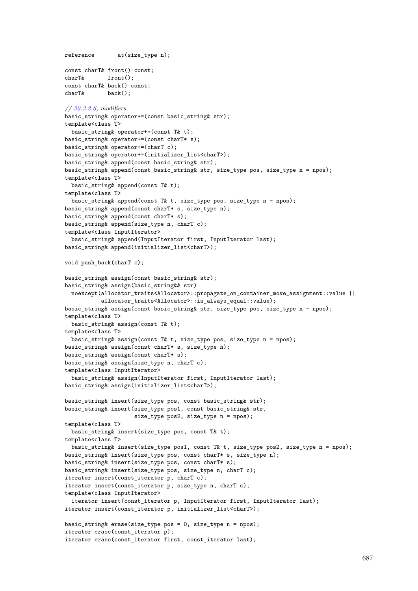```
reference at(size_type n);
const charT& front() const;
charT& front();
const charT& back() const;
charT& back();
// 20.3.2.6, modifiers
basic_string& operator+=(const basic_string& str);
template<class T>
 basic_string& operator+=(const T& t);
basic_string& operator+=(const charT* s);
basic_string& operator+=(charT c);
basic_string& operator+=(initializer_list<charT>);
basic_string& append(const basic_string& str);
basic_string& append(const basic_string& str, size_type pos, size_type n = npos);
template<class T>
 basic_string& append(const T& t);
template<class T>
 basic_string& append(const T& t, size_type pos, size_type n = npos);
basic_string& append(const charT* s, size_type n);
basic_string& append(const charT* s);
basic_string& append(size_type n, charT c);
template<class InputIterator>
 basic_string& append(InputIterator first, InputIterator last);
basic_string& append(initializer_list<charT>);
void push_back(charT c);
basic_string& assign(const basic_string& str);
basic_string& assign(basic_string&& str)
 noexcept(allocator_traits<Allocator>::propagate_on_container_move_assignment::value ||
          allocator_traits<Allocator>::is_always_equal::value);
basic_string& assign(const basic_string& str, size_type pos, size_type n = npos);
template<class T>
 basic_string& assign(const T& t);
template<class T>
 basic_string& assign(const T& t, size_type pos, size_type n = npos);
basic_string& assign(const charT* s, size_type n);
basic string& assign(const charT* s);
basic_string& assign(size_type n, charT c);
template<class InputIterator>
 basic_string& assign(InputIterator first, InputIterator last);
basic_string& assign(initializer_list<charT>);
basic_string& insert(size_type pos, const basic_string& str);
basic_string& insert(size_type pos1, const basic_string& str,
                     size_type pos2, size_type n = npos);
template<class T>
 basic_string& insert(size_type pos, const T& t);
template<class T>
 basic_string& insert(size_type pos1, const T& t, size_type pos2, size_type n = npos);
basic_string& insert(size_type pos, const charT* s, size_type n);
basic_string& insert(size_type pos, const charT* s);
basic_string& insert(size_type pos, size_type n, charT c);
iterator insert(const_iterator p, charT c);
iterator insert(const_iterator p, size_type n, charT c);
template<class InputIterator>
 iterator insert(const_iterator p, InputIterator first, InputIterator last);
iterator insert(const_iterator p, initializer_list<charT>);
basic_string& erase(size_type pos = 0, size_type n = npos);
iterator erase(const_iterator p);
iterator erase(const_iterator first, const_iterator last);
```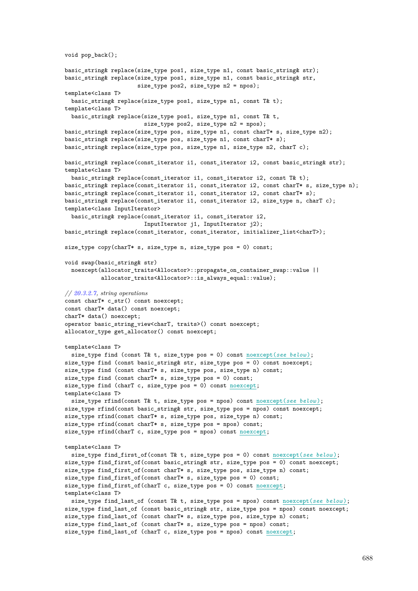```
void pop_back();
basic_string& replace(size_type pos1, size_type n1, const basic_string& str);
basic_string& replace(size_type pos1, size_type n1, const basic_string& str,
                      size_type pos2, size_type n2 = npos);
template<class T>
 basic_string& replace(size_type pos1, size_type n1, const T& t);
template<class T>
 basic_string& replace(size_type pos1, size_type n1, const T& t,
                        size_type pos2, size_type n2 = npos);
basic_string& replace(size_type pos, size_type n1, const charT* s, size_type n2);
basic_string& replace(size_type pos, size_type n1, const charT* s);
basic_string& replace(size_type pos, size_type n1, size_type n2, charT c);
basic_string& replace(const_iterator i1, const_iterator i2, const basic_string& str);
template<class T>
 basic_string& replace(const_iterator i1, const_iterator i2, const T& t);
basic_string& replace(const_iterator i1, const_iterator i2, const charT* s, size_type n);
basic_string& replace(const_iterator i1, const_iterator i2, const charT* s);
basic_string& replace(const_iterator i1, const_iterator i2, size_type n, charT c);
template<class InputIterator>
 basic_string& replace(const_iterator i1, const_iterator i2,
                        InputIterator j1, InputIterator j2);
basic_string& replace(const_iterator, const_iterator, initializer_list<charT>);
size_type copy(charT* s, size_type n, size_type pos = 0) const;
void swap(basic_string& str)
 noexcept(allocator_traits<Allocator>::propagate_on_container_swap::value ||
          allocator_traits<Allocator>::is_always_equal::value);
// 20.3.2.7, string operations
const charT* c_str() const noexcept;
const charT* data() const noexcept;
charT* data() noexcept;
operator basic_string_view<charT, traits>() const noexcept;
allocator_type get_allocator() const noexcept;
template<class T>
 size_type find (const T& t, size_type pos = 0) const noexcept(see below );
size_type find (const basic_string& str, size_type pos = 0) const noexcept;
size_type find (const charT* s, size_type pos, size_type n) const;
size_type find (const charT* s, size_type pos = 0) const;
size_type find (charT c, size_type pos = 0) const noexcept;
template<class T>
 size_type rfind(const T& t, size_type pos = npos) const noexcept(see below );
size_type rfind(const basic_string& str, size_type pos = npos) const noexcept;
size_type rfind(const charT* s, size_type pos, size_type n) const;
size type rfind(const charT* s, size_type pos = npos) const;
size_type rfind(charT c, size_type pos = npos) const noexcept;
template<class T>
 size_type find_first_of(const T& t, size_type pos = 0) const noexcept(see below );
size_type find_first_of(const basic_string& str, size_type pos = 0) const noexcept;
size_type find_first_of(const charT* s, size_type pos, size_type n) const;
size_type find_first_of(const charT* s, size_type pos = 0) const;
size_type find_first_of(charT c, size_type pos = 0) const noexcept;
template<class T>
 size_type find_last_of (const T& t, size_type pos = npos) const noexcept(see below );
size_type find_last_of (const basic_string& str, size_type pos = npos) const noexcept;
size_type find_last_of (const charT* s, size_type pos, size_type n) const;
size_type find_last_of (const charT* s, size_type pos = npos) const;
size_type find_last_of (charT c, size_type pos = npos) const noexcept;
```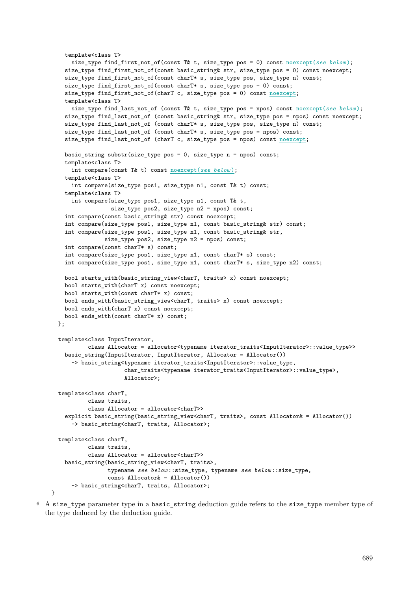```
template<class T>
    size_type find_first_not_of(const T& t, size_type pos = 0) const noexcept(see below);
  size_type find_first_not_of(const basic_string& str, size_type pos = 0) const noexcept;
  size_type find_first_not_of(const charT* s, size_type pos, size_type n) const;
  size_type find_first_not_of(const charT* s, size_type pos = 0) const;
  size_type find_first_not_of(charT c, size_type pos = 0) const noexcept;
  template<class T>
   size_type find_last_not_of (const T& t, size_type pos = npos) const noexcept(see below );
  size_type find_last_not_of (const basic_string& str, size_type pos = npos) const noexcept;
  size_type find_last_not_of (const charT* s, size_type pos, size_type n) const;
  size_type find_last_not_of (const charT* s, size_type pos = npos) const;
  size_type find_last_not_of (charT c, size_type pos = npos) const noexcept;
  basic_string substr(size_type pos = 0, size_type n = npos) const;
  template<class T>
    int compare(const T& t) const noexcept(see below );
  template<class T>
    int compare(size_type pos1, size_type n1, const T& t) const;
  template<class T>
    int compare(size_type pos1, size_type n1, const T& t,
                size_type pos2, size_type n2 = npos) const;
  int compare(const basic_string& str) const noexcept;
  int compare(size_type pos1, size_type n1, const basic_string& str) const;
  int compare(size_type pos1, size_type n1, const basic_string& str,
              size_type pos2, size_type n2 = npos) const;
  int compare(const charT* s) const;
  int compare(size_type pos1, size_type n1, const charT* s) const;
  int compare(size_type pos1, size_type n1, const charT* s, size_type n2) const;
  bool starts_with(basic_string_view<charT, traits> x) const noexcept;
  bool starts_with(charT x) const noexcept;
  bool starts_with(const charT* x) const;
  bool ends_with(basic_string_view<charT, traits> x) const noexcept;
  bool ends_with(charT x) const noexcept;
  bool ends_with(const charT* x) const;
};
template<class InputIterator,
         class Allocator = allocator<typename iterator_traits<InputIterator>::value_type>>
  basic_string(InputIterator, InputIterator, Allocator = Allocator())
    -> basic_string<typename iterator_traits<InputIterator>::value_type,
                    char_traits<typename iterator_traits<InputIterator>::value_type>,
                    Allocator>;
template<class charT,
         class traits,
         class Allocator = allocator<charT>>
  explicit basic_string(basic_string_view<charT, traits>, const Allocator& = Allocator())
    -> basic_string<charT, traits, Allocator>;
template<class charT,
         class traits,
         class Allocator = allocator<charT>>
  basic_string(basic_string_view<charT, traits>,
               typename see below ::size_type, typename see below ::size_type,
               const Allocator& = Allocator())
    -> basic_string<charT, traits, Allocator>;
```
<sup>6</sup> A size\_type parameter type in a basic\_string deduction guide refers to the size\_type member type of the type deduced by the deduction guide.

}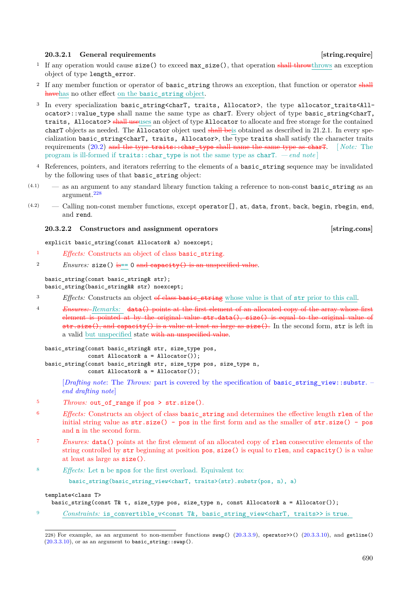### <span id="page-18-0"></span>**20.3.2.1** General requirements **and in the set of the set of the set of the set of string.require**

- <sup>1</sup> If any operation would cause size() to exceed  $max_size()$ , that operation shall throwthrows an exception object of type length\_error.
- <sup>2</sup> If any member function or operator of basic\_string throws an exception, that function or operator shall havehas no other effect on the basic\_string object.
- <sup>3</sup> In every specialization basic\_string<charT, traits, Allocator>, the type allocator\_traits<Allocator>::value\_type shall name the same type as charT. Every object of type basic\_string<charT, traits, Allocator> shall use uses an object of type Allocator to allocate and free storage for the contained charT objects as needed. The Allocator object used shall beis obtained as described in 21.2.1. In every specialization basic\_string<charT, traits, Allocator>, the type traits shall satisfy the character traits requirements [\(20.2\)](#page-4-2) and the type traits::char\_type shall name the same type as charT. [ *Note:* The program is ill-formed if  $\text{traits::char type}$  is not the same type as charT. *— end note*
- <sup>4</sup> References, pointers, and iterators referring to the elements of a basic\_string sequence may be invalidated by the following uses of that basic\_string object:
- (4.1) as an argument to any standard library function taking a reference to non-const basic\_string as an argument.[228](#page-18-2)
- $(4.2)$  Calling non-const member functions, except operator [], at, data, front, back, begin, rbegin, end, and rend.

### <span id="page-18-1"></span>**20.3.2.2 Constructors and assignment operators [string.cons]**

explicit basic\_string(const Allocator& a) noexcept;

- <sup>1</sup> *Effects:* Constructs an object of class basic\_string.
- 2 *Ensures:*  $\text{size}()$  is== 0 and capacity() is an unspecified value.

### basic\_string(const basic\_string& str);

basic\_string(basic\_string&& str) noexcept;

- <sup>3</sup> *Effects:* Constructs an object of class basic\_string whose value is that of str prior to this call.
- <sup>4</sup> *Ensures: Remarks:* data() points at the first element of an allocated copy of the array whose first element is pointed at by the original value str.data(), size() is equal to the original value of str.size(), and capacity() is a value at least as large as size(). In the second form, str is left in a valid but unspecified state with an unspecified value.

```
basic_string(const basic_string& str, size_type pos,
             const Allocator& a = Allocator());
basic_string(const basic_string& str, size_type pos, size_type n,
```
const Allocator& a = Allocator());

[*Drafting note*: The *Throws:* part is covered by the specification of **basic string view::substr.** – *end drafting note*]

- <sup>5</sup> *Throws:* out\_of\_range if pos > str.size().
- <sup>6</sup> *Effects:* Constructs an object of class basic\_string and determines the effective length rlen of the initial string value as  $str.size() - pos$  in the first form and as the smaller of  $str.size() - pos$ and n in the second form.
- <sup>7</sup> *Ensures:* data() points at the first element of an allocated copy of rlen consecutive elements of the string controlled by str beginning at position pos, size() is equal to rlen, and capacity() is a value at least as large as size().
- <sup>8</sup> *Effects:* Let n be npos for the first overload. Equivalent to:

```
basic string(basic string view<charT, traits>(str).substr(pos, n), a)
```
### template<class T>

```
basic_string(const T& t, size_type pos, size_type n, const Allocator& a = Allocator());
```
9 *Constraints:* is convertible v<const T&, basic string view<charT, traits>> is true.

<span id="page-18-2"></span><sup>228)</sup> For example, as an argument to non-member functions swap() [\(20.3.3.9\)](#page-42-0), operator>>() [\(20.3.3.10\)](#page-42-1), and getline()  $(20.3.3.10)$ , or as an argument to basic\_string::swap().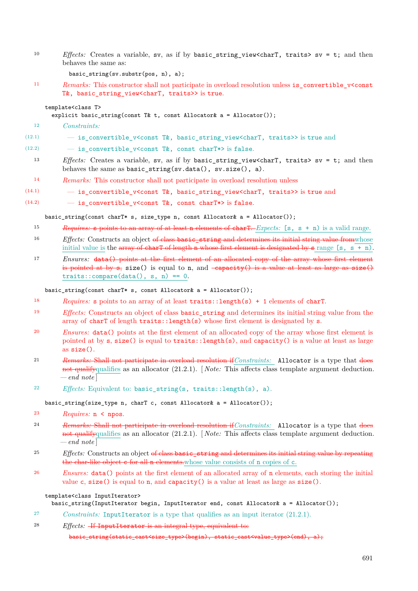<sup>10</sup> *Effects:* Creates a variable, sv, as if by basic\_string\_view<charT, traits> sv = t; and then behaves the same as:

basic\_string(sv.substr(pos, n), a);

<sup>11</sup> *Remarks:* This constructor shall not participate in overload resolution unless is\_convertible\_v<const T&, basic\_string\_view<charT, traits>> is true.

### template<class T>

explicit basic\_string(const T& t, const Allocator& a = Allocator());

- <sup>12</sup> *Constraints:*
- (12.1) is\_convertible\_v<const T&, basic\_string\_view<charT, traits>> is true and

(12.2)  $-$  is\_convertible\_v<const T&, const charT\*> is false.

- <sup>13</sup> *Effects:* Creates a variable, sv, as if by basic\_string\_view<charT, traits> sv = t; and then behaves the same as basic\_string(sv.data(), sv.size(), a).
- <sup>14</sup> *Remarks:* This constructor shall not participate in overload resolution unless
- $(14.1)$   $-$  is convertible v<const T&, basic string view<charT, traits>> is true and
- (14.2)  $-$  is\_convertible\_v<const T&, const charT\*> is false.

basic\_string(const charT\* s, size\_type n, const Allocator& a = Allocator());

- <sup>15</sup> *Requires:* s points to an array of at least n elements of charT. *Expects:* [s, s + n) is a valid range.
- <sup>16</sup> *Effects:* Constructs an object of class basic\_string and determines its initial string value from whose initial value is the array of charT of length n whose first element is designated by s range  $[s, s + n)$ .
- <sup>17</sup> *Ensures:* data() points at the first element of an allocated copy of the array whose first element is pointed at by  $s$ , size() is equal to n, and  $-e$  apacity() is a value at least as large as  $size()$  $traits::compare(data(), s, n) == 0.$

basic string(const charT\* s, const Allocator& a = Allocator());

- <sup>18</sup> *Requires:* s points to an array of at least traits::length(s) + 1 elements of charT.
- <sup>19</sup> *Effects:* Constructs an object of class basic\_string and determines its initial string value from the array of charT of length traits::length(s) whose first element is designated by s.
- <sup>20</sup> *Ensures:* data() points at the first element of an allocated copy of the array whose first element is pointed at by s, size() is equal to traits::length(s), and capacity() is a value at least as large as size().
- <sup>21</sup> *Remarks:* Shall not participate in overload resolution if*Constraints:* Allocator is a type that does not qualifyqualifies as an allocator (21.2.1). [ *Note:* This affects class template argument deduction. *— end note* ]
- <sup>22</sup> *Effects:* Equivalent to: basic\_string(s, traits::length(s), a).

basic\_string(size\_type n, charT c, const Allocator& a = Allocator());

- <sup>23</sup> *Requires:* n < npos.
- <sup>24</sup> *Remarks:* Shall not participate in overload resolution if*Constraints:* Allocator is a type that does not qualifyqualifies as an allocator (21.2.1). [ *Note:* This affects class template argument deduction.  $-$ *end note*
- <sup>25</sup> *Effects:* Constructs an object of class basic string and determines its initial string value by repeating the char-like object c for all n elements.whose value consists of n copies of c.
- <sup>26</sup> *Ensures:* data() points at the first element of an allocated array of n elements, each storing the initial value c,  $size()$  is equal to n, and capacity() is a value at least as large as  $size()$ .

### template<class InputIterator>

basic\_string(InputIterator begin, InputIterator end, const Allocator& a = Allocator());

- <sup>27</sup> *Constraints:* InputIterator is a type that qualifies as an input iterator (21.2.1).
- <sup>28</sup> *Effects:* If InputIterator is an integral type, equivalent to:

basic\_string(static\_cast<size\_type>(begin), static\_cast<value\_type>(end), a);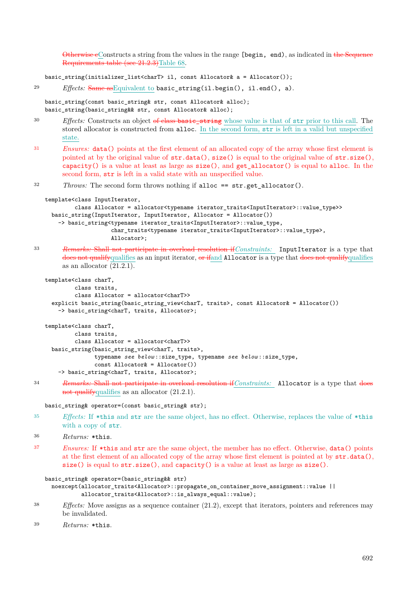Otherwise eConstructs a string from the values in the range [begin, end), as indicated in the Sequence Requirements table (see 21.2.3)Table 68.

basic string(initializer list<charT> il, const Allocator& a = Allocator());

```
29 Effects: Same asEquivalent to basic_string(il.begin(), il.end(), a).
```
basic\_string(const basic\_string& str, const Allocator& alloc); basic\_string(basic\_string&& str, const Allocator& alloc);

<sup>30</sup> *Effects:* Constructs an object of class basic\_string whose value is that of str prior to this call. The stored allocator is constructed from alloc. In the second form, str is left in a valid but unspecified state.

<sup>31</sup> *Ensures:* data() points at the first element of an allocated copy of the array whose first element is pointed at by the original value of str.data(), size() is equal to the original value of str.size(), capacity() is a value at least as large as  $size($ ), and get allocator() is equal to alloc. In the second form, str is left in a valid state with an unspecified value.

<sup>32</sup> *Throws:* The second form throws nothing if alloc == str.get\_allocator().

```
template<class InputIterator,
         class Allocator = allocator<typename iterator_traits<InputIterator>::value_type>>
 basic_string(InputIterator, InputIterator, Allocator = Allocator())
    -> basic string<typename iterator traits<InputIterator>::value type,
                    char_traits<typename iterator_traits<InputIterator>::value_type>,
                    Allocator>;
```
<sup>33</sup> *Remarks:* Shall not participate in overload resolution if*Constraints:* InputIterator is a type that does not qualifyqualifies as an input iterator, or if and Allocator is a type that does not qualifyqualifies as an allocator  $(2\overline{1.2.1})$ .

```
template<class charT,
         class traits,
         class Allocator = allocator<charT>>
  explicit basic_string(basic_string_view<charT, traits>, const Allocator& = Allocator())
    -> basic_string<charT, traits, Allocator>;
template<class charT,
        class traits,
        class Allocator = allocator<charT>>
 basic_string(basic_string_view<charT, traits>,
               typename see below ::size_type, typename see below ::size_type,
               const Allocator& = Allocator())
    -> basic_string<charT, traits, Allocator>;
```
<sup>34</sup> *Remarks:* Shall not participate in overload resolution if*Constraints:* Allocator is a type that does not qualifyqualifies as an allocator  $(21.2.1)$ .

basic\_string& operator=(const basic\_string& str);

<sup>35</sup> *Effects:* If \*this and str are the same object, has no effect. Otherwise, replaces the value of \*this with a copy of str.

```
36 Returns: *this.
```
<sup>37</sup> *Ensures:* If \*this and str are the same object, the member has no effect. Otherwise, data() points at the first element of an allocated copy of the array whose first element is pointed at by str.data(),  $size()$  is equal to  $str.size(),$  and  $capacity()$  is a value at least as large as  $size()$ .

```
basic_string& operator=(basic_string&& str)
```

```
noexcept(allocator_traits<Allocator>::propagate_on_container_move_assignment::value ||
         allocator_traits<Allocator>::is_always_equal::value);
```
<sup>38</sup> *Effects:* Move assigns as a sequence container (21.2), except that iterators, pointers and references may be invalidated.

```
39 Returns: *this.
```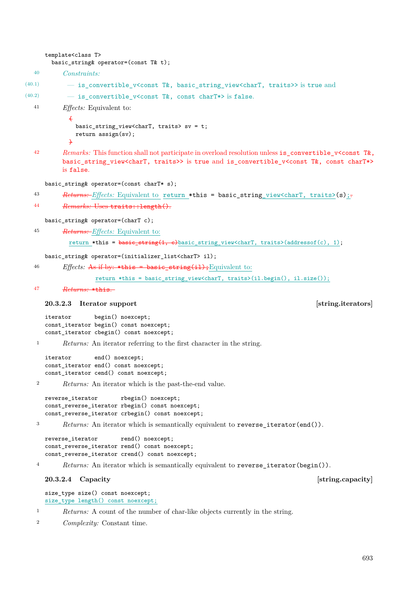```
basic_string& operator=(const T& t);
  40 Constraints:
(40.1) — is_convertible_v<const T&, basic_string_view<charT, traits>> is true and
(40.2) - is convertible v<const T&, const charT*> is false.
  41 Effects: Equivalent to:
            {
              basic_string_view<charT, traits> sv = t;
              return assign(sv);
            \overline{1}42 Remarks: This function shall not participate in overload resolution unless is_convertible_v<const T&,
          basic_string_view<charT, traits>> is true and is_convertible_v<const T&, const charT*>
          is false.
     basic_string& operator=(const charT* s);
  43 Returns: Effects: Equivalent to return *this = basic_string_view<charT, traits>(s);
  44 Remarks: Uses traits::length().
     basic_string& operator=(charT c);
  45 Returns: Effects: Equivalent to:
            return *this = \frac{basic\text{-string}(1,-c)}{basic\text{-string}} view<charT, traits>(addressof(c), 1);
     basic_string& operator=(initializer_list<charT> il);
  46 Effects: As if by: *this = basic_string(il); Equivalent to:
                    return *this = basic_string_view<charT, traits>(il.begin(), il.size());
  47 Returns: *this.
     20.3.2.3 Iterator support and iteration [string.iterators]
     iterator begin() noexcept;
     const_iterator begin() const noexcept;
     const_iterator cbegin() const noexcept;
   1 Returns: An iterator referring to the first character in the string.
     iterator end() noexcept;
     const_iterator end() const noexcept;
     const_iterator cend() const noexcept;
   2 Returns: An iterator which is the past-the-end value.
     reverse_iterator rbegin() noexcept;
     const_reverse_iterator rbegin() const noexcept;
     const_reverse_iterator crbegin() const noexcept;
   3 Returns: An iterator which is semantically equivalent to reverse_iterator(end()).
     reverse_iterator rend() noexcept;
     const_reverse_iterator rend() const noexcept;
     const_reverse_iterator crend() const noexcept;
   4 Returns: An iterator which is semantically equivalent to reverse_iterator(begin()).
     20.3.2.4 Capacity Capacity Capacity Capacity Capacity Capacity Capacity Capacity Capacity
     size_type size() const noexcept;
     size_type length() const noexcept;
   1 Returns: A count of the number of char-like objects currently in the string.
   2 Complexity: Constant time.
```
template<class T>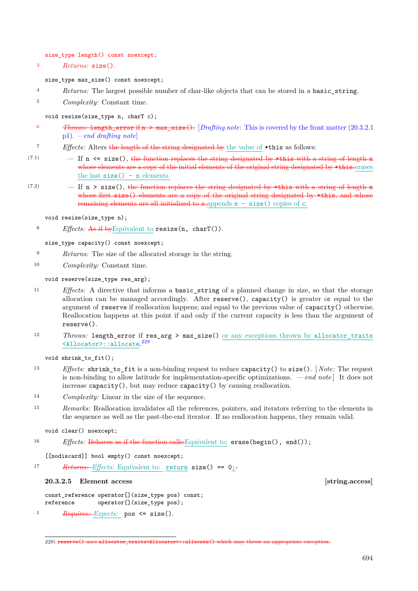size\_type length() const noexcept;

<sup>3</sup> *Returns:* size().

size\_type max\_size() const noexcept;

- <sup>4</sup> *Returns:* The largest possible number of char-like objects that can be stored in a basic\_string.
- <sup>5</sup> *Complexity:* Constant time.

void resize(size\_type n, charT c);

- <sup>6</sup> *Throws:* length error if n > max size(). [*Drafting note:* This is covered by the front matter [\(20.3.2.1](#page-18-0)) p1). – *end drafting note*]
- <sup>7</sup> *Effects:* Alters the length of the string designated by the value of \*this as follows:
- $(7.1)$  If n  $\leq$  size(), the function replaces the string designated by \*this with a string of length n whose elements are a copy of the initial elements of the original string designated by \*this.erases the last  $size() - n$  elements.
- $(7.2)$  If n > size(), the function replaces the string designated by \*this with a string of length n whose first size() elements are a copy of the original string designated by \*this, and whose remaining elements are all initialized to cappends  $n - size()$  copies of c.

void resize(size\_type n);

<sup>8</sup> *Effects:* As if byEquivalent to resize(n, charT()).

size\_type capacity() const noexcept;

- <sup>9</sup> *Returns:* The size of the allocated storage in the string.
- <sup>10</sup> *Complexity:* Constant time.

### void reserve(size\_type res\_arg);

- <sup>11</sup> *Effects:* A directive that informs a basic\_string of a planned change in size, so that the storage allocation can be managed accordingly. After reserve(), capacity() is greater or equal to the argument of reserve if reallocation happens; and equal to the previous value of capacity() otherwise. Reallocation happens at this point if and only if the current capacity is less than the argument of reserve().
- 12 *Throws:* length\_error if res\_arg > max\_size() or any exceptions thrown by allocator\_traits <Allocator>::allocate. [229](#page-22-1)

void shrink\_to\_fit();

- <sup>13</sup> *Effects:* shrink\_to\_fit is a non-binding request to reduce capacity() to size(). [ *Note:* The request is non-binding to allow latitude for implementation-specific optimizations. *— end note* ] It does not increase capacity(), but may reduce capacity() by causing reallocation.
- <sup>14</sup> *Complexity:* Linear in the size of the sequence.
- <sup>15</sup> *Remarks:* Reallocation invalidates all the references, pointers, and iterators referring to the elements in the sequence as well as the past-the-end iterator. If no reallocation happens, they remain valid.
	- void clear() noexcept;
- 16 *Effects:* Behaves as if the function calls: Equivalent to: erase(begin(), end());

[[nodiscard]] bool empty() const noexcept;

17 *Returns: Effects:* Equivalent to: return size() == 0;-

<span id="page-22-0"></span>**20.3.2.5 Element access [string.access]**

const\_reference operator[](size\_type pos) const; reference operator[](size\_type pos);

<sup>1</sup> *Requires: Expects:* pos <= size().

<span id="page-22-1"></span><sup>229)</sup> reserve() uses allocator\_traits<Allocator>::allocate() which may throw an appropriate exception.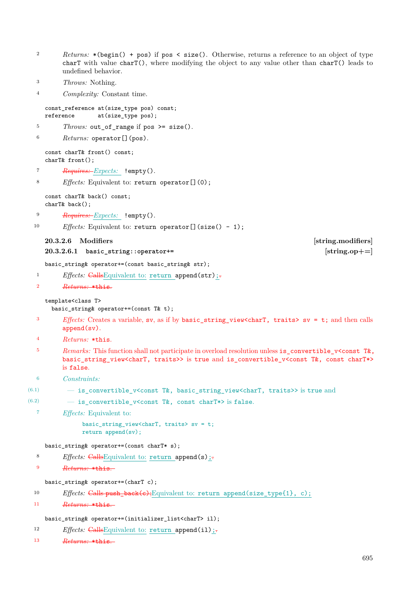- <sup>2</sup> *Returns:* \*(begin() + pos) if pos < size(). Otherwise, returns a reference to an object of type charT with value charT(), where modifying the object to any value other than charT() leads to undefined behavior.
- <sup>3</sup> *Throws:* Nothing.
- <sup>4</sup> *Complexity:* Constant time.

```
const_reference at(size_type pos) const;
reference at(size_type pos);
```

```
5 Throws: out of range if pos >= size().
```
<sup>6</sup> *Returns:* operator[](pos).

const charT& front() const; charT& front();

- <sup>7</sup> *Requires: Expects:* !empty().
- <sup>8</sup> *Effects:* Equivalent to: return operator[](0);

const charT& back() const; charT& back();

- <sup>9</sup> *Requires: Expects:* !empty().
- 10 *Effects:* Equivalent to: return operator[](size() 1);

### <span id="page-23-0"></span>**20.3.2.6 Modifiers [string.modifiers]**

### **20.3.2.6.1 basic\_string::operator+= [string.op+=]**

basic\_string& operator+=(const basic\_string& str);

```
<sup>1</sup> Effects: CallsEquivalent to: return append(str);
```
### <sup>2</sup> *Returns:* \*this.

### template<class T>

basic\_string& operator+=(const T& t);

- <sup>3</sup> *Effects:* Creates a variable, sv, as if by basic\_string\_view<charT, traits> sv = t; and then calls append(sv).
- <sup>4</sup> *Returns:* \*this.
- <sup>5</sup> *Remarks:* This function shall not participate in overload resolution unless is\_convertible\_v<const T&, basic\_string\_view<charT, traits>> is true and is\_convertible\_v<const T&, const charT\*> is false.
- <sup>6</sup> *Constraints:*

```
(6.1) – is convertible v<const T&, basic string view<charT, traits>> is true and
```
 $(6.2)$   $-$  is convertible v<const T&, const charT\*> is false.

<sup>7</sup> *Effects:* Equivalent to:

basic\_string\_view<charT, traits> sv = t; return append(sv);

### basic\_string& operator+=(const charT\* s);

- 8 *Effects:* CallsEquivalent to: return append(s);-
- <sup>9</sup> *Returns:* \*this.

basic\_string& operator+=(charT c);

- 10 *Effects:* Calls push\_back(c);Equivalent to: return append(size\_type{1}, c);
- <sup>11</sup> *Returns:* \*this.

### basic\_string& operator+=(initializer\_list<charT> il);

- 12 *Effects:* CallsEquivalent to: return append(il);
- <sup>13</sup> *Returns:* \*this.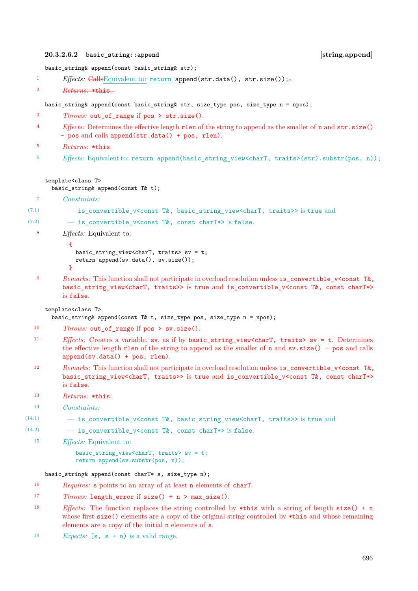### **20.3.2.6.2 basic\_string::append [string.append]**

basic\_string& append(const basic\_string& str);

```
<sup>1</sup> Effects: CallsEquivalent to: return append(str.data(), str.size());
```
<sup>2</sup> *Returns:* \*this.

basic\_string& append(const basic\_string& str, size\_type pos, size\_type n = npos);

- <sup>3</sup> *Throws:* out\_of\_range if pos > str.size().
- <sup>4</sup> *Effects:* Determines the effective length rlen of the string to append as the smaller of n and str.size() - pos and calls append(str.data() + pos, rlen).
- <sup>5</sup> *Returns:* \*this.
- $6$  *Effects:* Equivalent to: return append(basic string view<charT, traits>(str).substr(pos, n));

### template<class T>

basic\_string& append(const T& t);

```
7 Constraints:
```

```
(7.1) - is convertible v<const T&, basic_string_view<charT, traits>> is true and
```

```
(7.2) - is convertible v<const T&, const charT*> is false.
```
<sup>8</sup> *Effects:* Equivalent to:

```
{
  basic_string_view<charT, traits> sv = t;
  return append(sv.data(), sv.size());
\overline{1}
```
<sup>9</sup> *Remarks:* This function shall not participate in overload resolution unless is\_convertible\_v<const T&, basic\_string\_view<charT, traits>> is true and is\_convertible\_v<const T&, const charT\*> is false.

### template<class T>

```
basic_string& append(const T& t, size_type pos, size_type n = npos);
```

```
<sup>10</sup> Throws: out of range if pos > sv.size().
```
- <sup>11</sup> *Effects:* Creates a variable, sv, as if by basic\_string\_view<charT, traits> sv = t. Determines the effective length rlen of the string to append as the smaller of  $n$  and  $sv.size() - pos$  and calls append(sv.data() + pos, rlen).
- 12 *Remarks:* This function shall not participate in overload resolution unless is\_convertible\_v<const T&, basic\_string\_view<charT, traits>> is true and is\_convertible\_v<const T&, const charT\*> is false.
- <sup>13</sup> *Returns:* \*this.
- <sup>14</sup> *Constraints:*

```
(14.1) - is convertible v<const T&, basic string view<charT, traits>> is true and
```
(14.2)  $-$  is convertible v<const T&, const charT\*> is false.

<sup>15</sup> *Effects:* Equivalent to:

basic\_string\_view<charT, traits> sv = t; return append(sv.substr(pos, n));

### basic\_string& append(const charT\* s, size\_type n);

- <sup>16</sup> *Requires:* s points to an array of at least n elements of charT.
- 17 *Throws:* length error if size() + n > max size().
- <sup>18</sup> *Effects:* The function replaces the string controlled by \*this with a string of length size() + n whose first size() elements are a copy of the original string controlled by \*this and whose remaining elements are a copy of the initial n elements of s.
- <sup>19</sup> *Expects:* [s, s + n) is a valid range.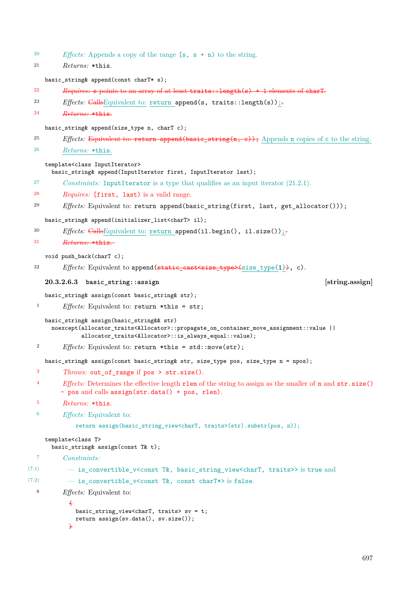<sup>20</sup> *Effects:* Appends a copy of the range [s, s + n) to the string.

```
21 Returns: *this.
```
basic\_string& append(const charT\* s);

- <sup>22</sup> *Requires:* s points to an array of at least traits::length(s) + 1 elements of charT.
- <sup>23</sup> *Effects:* CallsEquivalent to: return append(s, traits::length(s));
- <sup>24</sup> *Returns:* \*this.

basic\_string& append(size\_type n, charT c);

- <sup>25</sup> *Effects:* Equivalent to: return append(basic string(n, c)); Appends n copies of c to the string.
- <sup>26</sup> *Returns:* \*this.

template<class InputIterator>

basic\_string& append(InputIterator first, InputIterator last);

- <sup>27</sup> *Constraints:* InputIterator is a type that qualifies as an input iterator (21.2.1).
- <sup>28</sup> *Requires:* [first, last) is a valid range.
- <sup>29</sup> *Effects:* Equivalent to: return append(basic\_string(first, last, get\_allocator()));

basic\_string& append(initializer\_list<charT> il);

- <sup>30</sup> *Effects:* CallsEquivalent to: return append(il.begin(), il.size());
- <sup>31</sup> *Returns:* \*this.

void push back(charT c);

32 *Effects:* Equivalent to append (static cast  $\langle$  size type $\rangle$ (size type{1}), c).

### **20.3.2.6.3 basic\_string::assign [string.assign]**

basic\_string& assign(const basic\_string& str);

```
1 Effects: Equivalent to: return *this = str;
```
basic\_string& assign(basic\_string&& str)

noexcept(allocator\_traits<Allocator>::propagate\_on\_container\_move\_assignment::value || allocator\_traits<Allocator>::is\_always\_equal::value);

<sup>2</sup> *Effects:* Equivalent to: return \*this = std::move(str);

basic\_string& assign(const basic\_string& str, size\_type pos, size\_type n = npos);

- <sup>3</sup> *Throws:* out\_of\_range if pos > str.size().
- <sup>4</sup> *Effects:* Determines the effective length rlen of the string to assign as the smaller of n and str.size() - pos and calls assign(str.data() + pos, rlen).
- <sup>5</sup> *Returns:* \*this.
- <sup>6</sup> *Effects:* Equivalent to:

```
return assign(basic_string_view<charT, traits>(str).substr(pos, n));
```
### template<class T>

```
basic_string& assign(const T& t);
```

```
7 Constraints:
```

```
(7.1) — is_convertible_v<const T&, basic_string_view<charT, traits>> is true and
```

```
(7.2) - is convertible v<const T&, const charT*> is false.
```

```
8 Effects: Equivalent to:
```

```
{
 basic_string_view<charT, traits> sv = t;
  return assign(sv.data(), sv.size());
}
```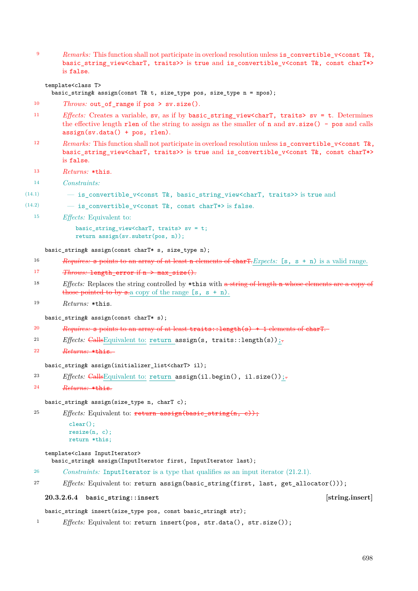9 *Remarks:* This function shall not participate in overload resolution unless is\_convertible\_v<const T&, basic\_string\_view<charT, traits>> is true and is\_convertible\_v<const T&, const charT\*> is false.

template<class T>

basic\_string& assign(const T& t, size\_type pos, size\_type  $n = npos$ );

- 10 *Throws:* out\_of\_range if pos > sv.size().
- <sup>11</sup> *Effects:* Creates a variable, sv, as if by basic\_string\_view<charT, traits> sv = t. Determines the effective length rlen of the string to assign as the smaller of  $n$  and  $sv.size() - pos$  and calls assign(sv.data() + pos, rlen).
- 12 *Remarks:* This function shall not participate in overload resolution unless is convertible v<const T&, basic\_string\_view<charT, traits>> is true and is\_convertible\_v<const T&, const charT\*> is false.
- <sup>13</sup> *Returns:* \*this.
- <sup>14</sup> *Constraints:*
- (14.1) is\_convertible\_v<const T&, basic\_string\_view<charT, traits>> is true and
- (14.2)  $-$  is\_convertible\_v<const T&, const charT\*> is false.
	- <sup>15</sup> *Effects:* Equivalent to:

basic string view<charT, traits> sv = t; return assign(sv.substr(pos, n));

basic\_string& assign(const charT\* s, size\_type n);

- <sup>16</sup> *Requires:* s points to an array of at least n elements of charT.*Expects:* [s, s + n) is a valid range.
- 17 *Throws:* length error if n > max size().
- <sup>18</sup> *Effects:* Replaces the string controlled by \*this with a string of length n whose elements are a copy of those pointed to by s.a copy of the range  $[s, s + n)$ .
- <sup>19</sup> *Returns:* \*this.

basic\_string& assign(const charT\* s);

- <sup>20</sup> *Requires:* s points to an array of at least traits::length(s) + 1 elements of charT.
- <sup>21</sup> *Effects:* CallsEquivalent to: return assign(s, traits::length(s));
- <sup>22</sup> *Returns:* \*this.

### basic\_string& assign(initializer\_list<charT> il);

```
<sup>23</sup> Effects: CallsEquivalent to: return assign(il.begin(), il.size());
```
<sup>24</sup> *Returns:* \*this.

```
basic_string& assign(size_type n, charT c);
```
<sup>25</sup> *Effects:* Equivalent to:  $\frac{\text{return assign(basic string}(n, c))}{\text{if } c}$ ;

```
clear();
resize(n, c);
return *this;
```
template<class InputIterator>

basic\_string& assign(InputIterator first, InputIterator last);

<sup>26</sup> *Constraints:* InputIterator is a type that qualifies as an input iterator (21.2.1).

<sup>27</sup> *Effects:* Equivalent to: return assign(basic\_string(first, last, get\_allocator()));

**20.3.2.6.4 basic\_string::insert [string.insert]**

basic\_string& insert(size\_type pos, const basic\_string& str);

<sup>1</sup> *Effects:* Equivalent to: return insert(pos, str.data(), str.size());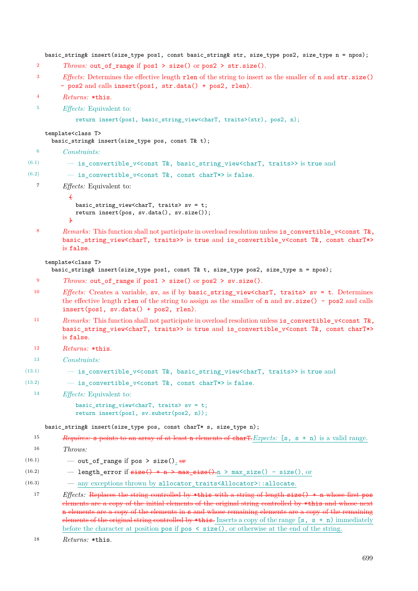```
basic_string& insert(size_type pos1, const basic_string& str, size_type pos2, size_type n = npos);
   2 Throws: out_of_range if pos1 > size() or pos2 > str.size().
   3 Effects: Determines the effective length rlen of the string to insert as the smaller of n and str.size()
          - pos2 and calls insert(pos1, str.data() + pos2, rlen).
   4 Returns: *this.
   5 Effects: Equivalent to:
              return insert(pos1, basic_string_view<charT, traits>(str), pos2, n);
     template<class T>
       basic_string& insert(size_type pos, const T& t);
   6 Constraints:
(6.1) - is convertible v<const T&, basic_string_view<charT, traits>> is true and
(6.2) - is convertible v<const T&, const charT*> is false.
   7 Effects: Equivalent to:
            {
              basic_string_view<charT, traits> sv = t;
              return insert(pos, sv.data(), sv.size());
            \overline{1}8 Remarks: This function shall not participate in overload resolution unless is_convertible_v<const T&,
          basic_string_view<charT, traits>> is true and is_convertible_v<const T&, const charT*>
          is false.
     template<class T>
       basic_string& insert(size_type pos1, const T& t, size_type pos2, size_type n = npos);
   <sup>9</sup> Throws: out of range if pos1 > size() or pos2 > sv.size().
  10 Effects: Creates a variable, sv, as if by basic_string_view<charT, traits> sv = t. Determines
          the effective length rlen of the string to assign as the smaller of n and sv.size() - pos2 and calls
          insert(pos1, sv.data() + pos2, rlen).
  11 Remarks: This function shall not participate in overload resolution unless is convertible v<const T&,
          basic string view<charT, traits>> is true and is convertible v<const T&, const charT*>
          is false.
  12 Returns: *this.
  13 Constraints:
(13.1) - is convertible v<const T&, basic string view<charT, traits>> is true and
(13.2) - is_convertible_v<const T&, const charT*> is false.
  14 Effects: Equivalent to:
              basic string view<charT, traits> sv = t;
              return insert(pos1, sv.substr(pos2, n));
     basic_string& insert(size_type pos, const charT* s, size_type n);
  15 Requires: s points to an array of at least n elements of charT.Expects: [s, s + n) is a valid range.
  16 Throws:
(16.1) — out_of_range if pos > size(), \thetare
(16.2) - length error if size() + n > max size() - size(), or
```
(16.3) — any exceptions thrown by allocator\_traits<Allocator>::allocate.

<sup>17</sup> *Effects:* Replaces the string controlled by \*this with a string of length size() + n whose first pos elements are a copy of the initial elements of the original string controlled by \*this and whose next n elements are a copy of the elements in s and whose remaining elements are a copy of the remaining elements of the original string controlled by \*this. Inserts a copy of the range [s, s + n) immediately before the character at position pos if pos  $\leq$  size(), or otherwise at the end of the string.

<sup>18</sup> *Returns:* \*this.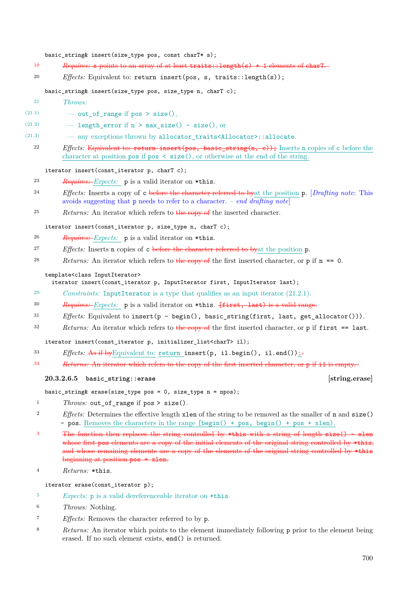### basic\_string& insert(size\_type pos, const charT\* s);

- <sup>19</sup> *Requires:* s points to an array of at least traits::length(s) + 1 elements of charT.
- <sup>20</sup> *Effects:* Equivalent to: return insert(pos, s, traits::length(s));

### basic\_string& insert(size\_type pos, size\_type n, charT c);

- <sup>21</sup> *Throws:*
- (21.1) out of range if pos > size(),
- (21.2)  $-$  length\_error if n > max\_size() size(), or
- (21.3) any exceptions thrown by allocator\_traits<Allocator>::allocate.
	- <sup>22</sup> *Effects:* Equivalent to: return insert(pos, basic\_string(n, c)); Inserts n copies of c before the character at position pos if pos < size(), or otherwise at the end of the string.

### iterator insert(const\_iterator p, charT c);

<sup>23</sup> *Requires: Expects:* p is a valid iterator on \*this.

- <sup>24</sup> *Effects:* Inserts a copy of c before the character referred to byat the position p. [*Drafting note*: This avoids suggesting that p needs to refer to a character. – *end drafting note*]
- <sup>25</sup> *Returns:* An iterator which refers to the copy of the inserted character.

iterator insert(const\_iterator p, size\_type n, charT c);

- <sup>26</sup> *Requires: Expects:* p is a valid iterator on \*this.
- <sup>27</sup> *Effects:* Inserts n copies of c before the character referred to byat the position p.
- 28 *Returns:* An iterator which refers to the copy of the first inserted character, or p if n == 0.

### template<class InputIterator>

iterator insert(const\_iterator p, InputIterator first, InputIterator last);

- <sup>29</sup> *Constraints:* InputIterator is a type that qualifies as an input iterator (21.2.1).
- <sup>30</sup> *Requires: Expects:* p is a valid iterator on \*this. [first, last) is a valid range.
- $31$  *Effects:* Equivalent to insert(p begin(), basic string(first, last, get allocator())).
- $32$  *Returns:* An iterator which refers to the copy of the first inserted character, or p if first  $==$  last.

iterator insert(const\_iterator p, initializer\_list<charT> il);

- 33 *Effects:* As if by Equivalent to: return insert(p, il.begin(), il.end());
- <sup>34</sup> *Returns:* An iterator which refers to the copy of the first inserted character, or p if i1 is empty.

### **20.3.2.6.5 basic\_string::erase [string.erase]**

basic\_string& erase(size\_type pos = 0, size\_type n = npos);

- <sup>1</sup> *Throws:* out\_of\_range if pos > size().
- <sup>2</sup> *Effects:* Determines the effective length xlen of the string to be removed as the smaller of n and size() - pos. Removes the characters in the range [begin() + pos, begin() + pos + xlen).
- <sup>3</sup> The function then replaces the string controlled by \*this with a string of length  $size()$  xlen whose first pos elements are a copy of the initial elements of the original string controlled by \*this, and whose remaining elements are a copy of the elements of the original string controlled by \*this beginning at position pos + xlen.
- <sup>4</sup> *Returns:* \*this.

iterator erase(const\_iterator p);

- <sup>5</sup> *Expects:* p is a valid dereferenceable iterator on \*this.
- <sup>6</sup> *Throws:* Nothing.
- <sup>7</sup> *Effects:* Removes the character referred to by p.
- <sup>8</sup> *Returns:* An iterator which points to the element immediately following p prior to the element being erased. If no such element exists, end() is returned.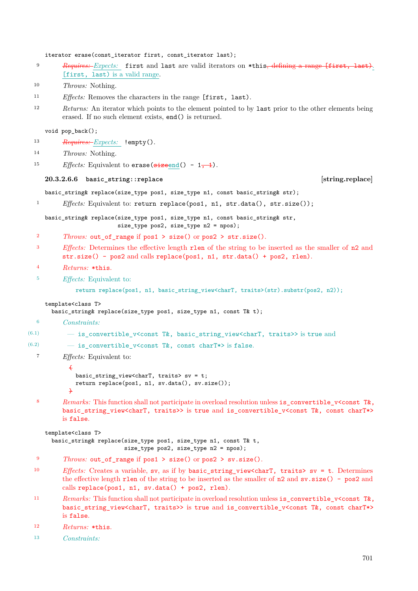iterator erase(const\_iterator first, const\_iterator last); <sup>9</sup> *Requires: Expects:* first and last are valid iterators on \*this, defining a range [first, last). [first, last) is a valid range. <sup>10</sup> *Throws:* Nothing. <sup>11</sup> *Effects:* Removes the characters in the range [first, last). <sup>12</sup> *Returns:* An iterator which points to the element pointed to by last prior to the other elements being erased. If no such element exists, end() is returned. void pop\_back(); <sup>13</sup> *Requires: Expects:* !empty(). <sup>14</sup> *Throws:* Nothing. <sup>15</sup> *Effects:* Equivalent to erase( $\frac{\text{size end}}{\text{size end}}$ ) - 1, 1. **20.3.2.6.6 basic\_string::replace [string.replace]** basic\_string& replace(size\_type pos1, size\_type n1, const basic\_string& str); 1 *Effects:* Equivalent to: return replace(pos1, n1, str.data(), str.size()); basic\_string& replace(size\_type pos1, size\_type n1, const basic\_string& str, size\_type pos2, size\_type n2 = npos); <sup>2</sup> *Throws:* out\_of\_range if pos1 > size() or pos2 > str.size(). <sup>3</sup> *Effects:* Determines the effective length rlen of the string to be inserted as the smaller of n2 and str.size() - pos2 and calls replace(pos1, n1, str.data() + pos2, rlen). <sup>4</sup> *Returns:* \*this. <sup>5</sup> *Effects:* Equivalent to: return replace(pos1, n1, basic\_string\_view<charT, traits>(str).substr(pos2, n2)); template<class T> basic\_string& replace(size\_type pos1, size\_type n1, const T& t); <sup>6</sup> *Constraints:* (6.1)  $-$  is convertible\_v<const T&, basic\_string\_view<charT, traits>> is true and (6.2)  $-$  is\_convertible\_v<const T&, const charT\*> is false. <sup>7</sup> *Effects:* Equivalent to: { basic\_string\_view<charT, traits> sv = t; return replace(pos1, n1, sv.data(), sv.size()); } 8 *Remarks:* This function shall not participate in overload resolution unless is\_convertible\_v<const T&, basic\_string\_view<charT, traits>> is true and is\_convertible\_v<const T&, const charT\*> is false. template<class T> basic\_string& replace(size\_type pos1, size\_type n1, const T& t, size\_type pos2, size\_type n2 = npos); <sup>9</sup> *Throws:* out\_of\_range if pos1 > size() or pos2 > sv.size(). <sup>10</sup> *Effects:* Creates a variable, sv, as if by basic\_string\_view<charT, traits> sv = t. Determines the effective length rlen of the string to be inserted as the smaller of n2 and sv.size() - pos2 and calls replace(pos1, n1, sv.data() + pos2, rlen). 11 *Remarks:* This function shall not participate in overload resolution unless is convertible v<const T&, basic\_string\_view<charT, traits>> is true and is\_convertible\_v<const T&, const charT\*> is false. <sup>12</sup> *Returns:* \*this.

<sup>13</sup> *Constraints:*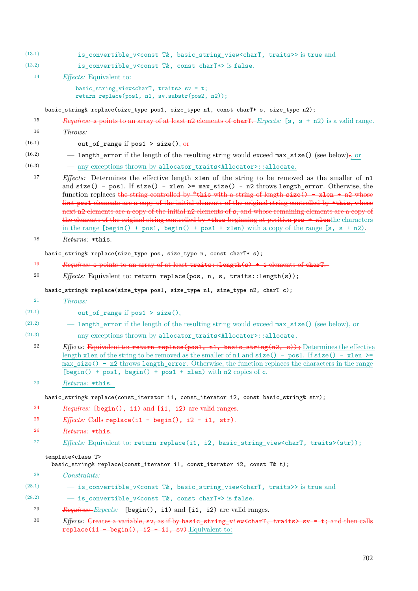(13.1) — is\_convertible\_v<const T&, basic\_string\_view<charT, traits>> is true and

- (13.2)  $-$  is\_convertible\_v<const T&, const charT\*> is false.
- <sup>14</sup> *Effects:* Equivalent to:

```
basic_string_view<charT, traits> sv = t;
return replace(pos1, n1, sv.substr(pos2, n2));
```
basic\_string& replace(size\_type pos1, size\_type n1, const charT\* s, size\_type n2);

- <sup>15</sup> *Requires:* s points to an array of at least n2 elements of charT. *Expects:* [s, s + n2) is a valid range.
- <sup>16</sup> *Throws:*
- (16.1) out\_of\_range if pos1 > size(),  $\theta$ re
- (16.2)  **length\_error** if the length of the resulting string would exceed  $max_size()$  (see below)., or
- (16.3) any exceptions thrown by allocator\_traits<Allocator>::allocate.

<sup>17</sup> *Effects:* Determines the effective length xlen of the string to be removed as the smaller of n1 and  $size()$  - pos1. If  $size()$  - xlen >= max\_size() - n2 throws length\_error. Otherwise, the function replaces the string controlled by \*this with a string of length size() - xlen + n2 whose first pos1 elements are a copy of the initial elements of the original string controlled by \*this, whose next n2 elements are a copy of the initial n2 elements of s, and whose remaining elements are a copy of the elements of the original string controlled by \*this beginning at position pos + xlenthe characters in the range  $[\text{begin}( ) + \text{pos1, begin}( ) + \text{pos1 + xlen})$  with a copy of the range  $[s, s + n2)$ .

<sup>18</sup> *Returns:* \*this.

### basic\_string& replace(size\_type pos, size\_type n, const charT\* s);

- <sup>19</sup> *Requires:* s points to an array of at least traits::length(s) + 1 elements of charT.
- <sup>20</sup> *Effects:* Equivalent to: return replace(pos, n, s, traits::length(s));

basic\_string& replace(size\_type pos1, size\_type n1, size\_type n2, charT c);

- <sup>21</sup> *Throws:*
- (21.1) out of range if pos1 > size(),
- (21.2) length\_error if the length of the resulting string would exceed max\_size() (see below), or
- (21.3) any exceptions thrown by allocator\_traits<Allocator>::allocate.
	- 22 *Effects:* Equivalent to: return replace(pos1, n1, basic string(n2, c)); Determines the effective length xlen of the string to be removed as the smaller of n1 and  $size() - pos1$ . If  $size() - xlen \ge$ max\_size() - n2 throws length\_error. Otherwise, the function replaces the characters in the range  $[\text{begin}() + \text{pos1}, \text{begin}() + \text{pos1} + \text{neg1} \text{with n2 copies of c.}]\end{cases}$
	- <sup>23</sup> *Returns:* \*this.

basic\_string& replace(const\_iterator i1, const\_iterator i2, const basic\_string& str);

- <sup>24</sup> *Requires:* [begin(), i1) and [i1, i2) are valid ranges.
- <sup>25</sup> *Effects:* Calls replace(i1 begin(), i2 i1, str).
- <sup>26</sup> *Returns:* \*this.
- <sup>27</sup> *Effects:* Equivalent to: return replace(i1, i2, basic\_string\_view<charT, traits>(str));

### template<class T>

basic\_string& replace(const\_iterator i1, const\_iterator i2, const T& t);

<sup>28</sup> *Constraints:*

| (28.1)<br>- is_convertible_v <const basic_string_view<chart,="" t&,="" traits="">&gt; is true and</const> |  |  |  |  |  |  |
|-----------------------------------------------------------------------------------------------------------|--|--|--|--|--|--|
|-----------------------------------------------------------------------------------------------------------|--|--|--|--|--|--|

- (28.2)  $-$  is convertible v<const T&, const charT\*> is false.
	- <sup>29</sup> *Requires: Expects:* [begin(), i1) and [i1, i2) are valid ranges.

<sup>30</sup> *Effects:* Creates a variable, sv, as if by basic string view<charT, traits> sv = t; and then calls replace( $i1 - \text{begin}($ ),  $i2 - i1$ , sv). Equivalent to: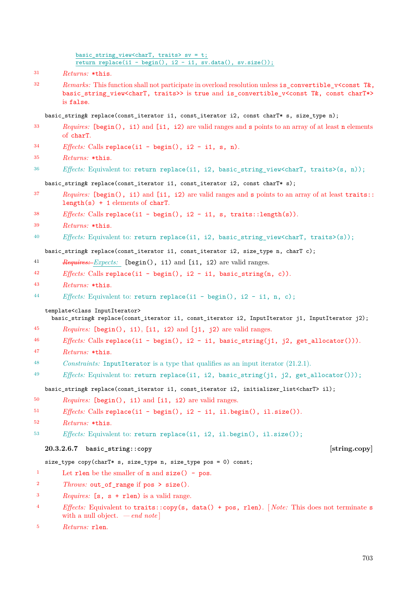### basic\_string\_view<charT, traits> sv = t; return replace(i1 - begin(),  $i2 - i1$ , sv.data(), sv.size());

*Remarks:* This function shall not participate in overload resolution unless is convertible v<const T&, basic\_string\_view<charT, traits>> is true and is\_convertible\_v<const T&, const charT\*> is false.

basic\_string& replace(const\_iterator i1, const\_iterator i2, const charT\* s, size\_type n);

- *Requires:* [begin(), i1) and [i1, i2) are valid ranges and s points to an array of at least n elements of charT.
- *Effects:* Calls replace(i1 begin(), i2 i1, s, n).
- *Returns:* \*this.
- <sup>36</sup> *Effects:* Equivalent to: return replace(i1, i2, basic string view<charT, traits>(s, n));

basic string& replace(const iterator i1, const iterator i2, const charT\* s);

- *Requires:* [begin(), i1) and [i1, i2) are valid ranges and s points to an array of at least traits:: length(s) + 1 elements of charT.
- *Effects:* Calls replace(i1 begin(), i2 i1, s, traits::length(s)).
- *Returns:* \*this.
- *Effects:* Equivalent to: return replace(i1, i2, basic\_string\_view<charT, traits>(s));

basic\_string& replace(const\_iterator i1, const\_iterator i2, size\_type n, charT c);

- *Requires: Expects:* [begin(), i1) and [i1, i2) are valid ranges.
- *Effects:* Calls replace(i1 begin(), i2 i1, basic string(n, c)).
- *Returns:* \*this.
- *Effects:* Equivalent to: return replace(i1 begin(), i2 i1, n, c);

### template<class InputIterator>

basic\_string& replace(const\_iterator i1, const\_iterator i2, InputIterator j1, InputIterator j2);

- *Requires:* [begin(), i1), [i1, i2) and [j1, j2) are valid ranges.
- *Effects:* Calls replace(i1 begin(), i2 i1, basic\_string(j1, j2, get\_allocator())).
- *Returns:* \*this.
- *Constraints:* InputIterator is a type that qualifies as an input iterator (21.2.1).
- *Effects:* Equivalent to: return replace(i1, i2, basic\_string(j1, j2, get\_allocator()));

basic\_string& replace(const\_iterator i1, const\_iterator i2, initializer\_list<charT> il);

- *Requires:* [begin(), i1) and [i1, i2) are valid ranges.
- *Effects:* Calls replace(i1 begin(), i2 i1, il.begin(), il.size()).
- *Returns:* \*this.
- *Effects:* Equivalent to: return replace(i1, i2, il.begin(), il.size());

### **20.3.2.6.7 basic\_string::copy [string.copy]**

### size\_type copy(charT\* s, size\_type n, size\_type pos = 0) const;

- <sup>1</sup> Let rlen be the smaller of **n** and  $size() pos$ .
- *Throws:* out\_of\_range if pos > size().
- *Requires:* [s, s + rlen) is a valid range.
- *Effects:* Equivalent to traits::copy(s, data() + pos, rlen). [ *Note:* This does not terminate s with a null object. *— end note* ]
- *Returns:* rlen.

*Returns:* \*this.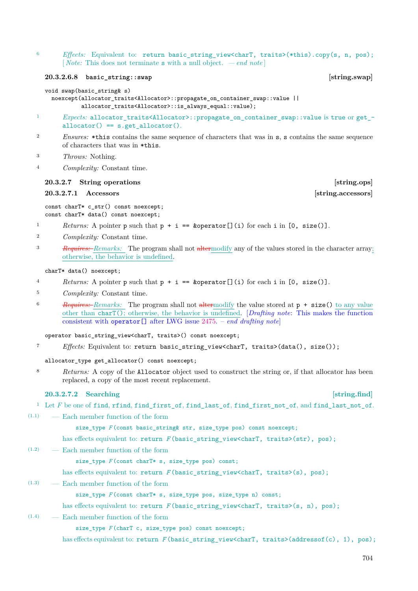<sup>6</sup> *Effects:* Equivalent to: return basic\_string\_view<charT, traits>(\*this).copy(s, n, pos); [ *Note:* This does not terminate s with a null object. *— end note* ]

### <span id="page-32-1"></span>**20.3.2.6.8 basic\_string::swap [string.swap]**

### void swap(basic\_string& s)

noexcept(allocator\_traits<Allocator>::propagate\_on\_container\_swap::value || allocator\_traits<Allocator>::is\_always\_equal::value);

- <sup>1</sup> *Expects:* allocator\_traits<Allocator>::propagate\_on\_container\_swap::value is true or get\_  $allocator() == s.get_alloc()$ .
- <sup>2</sup> *Ensures:* \*this contains the same sequence of characters that was in s, s contains the same sequence of characters that was in \*this.
- <sup>3</sup> *Throws:* Nothing.
- <sup>4</sup> *Complexity:* Constant time.

### <span id="page-32-0"></span>**20.3.2.7 String operations** [string.ops]

### **20.3.2.7.1 Accessors [string.accessors]**

const charT\* c str() const noexcept; const charT\* data() const noexcept;

- 1 *Returns:* A pointer p such that  $p + i == k$  operator [](i) for each i in [0, size()].
- <sup>2</sup> *Complexity:* Constant time.
- <sup>3</sup> *Requires: Remarks:* The program shall not altermodify any of the values stored in the character array; otherwise, the behavior is undefined.

charT\* data() noexcept;

- 4 *Returns:* A pointer p such that  $p + i = \text{koperator}[j(i)$  for each i in [0, size()].
- <sup>5</sup> *Complexity:* Constant time.
- <sup>6</sup> *Requires: Remarks:* The program shall not altermodify the value stored at p + size() to any value other than charT(); otherwise, the behavior is undefined. [*Drafting note*: This makes the function consistent with operator[] after LWG issue [2475.](https://wg21.link/LWG2475) – *end drafting note*]

operator basic\_string\_view<charT, traits>() const noexcept;

<sup>7</sup> *Effects:* Equivalent to: return basic\_string\_view<charT, traits>(data(), size());

allocator type get allocator() const noexcept;

<sup>8</sup> *Returns:* A copy of the Allocator object used to construct the string or, if that allocator has been replaced, a copy of the most recent replacement.

### **20.3.2.7.2 Searching [string.find]** [string.find]

### <sup>1</sup> Let *F* be one of find, rfind, find first\_of, find\_last\_of, find\_first\_not\_of, and find\_last\_not\_of.

(1.1) — Each member function of the form

size\_type *F* (const basic\_string& str, size\_type pos) const noexcept;

- has effects equivalent to: return *F* (basic\_string\_view<charT, traits>(str), pos);
- (1.2) Each member function of the form

size\_type *F* (const charT\* s, size\_type pos) const;

has effects equivalent to: return *F* (basic\_string\_view<charT, traits>(s), pos);

(1.3) — Each member function of the form

size\_type *F* (const charT\* s, size\_type pos, size\_type n) const;

has effects equivalent to: return *F* (basic string view<charT, traits>(s, n), pos);

(1.4) — Each member function of the form

size\_type *F* (charT c, size\_type pos) const noexcept;

has effects equivalent to: return *F* (basic\_string\_view<charT, traits>(addressof(c), 1), pos);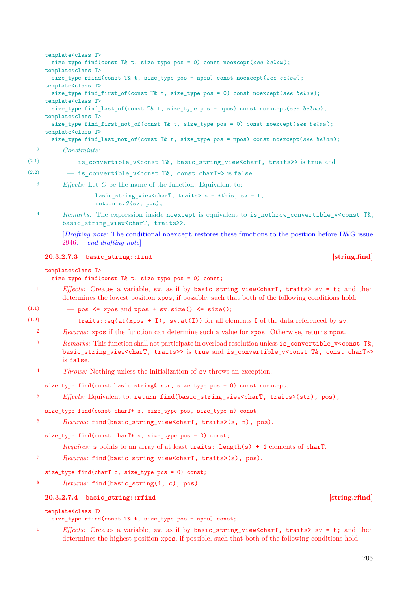```
template<class T>
      size_type find(const T& t, size_type pos = 0) const noexcept(see below );
    template<class T>
      size_type rfind(const T& t, size_type pos = npos) const noexcept(see below );
    template<class T>
      size_type find_first_of(const T& t, size_type pos = 0) const noexcept(see below );
    template<class T>
      size_type find_last_of(const T& t, size_type pos = npos) const noexcept(see below );
    template<class T>
      size_type find_first_not_of(const T& t, size_type pos = 0) const noexcept(see below);
    template<class T>
      size_type find_last_not_of(const T& t, size_type pos = npos) const noexcept(see below );
  2 Constraints:
(2.1) - is_convertible_v<const T&, basic_string_view<charT, traits>> is true and
(2.2) - is convertible v<const T&, const charT*> is false.
```
<sup>3</sup> *Effects:* Let *G* be the name of the function. Equivalent to:

basic\_string\_view<charT, traits> s = \*this, sv = t; return s.*G* (sv, pos);

<sup>4</sup> *Remarks:* The expression inside noexcept is equivalent to is nothrow convertible v<const T&, basic string view<charT, traits>>.

[*Drafting note*: The conditional noexcept restores these functions to the position before LWG issue [2946.](https://wg21.link/LWG2946) – *end drafting note*]

### **20.3.2.7.3 basic\_string::find [string.find]**

### template<class T>

size\_type find(const T& t, size\_type pos = 0) const;

- <sup>1</sup> *Effects:* Creates a variable, sv, as if by basic string view<charT, traits> sv = t; and then determines the lowest position xpos, if possible, such that both of the following conditions hold:
- $(1.1)$   $-$  pos  $\leq$  xpos and xpos + sv.size()  $\leq$  size();

(1.2)  $-$  traits::eq(at(xpos + I), sv.at(I)) for all elements I of the data referenced by sv.

- <sup>2</sup> *Returns:* xpos if the function can determine such a value for xpos. Otherwise, returns npos.
- <sup>3</sup> *Remarks:* This function shall not participate in overload resolution unless is convertible v<const T&, basic\_string\_view<charT, traits>> is true and is\_convertible\_v<const T&, const charT\*> is false.
- <sup>4</sup> *Throws:* Nothing unless the initialization of sv throws an exception.

size\_type find(const basic\_string& str, size\_type pos = 0) const noexcept;

<sup>5</sup> *Effects:* Equivalent to: return find(basic\_string\_view<charT, traits>(str), pos);

size\_type find(const charT\* s, size\_type pos, size\_type n) const;

<sup>6</sup> *Returns:* find(basic\_string\_view<charT, traits>(s, n), pos).

size\_type find(const charT\* s, size\_type pos = 0) const;

*Requires:* s points to an array of at least  $\text{traits::length(s)} + 1$  elements of charT.

<sup>7</sup> *Returns:* find(basic\_string\_view<charT, traits>(s), pos).

size\_type find(charT c, size\_type pos = 0) const;

<sup>8</sup> *Returns:* find(basic\_string(1, c), pos).

### **20.3.2.7.4 basic\_string::rfind [string.rfind]**

template<class T>

- size\_type rfind(const T& t, size\_type pos = npos) const;
- 1 *Effects:* Creates a variable, sv, as if by basic string view<charT, traits> sv = t; and then determines the highest position xpos, if possible, such that both of the following conditions hold:

705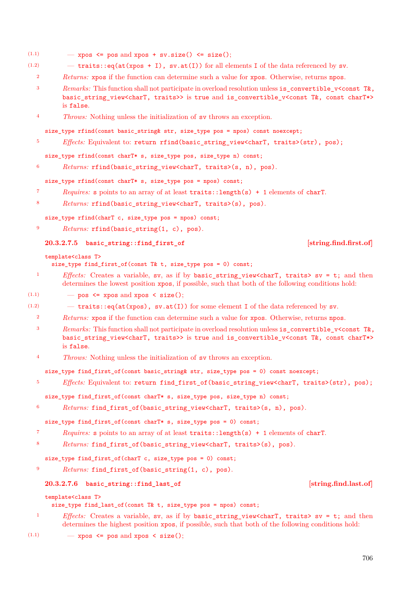- (1.1)  $-$  xpos  $\leq$  pos and xpos + sv.size()  $\leq$  size();
- $(1.2)$  traits::eq(at(xpos + I), sv.at(I)) for all elements I of the data referenced by sv.
	- <sup>2</sup> *Returns:* xpos if the function can determine such a value for xpos. Otherwise, returns npos.
	- <sup>3</sup> *Remarks:* This function shall not participate in overload resolution unless is convertible v<const T&, basic\_string\_view<charT, traits>> is true and is\_convertible\_v<const T&, const charT\*> is false.
	- <sup>4</sup> *Throws:* Nothing unless the initialization of sv throws an exception.

size\_type rfind(const basic\_string& str, size\_type pos = npos) const noexcept;

<sup>5</sup> *Effects:* Equivalent to: return rfind(basic\_string\_view<charT, traits>(str), pos);

size\_type rfind(const charT\* s, size\_type pos, size\_type n) const;

<sup>6</sup> *Returns:* rfind(basic\_string\_view<charT, traits>(s, n), pos).

size\_type rfind(const charT\* s, size\_type pos = npos) const;

- <sup>7</sup> *Requires:* s points to an array of at least traits::length(s) + 1 elements of charT.
- <sup>8</sup> *Returns:* rfind(basic\_string\_view<charT, traits>(s), pos).

size\_type rfind(charT c, size\_type pos = npos) const;

<sup>9</sup> *Returns:* rfind(basic string(1, c), pos).

### **20.3.2.7.5 basic\_string::find\_first\_of [string.find.first.of]**

template<class T>

size\_type find\_first\_of(const T& t, size\_type pos = 0) const;

- 1 *Effects:* Creates a variable, sv, as if by basic string view<charT, traits> sv = t; and then determines the lowest position xpos, if possible, such that both of the following conditions hold:
- (1.1)  $-$  pos  $\leq$  xpos and xpos  $\leq$  size();
- (1.2)  $-$  traits::eq(at(xpos), sv.at(I)) for some element I of the data referenced by sv.
	- <sup>2</sup> *Returns:* xpos if the function can determine such a value for xpos. Otherwise, returns npos.
	- <sup>3</sup> *Remarks:* This function shall not participate in overload resolution unless is\_convertible\_v<const T&, basic\_string\_view<charT, traits>> is true and is\_convertible\_v<const T&, const charT\*> is false.
	- <sup>4</sup> *Throws:* Nothing unless the initialization of sv throws an exception.

size\_type find\_first\_of(const basic\_string& str, size\_type pos = 0) const noexcept;

<sup>5</sup> *Effects:* Equivalent to: return find first of (basic string view<charT, traits>(str), pos);

```
size_type find_first_of(const charT* s, size_type pos, size_type n) const;
```

```
6 Returns: find_first_of(basic_string_view<charT, traits>(s, n), pos).
```
size type find first of(const charT\* s, size type pos = 0) const;

- <sup>7</sup> *Requires:* s points to an array of at least traits::length(s) + 1 elements of charT.
- <sup>8</sup> *Returns:* find\_first\_of(basic\_string\_view<charT, traits>(s), pos).

size\_type find\_first\_of(charT c, size\_type pos = 0) const;

<sup>9</sup> *Returns:* find\_first\_of(basic\_string(1, c), pos).

### **20.3.2.7.6 basic\_string::find\_last\_of [string.find.last.of]**

template<class T>

size\_type find\_last\_of(const T& t, size\_type pos = npos) const;

- <sup>1</sup> *Effects:* Creates a variable, sv, as if by basic\_string\_view<charT, traits> sv = t; and then determines the highest position xpos, if possible, such that both of the following conditions hold:
- $(1.1)$   $\qquad$   $\qquad$  xpos  $\leq$  pos and xpos  $\leq$  size();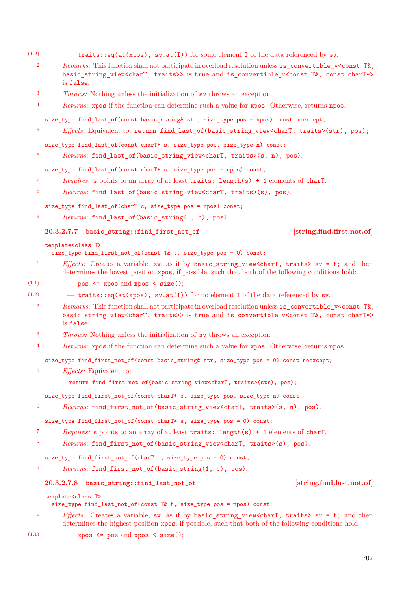- (1.2)  $-$  traits::eq(at(xpos), sv.at(I)) for some element I of the data referenced by sv.
	- <sup>2</sup> *Remarks:* This function shall not participate in overload resolution unless is\_convertible\_v<const T&, basic string view<charT, traits>> is true and is convertible v<const T&, const charT\*> is false.
	- <sup>3</sup> *Throws:* Nothing unless the initialization of sv throws an exception.
	- <sup>4</sup> *Returns:* xpos if the function can determine such a value for xpos. Otherwise, returns npos.

size\_type find\_last\_of(const basic\_string& str, size\_type pos = npos) const noexcept;

<sup>5</sup> *Effects:* Equivalent to: return find last of (basic string view<charT, traits>(str), pos);

size\_type find\_last\_of(const charT\* s, size\_type pos, size\_type n) const;

<sup>6</sup> *Returns:* find\_last\_of(basic\_string\_view<charT, traits>(s, n), pos).

size\_type find\_last\_of(const charT\* s, size\_type pos = npos) const;

- <sup>7</sup> *Requires:* s points to an array of at least traits::length(s) + 1 elements of charT.
- <sup>8</sup> *Returns:* find\_last\_of(basic\_string\_view<charT, traits>(s), pos).

size\_type find\_last\_of(charT c, size\_type pos = npos) const;

<sup>9</sup> *Returns:* find last of(basic string(1, c), pos).

**20.3.2.7.7 basic\_string::find\_first\_not\_of [string.find.first.not.of]**

### template<class T>

size\_type find\_first\_not\_of(const T& t, size\_type pos = 0) const;

- <sup>1</sup> *Effects:* Creates a variable, sv, as if by basic\_string\_view<charT, traits> sv = t; and then determines the lowest position xpos, if possible, such that both of the following conditions hold:
- $(1.1)$   $\qquad$   $\qquad$  pos  $\leq$  xpos and xpos  $\leq$  size();
- $(1.2)$  traits::eq(at(xpos), sv.at(I)) for no element I of the data referenced by sv.
	- <sup>2</sup> *Remarks:* This function shall not participate in overload resolution unless is\_convertible\_v<const T&, basic\_string\_view<charT, traits>> is true and is\_convertible\_v<const T&, const charT\*> is false.
	- <sup>3</sup> *Throws:* Nothing unless the initialization of sv throws an exception.
	- <sup>4</sup> *Returns:* xpos if the function can determine such a value for xpos. Otherwise, returns npos.

size\_type find\_first\_not\_of(const basic\_string& str, size\_type pos = 0) const noexcept;

<sup>5</sup> *Effects:* Equivalent to:

return find first not of(basic string view<charT, traits>(str), pos);

size\_type find\_first\_not\_of(const charT\* s, size\_type pos, size\_type n) const;

<sup>6</sup> *Returns:* find\_first\_not\_of(basic\_string\_view<charT, traits>(s, n), pos).

size\_type find\_first\_not\_of(const charT\* s, size\_type pos = 0) const;

- <sup>7</sup> *Requires:* s points to an array of at least traits::length(s) + 1 elements of charT.
- <sup>8</sup> *Returns:* find\_first\_not\_of(basic\_string\_view<charT, traits>(s), pos).

size\_type find\_first\_not\_of(charT c, size\_type pos = 0) const;

<sup>9</sup> *Returns:* find\_first\_not\_of(basic\_string(1, c), pos).

### **20.3.2.7.8 basic\_string::find\_last\_not\_of [string.find.last.not.of]**

template<class T>

size type find last not of(const T& t, size type pos = npos) const;

- 1 *Effects:* Creates a variable, sv, as if by basic string view<charT, traits> sv = t; and then determines the highest position xpos, if possible, such that both of the following conditions hold:
- $(1.1)$  xpos  $\leq$  pos and xpos  $\leq$  size();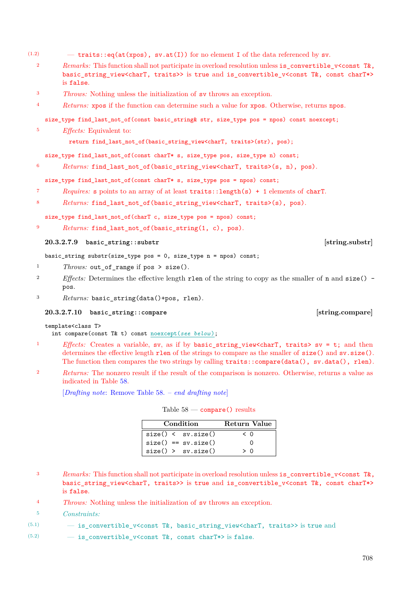- (1.2)  $-$  traits::eq(at(xpos), sv.at(I)) for no element I of the data referenced by sv.
	- 2 *Remarks:* This function shall not participate in overload resolution unless is\_convertible\_v<const T&, basic string view<charT, traits>> is true and is convertible v<const T&, const charT\*> is false.
	- <sup>3</sup> *Throws:* Nothing unless the initialization of sv throws an exception.
	- <sup>4</sup> *Returns:* xpos if the function can determine such a value for xpos. Otherwise, returns npos.

size\_type find\_last\_not\_of(const basic\_string& str, size\_type pos = npos) const noexcept;

<sup>5</sup> *Effects:* Equivalent to:

return find\_last\_not\_of(basic\_string\_view<charT, traits>(str), pos);

size\_type find\_last\_not\_of(const charT\* s, size\_type pos, size\_type n) const;

<sup>6</sup> *Returns:* find\_last\_not\_of(basic\_string\_view<charT, traits>(s, n), pos).

### size\_type find\_last\_not\_of(const charT\* s, size\_type pos = npos) const;

- <sup>7</sup> *Requires:* s points to an array of at least traits::length(s) + 1 elements of charT.
- 8 Returns: find\_last\_not\_of(basic\_string\_view<charT, traits>(s), pos).

size\_type find\_last\_not\_of(charT c, size\_type pos = npos) const;

9 *Returns:* find last not of(basic string(1, c), pos).

### **20.3.2.7.9 basic\_string::substr [string.substr]**

basic\_string substr(size\_type pos = 0, size\_type n = npos) const;

- <sup>1</sup> *Throws:* out\_of\_range if pos > size().
- <sup>2</sup> *Effects:* Determines the effective length rlen of the string to copy as the smaller of n and size() pos.
- <sup>3</sup> *Returns:* basic\_string(data()+pos, rlen).

### **20.3.2.7.10 basic\_string::compare [string.compare]**

### template<class T>

int compare(const T& t) const noexcept(*see below* );

- 1 *Effects:* Creates a variable, sv, as if by basic string view<charT, traits> sv = t; and then determines the effective length rlen of the strings to compare as the smaller of size() and sv.size(). The function then compares the two strings by calling traits::compare(data(), sv.data(), rlen).
- <sup>2</sup> *Returns:* The nonzero result if the result of the comparison is nonzero. Otherwise, returns a value as indicated in Table [58.](#page-36-0)

[*Drafting note*: Remove Table [58.](#page-36-0) – *end drafting note*]

<span id="page-36-0"></span>

| Table 58 | - compare() results |  |
|----------|---------------------|--|
|----------|---------------------|--|

**Condition Return Value**

| <i>Remarks:</i> This function shall not participate in overload resolution unless is convertible $v$ <const t&,<="" th=""></const> |
|------------------------------------------------------------------------------------------------------------------------------------|
| basic_string_view <chart, traits="">&gt; is true and is_convertible_v<const chart*="" const="" t&,=""></const></chart,>            |
| is false.                                                                                                                          |

 $size() \leftarrow sysize() \leftarrow 0$  $size() == sv.size()$  0  $size() > sy.size() > 0$ 

- <sup>4</sup> *Throws:* Nothing unless the initialization of sv throws an exception.
- <sup>5</sup> *Constraints:*
- (5.1)  $-$  is\_convertible\_v<const T&, basic\_string\_view<charT, traits>> is true and
- (5.2)  $-$  is convertible v<const T&, const charT\*> is false.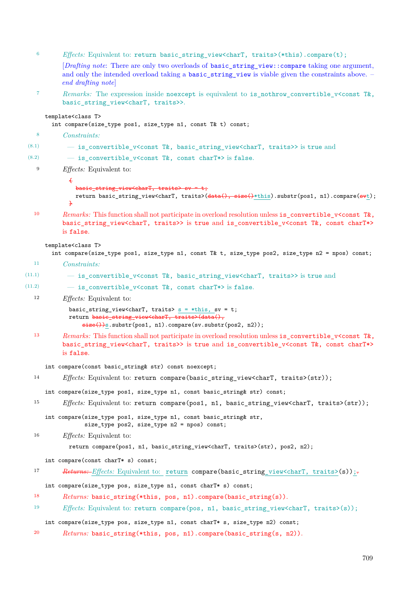| 6      | <i>Effects:</i> Equivalent to: return basic_string_view <chart, traits="">(*this).compare(t);</chart,>                                                                                                                                                    |
|--------|-----------------------------------------------------------------------------------------------------------------------------------------------------------------------------------------------------------------------------------------------------------|
|        | [ <i>Drafting note:</i> There are only two overloads of basic_string_view::compare taking one argument,<br>and only the intended overload taking a basic string view is viable given the constraints above. -<br>end drafting note                        |
| 7      | <i>Remarks:</i> The expression inside noexcept is equivalent to is_nothrow_convertible_v <const t&,<br="">basic_string_view<chart, traits="">&gt;.</chart,></const>                                                                                       |
|        | template <class t=""><br/>int compare(size_type pos1, size_type n1, const T&amp; t) const;</class>                                                                                                                                                        |
| 8      | Constraints:                                                                                                                                                                                                                                              |
| (8.1)  | - is_convertible_v <const basic_string_view<chart,="" t&,="" traits="">&gt; is true and</const>                                                                                                                                                           |
| (8.2)  | - is_convertible_v <const chart*="" const="" t&,=""> is false.</const>                                                                                                                                                                                    |
| 9      | <i>Effects:</i> Equivalent to:                                                                                                                                                                                                                            |
|        | Æ                                                                                                                                                                                                                                                         |
|        | basic_string_view <chart, traits=""> sv = t;<br/>return basic_string_view<chart, traits="">(data(), size()*this).substr(pos1, n1).compare(svt);<br/><math>\ddot{\mathbf{r}}</math></chart,></chart,>                                                      |
| 10     | Remarks: This function shall not participate in overload resolution unless is_convertible_v <const t&,<br="">basic_string_view<chart, traits="">&gt; is true and is_convertible_v<const chart*="" const="" t&,=""><br/>is false.</const></chart,></const> |
|        | template <class t=""><br/>int compare(size_type pos1, size_type n1, const T&amp; t, size_type pos2, size_type n2 = npos) const;</class>                                                                                                                   |
| 11     | <i>Constraints:</i>                                                                                                                                                                                                                                       |
| (11.1) | - is_convertible_v <const basic_string_view<chart,="" t&,="" traits="">&gt; is true and</const>                                                                                                                                                           |
| (11.2) | - is_convertible_v <const chart*="" const="" t&,=""> is false.</const>                                                                                                                                                                                    |
| 12     | $E\text{ffects:}$ Equivalent to:                                                                                                                                                                                                                          |
|        | basic_string_view <chart, traits=""> <math>s = * this</math>, sv = t;<br/>return basic_string_view<chart, traits="">(data(),<br/><math>size()</math>)s.substr(pos1, n1).compare(sv.substr(pos2, n2));</chart,></chart,>                                   |
| 13     | Remarks: This function shall not participate in overload resolution unless is_convertible_v <const t&,<br="">basic_string_view<chart, traits="">&gt; is true and is_convertible_v<const chart*="" const="" t&,=""><br/>is false.</const></chart,></const> |
|        | int compare(const basic_string& str) const noexcept;                                                                                                                                                                                                      |
| 14     | Effects: Equivalent to: return compare(basic_string_view <chart, traits="">(str));</chart,>                                                                                                                                                               |
|        | int compare(size_type pos1, size_type n1, const basic_string& str) const;                                                                                                                                                                                 |
| 15     | <i>Effects:</i> Equivalent to: return compare(pos1, n1, basic_string_view <chart, traits="">(str));</chart,>                                                                                                                                              |
|        | int compare(size_type pos1, size_type n1, const basic_string& str,<br>size_type pos2, size_type n2 = npos) const;                                                                                                                                         |
| 16     | $E\text{ffects:}$ Equivalent to:                                                                                                                                                                                                                          |
|        | return compare(pos1, n1, basic_string_view <chart, traits="">(str), pos2, n2);</chart,>                                                                                                                                                                   |
|        | int compare(const charT* s) const;                                                                                                                                                                                                                        |
| 17     | Returns: Effects: Equivalent to: return compare(basic_string_view <chart, traits="">(s));-</chart,>                                                                                                                                                       |
|        | int compare(size_type pos, size_type n1, const charT* s) const;                                                                                                                                                                                           |
| 18     | $Returns: basic_string(*this, pos, n1).compare(basic_string(s)).$                                                                                                                                                                                         |
| 19     | <i>Effects:</i> Equivalent to: return compare(pos, n1, basic_string_view <chart, traits="">(s));</chart,>                                                                                                                                                 |
|        | int compare(size_type pos, size_type n1, const charT* s, size_type n2) const;                                                                                                                                                                             |
| 20     | <i>Returns:</i> basic_string(*this, pos, n1).compare(basic_string(s, n2)).                                                                                                                                                                                |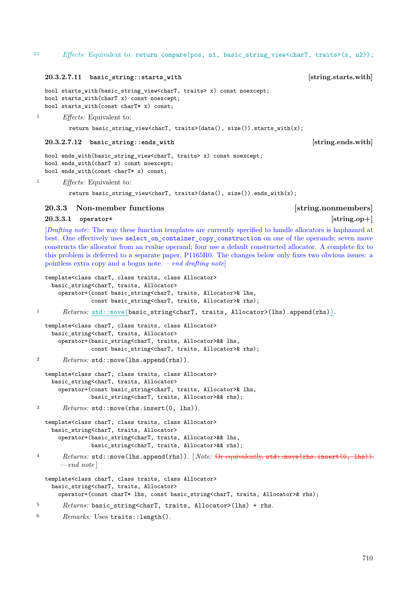### **20.3.2.7.11 basic\_string::starts\_with [string.starts.with]**

```
bool starts with(basic string view<charT, traits> x) const noexcept;
bool starts_with(charT x) const noexcept;
bool starts_with(const charT* x) const;
```
<sup>1</sup> *Effects:* Equivalent to:

return basic string view<charT, traits>(data(), size()).starts with(x);

### **20.3.2.7.12 basic\_string::ends\_with [string.ends.with]**

```
bool ends_with(basic_string_view<charT, traits> x) const noexcept;
bool ends_with(charT x) const noexcept;
bool ends_with(const charT* x) const;
```
<sup>1</sup> *Effects:* Equivalent to:

return basic\_string\_view<charT, traits>(data(), size()).ends\_with(x);

### <span id="page-38-0"></span>**20.3.3 Non-member functions [string.nonmembers]**

template<class charT, class traits, class Allocator>

### <span id="page-38-1"></span>**20.3.3.1 operator+ [string.op+]**

[*Drafting note*: The way these function templates are currently specified to handle allocators is haphazard at best. One effectively uses select on container copy construction on one of the operands; seven move constructs the allocator from an rvalue operand; four use a default constructed allocator. A complete fix to this problem is deferred to a separate paper, P1165R0. The changes below only fixes two obvious issues: a pointless extra copy and a bogus note. – *end drafting note*]

```
basic_string<charT, traits, Allocator>
      operator+(const basic_string<charT, traits, Allocator>& lhs,
                const basic_string<charT, traits, Allocator>& rhs);
1 Returns: std::move(basic_string<charT, traits, Allocator>(lhs).append(rhs)).
  template<class charT, class traits, class Allocator>
    basic string<charT, traits, Allocator>
      operator+(basic_string<charT, traits, Allocator>&& lhs,
                const basic_string<charT, traits, Allocator>& rhs);
2 Returns: std::move(lhs.append(rhs)).
  template<class charT, class traits, class Allocator>
    basic_string<charT, traits, Allocator>
      operator+(const basic_string<charT, traits, Allocator>& lhs,
                basic_string<charT, traits, Allocator>&& rhs);
3 Returns: std::move(rhs.insert(0, lhs)).
  template<class charT, class traits, class Allocator>
    basic_string<charT, traits, Allocator>
      operator+(basic_string<charT, traits, Allocator>&& lhs,
                basic_string<charT, traits, Allocator>&& rhs);
4 Returns: std::move(lhs.append(rhs)). [ Note: Or equivalently, std::move(rhs.insert(0, lhs)).
       — end note ]
  template<class charT, class traits, class Allocator>
    basic_string<charT, traits, Allocator>
      operator+(const charT* lhs, const basic_string<charT, traits, Allocator>& rhs);
```

```
5 Returns: basic_string<charT, traits, Allocator>(lhs) + rhs.
```

```
6 Remarks: Uses traits::length().
```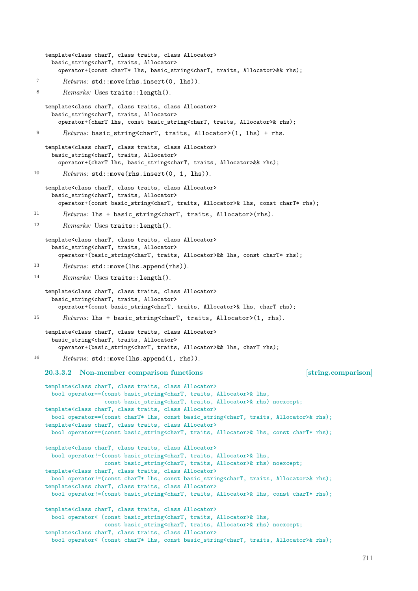```
template<class charT, class traits, class Allocator>
     basic_string<charT, traits, Allocator>
       operator+(const charT* lhs, basic_string<charT, traits, Allocator>&& rhs);
7 Returns: std::move(rhs.insert(0, lhs)).
8 Remarks: Uses traits::length().
   template<class charT, class traits, class Allocator>
     basic string<charT, traits, Allocator>
       operator+(charT lhs, const basic_string<charT, traits, Allocator>& rhs);
9 Returns: basic_string<charT, traits, Allocator>(1, lhs) + rhs.
   template<class charT, class traits, class Allocator>
     basic_string<charT, traits, Allocator>
       operator+(charT lhs, basic_string<charT, traits, Allocator>&& rhs);
10 Returns: std::move(rhs.insert(0, 1, lhs)).
   template<class charT, class traits, class Allocator>
     basic_string<charT, traits, Allocator>
       operator+(const basic_string<charT, traits, Allocator>& lhs, const charT* rhs);
11 Returns: lhs + basic_string<charT, traits, Allocator>(rhs).
12 Remarks: Uses traits::length().
   template<class charT, class traits, class Allocator>
     basic_string<charT, traits, Allocator>
       operator+(basic_string<charT, traits, Allocator>&& lhs, const charT* rhs);
13 Returns: std::move(lhs.append(rhs)).
14 Remarks: Uses traits::length().
   template<class charT, class traits, class Allocator>
     basic_string<charT, traits, Allocator>
       operator+(const basic_string<charT, traits, Allocator>& lhs, charT rhs);
15 Returns: lhs + basic_string<charT, traits, Allocator>(1, rhs).
   template<class charT, class traits, class Allocator>
     basic_string<charT, traits, Allocator>
       operator+(basic_string<charT, traits, Allocator>&& lhs, charT rhs);
16 Returns: std::move(lhs.append(1, rhs)).
   20.3.3.2 Non-member comparison functions [string.comparison]
   template<class charT, class traits, class Allocator>
     bool operator==(const basic_string<charT, traits, Allocator>& lhs,
                    const basic_string<charT, traits, Allocator>& rhs) noexcept;
   template<class charT, class traits, class Allocator>
     bool operator==(const charT* lhs, const basic_string<charT, traits, Allocator>& rhs);
   template<class charT, class traits, class Allocator>
     bool operator==(const basic_string<charT, traits, Allocator>& lhs, const charT* rhs);
   template<class charT, class traits, class Allocator>
     bool operator!=(const basic_string<charT, traits, Allocator>& lhs,
                    const basic_string<charT, traits, Allocator>& rhs) noexcept;
   template<class charT, class traits, class Allocator>
     bool operator!=(const charT* lhs, const basic_string<charT, traits, Allocator>& rhs);
   template<class charT, class traits, class Allocator>
     bool operator!=(const basic_string<charT, traits, Allocator>& lhs, const charT* rhs);
   template<class charT, class traits, class Allocator>
     bool operator< (const basic_string<charT, traits, Allocator>& lhs,
                    const basic_string<charT, traits, Allocator>& rhs) noexcept;
   template<class charT, class traits, class Allocator>
     bool operator< (const charT* lhs, const basic_string<charT, traits, Allocator>& rhs);
```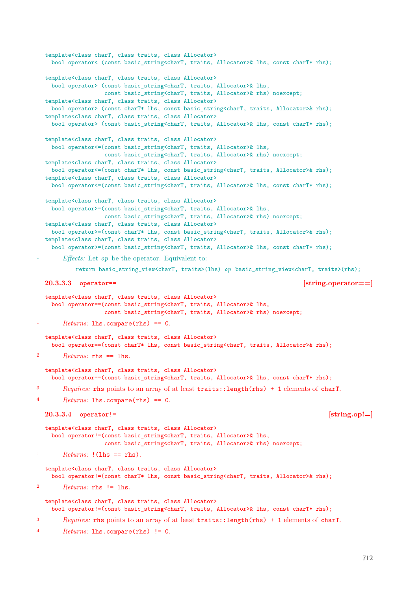```
template<class charT, class traits, class Allocator>
    bool operator< (const basic_string<charT, traits, Allocator>& lhs, const charT* rhs);
  template<class charT, class traits, class Allocator>
    bool operator> (const basic_string<charT, traits, Allocator>& lhs,
                   const basic_string<charT, traits, Allocator>& rhs) noexcept;
  template<class charT, class traits, class Allocator>
   bool operator> (const charT* lhs, const basic_string<charT, traits, Allocator>& rhs);
  template<class charT, class traits, class Allocator>
    bool operator> (const basic_string<charT, traits, Allocator>& lhs, const charT* rhs);
  template<class charT, class traits, class Allocator>
    bool operator<=(const basic_string<charT, traits, Allocator>& lhs,
                   const basic_string<charT, traits, Allocator>& rhs) noexcept;
  template<class charT, class traits, class Allocator>
    bool operator<=(const charT* lhs, const basic_string<charT, traits, Allocator>& rhs);
  template<class charT, class traits, class Allocator>
    bool operator <= (const basic_string << harT, traits, Allocator>& lhs, const charT* rhs);
  template<class charT, class traits, class Allocator>
    bool operator>=(const basic_string<charT, traits, Allocator>& lhs,
                   const basic_string<charT, traits, Allocator>& rhs) noexcept;
  template<class charT, class traits, class Allocator>
    bool operator>=(const charT* lhs, const basic_string<charT, traits, Allocator>& rhs);
  template<class charT, class traits, class Allocator>
    bool operator>=(const basic_string<charT, traits, Allocator>& lhs, const charT* rhs);
1 Effects: Let op be the operator. Equivalent to:
           return basic_string_view<charT, traits>(lhs) op basic_string_view<charT, traits>(rhs);
  20.3.3.3 operator== [string.operator==]
  template<class charT, class traits, class Allocator>
    bool operator==(const basic_string<charT, traits, Allocator>& lhs,
                   const basic_string<charT, traits, Allocator>& rhs) noexcept;
1 Returns: lhs.compare(rhs) == 0.
  template<class charT, class traits, class Allocator>
    bool operator==(const charT* lhs, const basic_string<charT, traits, Allocator>& rhs);
2 Returns: rhs == lhs.
  template<class charT, class traits, class Allocator>
    bool operator==(const basic_string<charT, traits, Allocator>& lhs, const charT* rhs);
3 Requires: rhs points to an array of at least traits::length(rhs) + 1 elements of charT.
4 Returns: lhs.compare(rhs) == 0.
  20.3.3.4 operator!= [string.op!=]
  template<class charT, class traits, class Allocator>
    bool operator!=(const basic_string<charT, traits, Allocator>& lhs,
                   const basic_string<charT, traits, Allocator>& rhs) noexcept;
1 Returns: !(\text{lhs} == \text{rhs}).template<class charT, class traits, class Allocator>
    bool operator!=(const charT* lhs, const basic_string<charT, traits, Allocator>& rhs);
2 Returns: rhs != lhs.
  template<class charT, class traits, class Allocator>
    bool operator!=(const basic_string<charT, traits, Allocator>& lhs, const charT* rhs);
3 Requires: rhs points to an array of at least traits::length(rhs) + 1 elements of charT.
4 Returns: lhs.compare(rhs) != 0.
```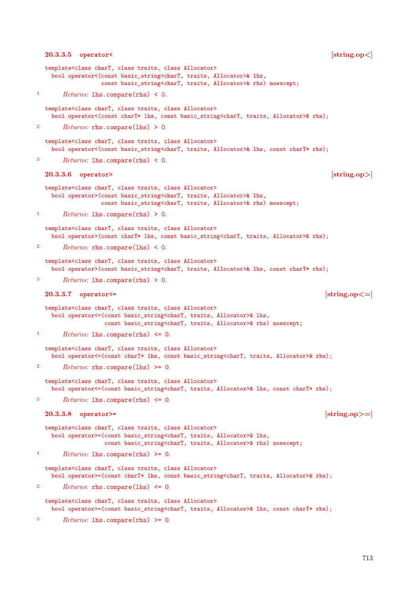```
20.3.3.5 operator< [string.op<]
  template<class charT, class traits, class Allocator>
   bool operator<(const basic_string<charT, traits, Allocator>& lhs,
                 const basic_string<charT, traits, Allocator>& rhs) noexcept;
1 Returns: lhs.compare(rhs) < 0.
  template<class charT, class traits, class Allocator>
   bool operator<(const charT* lhs, const basic_string<charT, traits, Allocator>& rhs);
       2 Returns: rhs.compare(lhs) > 0.
  template<class charT, class traits, class Allocator>
   bool operator<(const basic_string<charT, traits, Allocator>& lhs, const charT* rhs);
3 Returns: lhs.compare(rhs) < 0.
  20.3.3.6 operator> [string.op>]
  template<class charT, class traits, class Allocator>
   bool operator>(const basic_string<charT, traits, Allocator>& lhs,
                 const basic_string<charT, traits, Allocator>& rhs) noexcept;
1 Returns: lhs.compare(rhs) > 0.
  template<class charT, class traits, class Allocator>
   bool operator>(const charT* lhs, const basic_string<charT, traits, Allocator>& rhs);
2 Returns: rhs.compare(lhs) < 0.
  template<class charT, class traits, class Allocator>
   bool operator>(const basic_string<charT, traits, Allocator>& lhs, const charT* rhs);
       3 Returns: lhs.compare(rhs) > 0.
  20.3.3.7 operator<= [string.op<=]
  template<class charT, class traits, class Allocator>
   bool operator<=(const basic_string<charT, traits, Allocator>& lhs,
                  const basic_string<charT, traits, Allocator>& rhs) noexcept;
1 Returns: lhs.compare(rhs) \leq 0.
  template<class charT, class traits, class Allocator>
   bool operator<=(const charT* lhs, const basic_string<charT, traits, Allocator>& rhs);
2 Returns: rhs.compare(lhs) >= 0.
  template<class charT, class traits, class Allocator>
    bool operator<=(const basic_string<charT, traits, Allocator>& lhs, const charT* rhs);
3 Returns: lhs.compare(rhs) <= 0.
  20.3.3.8 operator>= [string.op>=]
  template<class charT, class traits, class Allocator>
   bool operator>=(const basic string<charT, traits, Allocator>& lhs,
                  const basic_string<charT, traits, Allocator>& rhs) noexcept;
1 Returns: lhs.compare(rhs) >= 0.
  template<class charT, class traits, class Allocator>
    bool operator>=(const charT* lhs, const basic_string<charT, traits, Allocator>& rhs);
       2 Returns: rhs.compare(lhs) <= 0.
  template<class charT, class traits, class Allocator>
   bool operator>=(const basic_string<charT, traits, Allocator>& lhs, const charT* rhs);
3 Returns: lhs.compare(rhs) >= 0.
```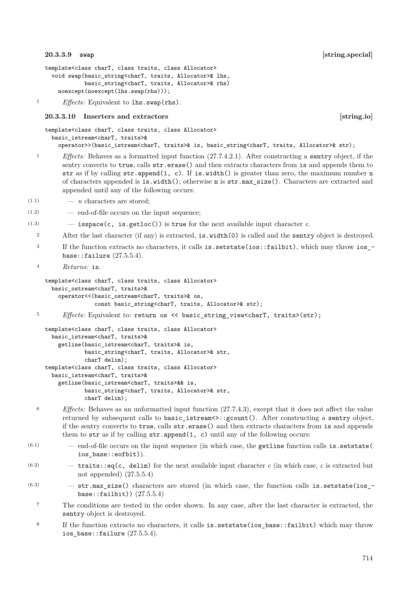### <span id="page-42-0"></span>**20.3.3.9 swap [string.special]**

```
template<class charT, class traits, class Allocator>
 void swap(basic_string<charT, traits, Allocator>& lhs,
            basic_string<charT, traits, Allocator>& rhs)
   noexcept(noexcept(lhs.swap(rhs)));
```
<sup>1</sup> *Effects:* Equivalent to **lhs**.swap(rhs).

### <span id="page-42-1"></span>**20.3.3.10 Inserters and extractors [string.io]**

```
template<class charT, class traits, class Allocator>
 basic_istream<charT, traits>&
    operator>>(basic_istream<charT, traits>& is, basic_string<charT, traits, Allocator>& str);
```
- <sup>1</sup> *Effects:* Behaves as a formatted input function (27.7.4.2.1). After constructing a sentry object, if the sentry converts to true, calls str.erase() and then extracts characters from is and appends them to str as if by calling str.append(1, c). If is.width() is greater than zero, the maximum number n of characters appended is is.width(); otherwise n is str.max\_size(). Characters are extracted and appended until any of the following occurs:
- (1.1) *n* characters are stored;
- (1.2) end-of-file occurs on the input sequence;

 $(1.3)$   $-$  **isspace(c, is.getloc())** is true for the next available input character *c*.

- 2 After the last character (if any) is extracted, is.width(0) is called and the sentry object is destroyed.
- <sup>3</sup> If the function extracts no characters, it calls is.setstate(ios::failbit), which may throw ios\_ base::failure  $(27.5.5.4)$ .
- <sup>4</sup> *Returns:* is.

```
template<class charT, class traits, class Allocator>
 basic_ostream<charT, traits>&
    operator<<(basic_ostream<charT, traits>& os,
               const basic_string<charT, traits, Allocator>& str);
```

```
<sup>5</sup> Effects: Equivalent to: return os << basic_string_view<charT, traits>(str);
```

```
template<class charT, class traits, class Allocator>
 basic_istream<charT, traits>&
    getline(basic_istream<charT, traits>& is,
            basic_string<charT, traits, Allocator>& str,
            charT delim);
template<class charT, class traits, class Allocator>
 basic_istream<charT, traits>&
    getline(basic_istream<charT, traits>&& is,
            basic_string<charT, traits, Allocator>& str,
            charT delim);
```
- <sup>6</sup> *Effects:* Behaves as an unformatted input function (27.7.4.3), except that it does not affect the value returned by subsequent calls to basic\_istream<>::gcount(). After constructing a sentry object, if the sentry converts to true, calls str.erase() and then extracts characters from is and appends them to  $str$  as if by calling  $str.append(1, c)$  until any of the following occurs:
- $(6.1)$  end-of-file occurs on the input sequence (in which case, the getline function calls is. setstate( ios\_base::eofbit)).
- $(6.2)$   $-$  traits::eq(c, delim) for the next available input character *c* (in which case, *c* is extracted but not appended)  $(27.5.5.4)$
- $(6.3)$  -str.max\_size() characters are stored (in which case, the function calls is.setstate(ios\_base::failbit)) (27.5.5.4)
	- <sup>7</sup> The conditions are tested in the order shown. In any case, after the last character is extracted, the sentry object is destroyed.
	- <sup>8</sup> If the function extracts no characters, it calls is.setstate(ios\_base::failbit) which may throw ios\_base::failure (27.5.5.4).

714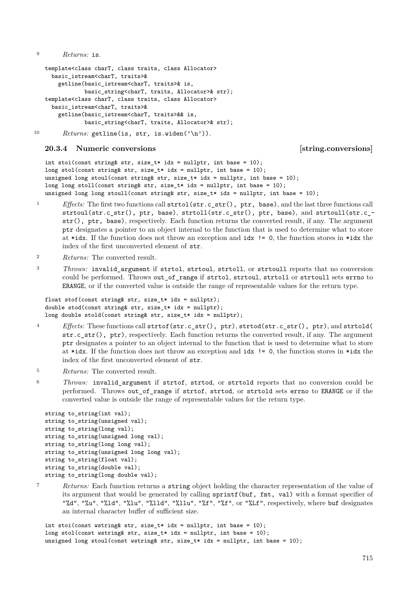<sup>9</sup> *Returns:* is.

```
template<class charT, class traits, class Allocator>
 basic_istream<charT, traits>&
    getline(basic_istream<charT, traits>& is,
           basic_string<charT, traits, Allocator>& str);
template<class charT, class traits, class Allocator>
 basic_istream<charT, traits>&
    getline(basic_istream<charT, traits>&& is,
           basic string<charT, traits, Allocator>& str);
```
10 Returns: getline(is, str, is.widen('\n')).

### <span id="page-43-0"></span>**20.3.4 Numeric conversions [string.conversions]**

int stoi(const string& str, size\_t\* idx = nullptr, int base = 10); long stol(const string& str, size\_t\* idx = nullptr, int base =  $10$ ); unsigned long stoul(const string& str, size\_t\* idx = nullptr, int base = 10); long long stoll(const string& str, size\_t\* idx = nullptr, int base = 10); unsigned long long stoull(const string& str, size\_t\* idx = nullptr, int base = 10);

- <sup>1</sup> *Effects:* The first two functions call strtol(str.c\_str(), ptr, base), and the last three functions call strtoul(str.c str(), ptr, base), strtoll(str.c str(), ptr, base), and strtoull(str.c str(), ptr, base), respectively. Each function returns the converted result, if any. The argument ptr designates a pointer to an object internal to the function that is used to determine what to store at \*idx. If the function does not throw an exception and idx  $!= 0$ , the function stores in \*idx the index of the first unconverted element of str.
- <sup>2</sup> *Returns:* The converted result.
- <sup>3</sup> *Throws:* invalid argument if strtol, strtoul, strtoll, or strtoull reports that no conversion could be performed. Throws out of range if strtol, strtoul, strtoll or strtoull sets errno to ERANGE, or if the converted value is outside the range of representable values for the return type.

```
float stof(const string& str, size_t* idx = nullptr);
double stod(const string& str, size_t* idx = nullptr);
long double stold(const string& str, size_t* idx = nullptr);
```
- <sup>4</sup> *Effects:* These functions call strtof(str.c\_str(), ptr), strtod(str.c\_str(), ptr), and strtold( str.c  $str()$ , ptr), respectively. Each function returns the converted result, if any. The argument ptr designates a pointer to an object internal to the function that is used to determine what to store at \*idx. If the function does not throw an exception and idx  $!= 0$ , the function stores in \*idx the index of the first unconverted element of str.
- <sup>5</sup> *Returns:* The converted result.
- <sup>6</sup> *Throws:* invalid argument if strtof, strtod, or strtold reports that no conversion could be performed. Throws out of range if strtof, strtod, or strtold sets errno to ERANGE or if the converted value is outside the range of representable values for the return type.

```
string to_string(int val);
string to_string(unsigned val);
string to_string(long val);
string to_string(unsigned long val);
string to_string(long long val);
string to_string(unsigned long long val);
string to_string(float val);
string to_string(double val);
string to_string(long double val);
```
<sup>7</sup> *Returns:* Each function returns a string object holding the character representation of the value of its argument that would be generated by calling sprintf(buf, fmt, val) with a format specifier of "%d", "%u", "%ld", "%lu", "%lld", "%llu", "%f", "%f", or "%Lf", respectively, where buf designates an internal character buffer of sufficient size.

int stoi(const wstring& str, size\_t\* idx = nullptr, int base = 10); long stol(const wstring& str, size\_t\* idx = nullptr, int base = 10); unsigned long stoul(const wstring& str, size\_t\* idx = nullptr, int base =  $10$ );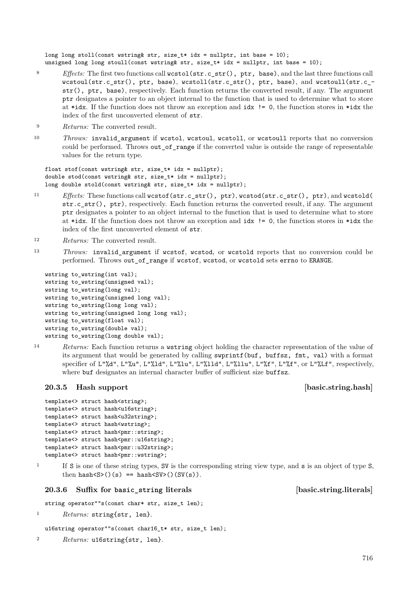long long stoll(const wstring& str, size\_t\* idx = nullptr, int base = 10); unsigned long long stoull(const wstring& str, size\_t\* idx = nullptr, int base = 10);

- 8 *Effects:* The first two functions call wcstol(str.c\_str(), ptr, base), and the last three functions call wcstoul(str.c\_str(), ptr, base), wcstoll(str.c\_str(), ptr, base), and wcstoull(str.c\_ str(), ptr, base), respectively. Each function returns the converted result, if any. The argument ptr designates a pointer to an object internal to the function that is used to determine what to store at \*idx. If the function does not throw an exception and idx != 0, the function stores in \*idx the index of the first unconverted element of str.
- <sup>9</sup> *Returns:* The converted result.
- <sup>10</sup> *Throws:* invalid\_argument if wcstol, wcstoul, wcstoll, or wcstoull reports that no conversion could be performed. Throws out\_of\_range if the converted value is outside the range of representable values for the return type.

float stof(const wstring& str, size\_t\* idx = nullptr); double stod(const wstring& str, size\_t\* idx = nullptr); long double stold(const wstring& str, size\_t\* idx = nullptr);

- <sup>11</sup> *Effects:* These functions call wcstof(str.c\_str(), ptr), wcstod(str.c\_str(), ptr), and wcstold( str.c\_str(), ptr), respectively. Each function returns the converted result, if any. The argument ptr designates a pointer to an object internal to the function that is used to determine what to store at \*idx. If the function does not throw an exception and idx  $!= 0$ , the function stores in \*idx the index of the first unconverted element of str.
- <sup>12</sup> *Returns:* The converted result.
- 13 *Throws:* invalid argument if wcstof, wcstod, or wcstold reports that no conversion could be performed. Throws out of range if wcstof, wcstod, or wcstold sets errno to ERANGE.

```
wstring to_wstring(int val);
wstring to wstring(unsigned val);
wstring to wstring(long val);
wstring to_wstring(unsigned long val);
wstring to_wstring(long long val);
wstring to_wstring(unsigned long long val);
wstring to_wstring(float val);
wstring to_wstring(double val);
wstring to_wstring(long double val);
```
<sup>14</sup> *Returns:* Each function returns a wstring object holding the character representation of the value of its argument that would be generated by calling swprintf(buf, buffsz, fmt, val) with a format specifier of L"%d", L"%u", L"%ld", L"%lu", L"%lld", L"%llu", L"%f", L"%f", or L"%Lf", respectively, where buf designates an internal character buffer of sufficient size buffsz.

### <span id="page-44-0"></span>**20.3.5 Hash support contract that is example to the contract of the set of the set of the set of the set of the set of the set of the set of the set of the set of the set of the set of the set of the set of the set of the**

```
template<> struct hash<string>;
template<> struct hash<u16string>;
template<> struct hash<u32string>;
template<> struct hash<wstring>;
template<> struct hash<pmr::string>;
template<> struct hash<pmr::u16string>;
template<> struct hash<pmr::u32string>;
template<> struct hash<pmr::wstring>;
```
<sup>1</sup> If S is one of these string types, SV is the corresponding string view type, and s is an object of type S, then hash $(S>(s) == hash(SV>(s))$ .

### <span id="page-44-1"></span>**20.3.6 Suffix for basic\_string literals [basic.string.literals]**

string operator""s(const char\* str, size\_t len);

```
1 Returns: string{str, len}.
```

```
u16string operator""s(const char16_t* str, size_t len);
```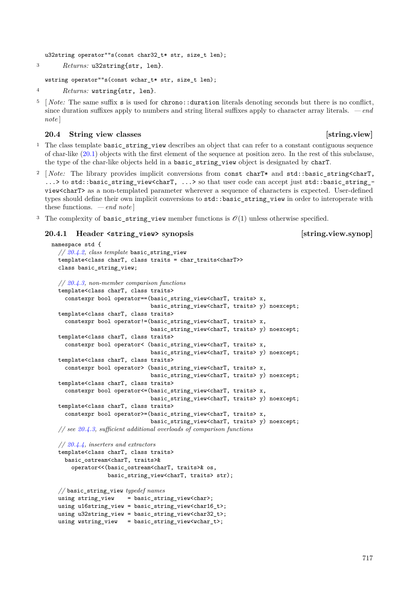u32string operator""s(const char32\_t\* str, size\_t len);

```
3 Returns: u32string{str, len}.
```
wstring operator""s(const wchar\_t\* str, size\_t len);

```
4 Returns: wstring{str, len}.
```
[*Note:* The same suffix **s** is used for chrono::duration literals denoting seconds but there is no conflict, since duration suffixes apply to numbers and string literal suffixes apply to character array literals. *— end note* ]

### <span id="page-45-0"></span>**20.4 String view classes** [string.view]

- <sup>1</sup> The class template basic string view describes an object that can refer to a constant contiguous sequence of char-like [\(20.1\)](#page-4-1) objects with the first element of the sequence at position zero. In the rest of this subclause, the type of the char-like objects held in a basic\_string\_view object is designated by charT.
- <sup>2</sup> [*Note:* The library provides implicit conversions from const charT\* and std::basic string<charT, ...> to std::basic\_string\_view<charT, ...> so that user code can accept just std::basic\_string\_view<charT> as a non-templated parameter wherever a sequence of characters is expected. User-defined types should define their own implicit conversions to  $std$ ::basic string view in order to interoperate with these functions. *— end note* ]
- The complexity of basic\_string\_view member functions is  $\mathcal{O}(1)$  unless otherwise specified.

### <span id="page-45-1"></span>**20.4.1 Header <string\_view> synopsis [string.view.synop]**

```
namespace std {
  // 20.4.2, class template basic_string_view
  template<class charT, class traits = char_traits<charT>>
  class basic_string_view;
  // 20.4.3, non-member comparison functions
  template<class charT, class traits>
    constexpr bool operator==(basic_string_view<charT, traits> x,
                              basic_string_view<charT, traits> y) noexcept;
 template<class charT, class traits>
    constexpr bool operator!=(basic_string_view<charT, traits> x,
                              basic_string_view<charT, traits> y) noexcept;
 template<class charT, class traits>
    constexpr bool operator< (basic_string_view<charT, traits> x,
                              basic_string_view<charT, traits> y) noexcept;
  template<class charT, class traits>
    constexpr bool operator> (basic_string_view<charT, traits> x,
                              basic_string_view<charT, traits> y) noexcept;
 template<class charT, class traits>
    constexpr bool operator<=(basic_string_view<charT, traits> x,
                              basic_string_view<charT, traits> y) noexcept;
 template<class charT, class traits>
    constexpr bool operator>=(basic_string_view<charT, traits> x,
                              basic_string_view<charT, traits> y) noexcept;
 // see 20.4.3, sufficient additional overloads of comparison functions
  // 20.4.4, inserters and extractors
  template<class charT, class traits>
    basic_ostream<charT, traits>&
      operator<<(basic_ostream<charT, traits>& os,
                 basic_string_view<charT, traits> str);
 // basic_string_view typedef names
 using string view = basic string view<char>;
 using u16string_view = basic_string_view<char16_t>;
 using u32string_view = basic_string_view<char32_t>;
 using wstring_view = basic_string_view<wchar_t>;
```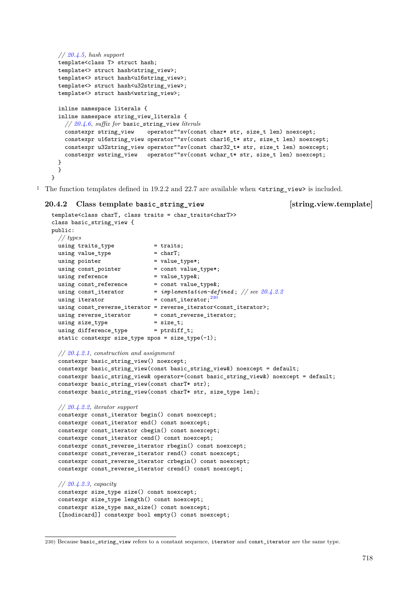```
// 20.4.5, hash support
template<class T> struct hash;
template<> struct hash<string_view>;
template<> struct hash<u16string_view>;
template<> struct hash<u32string_view>;
template<> struct hash<wstring_view>;
inline namespace literals {
inline namespace string view literals {
  // 20.4.6, suffix for basic_string_view literals
  constexpr string_view operator""sv(const char* str, size_t len) noexcept;
  constexpr u16string_view operator""sv(const char16_t* str, size_t len) noexcept;
  constexpr u32string_view operator""sv(const char32_t* str, size_t len) noexcept;
  constexpr wstring_view operator""sv(const wchar_t* str, size_t len) noexcept;
}
}
```

```
}
```
<sup>1</sup> The function templates defined in 19.2.2 and 22.7 are available when  $\leq$  string view> is included.

### <span id="page-46-0"></span>**20.4.2 Class template basic\_string\_view [string.view.template]**

```
template<class charT, class traits = char_traits<charT>>
class basic_string_view {
public:
 // types
 using \text{trails\_type} = traits;
 using value_type = charT;using pointer = value_type*;<br>using const_pointer = const value_type*;
 using const pointer
 using reference = value_type&;<br>using const_reference = const value_type&;
 using const_reference<br>using const_iterator
                              = implementation-defined ; // see 20.4.2.2using iterator = const_iterator;230}using const_reverse_iterator = reverse_iterator<const_iterator>;
  using reverse_iterator = const_reverse_iterator;
  using size_type = size_t;
  using difference_type = ptrdiff_t;
  static constexpr size_type npos = size_type(-1);
  // 20.4.2.1, construction and assignment
  constexpr basic string view() noexcept;
  constexpr basic string view(const basic string view&) noexcept = default;
  constexpr basic_string_view& operator=(const basic_string_view&) noexcept = default;
  constexpr basic_string_view(const charT* str);
  constexpr basic_string_view(const charT* str, size_type len);
  // 20.4.2.2, iterator support
  constexpr const_iterator begin() const noexcept;
  constexpr const_iterator end() const noexcept;
  constexpr const_iterator cbegin() const noexcept;
  constexpr const_iterator cend() const noexcept;
  constexpr const_reverse_iterator rbegin() const noexcept;
  constexpr const_reverse_iterator rend() const noexcept;
  constexpr const_reverse_iterator crbegin() const noexcept;
  constexpr const_reverse_iterator crend() const noexcept;
  // 20.4.2.3, capacity
  constexpr size_type size() const noexcept;
  constexpr size_type length() const noexcept;
  constexpr size_type max_size() const noexcept;
  [[nodiscard]] constexpr bool empty() const noexcept;
```
<span id="page-46-1"></span><sup>230)</sup> Because basic\_string\_view refers to a constant sequence, iterator and const\_iterator are the same type.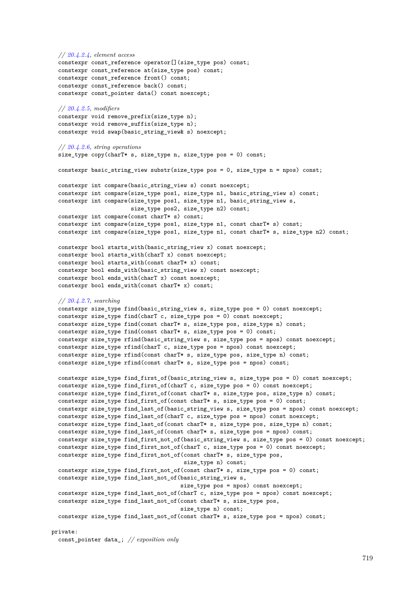```
// 20.4.2.4, element access
  constexpr const_reference operator[](size_type pos) const;
 constexpr const_reference at(size_type pos) const;
 constexpr const_reference front() const;
 constexpr const_reference back() const;
 constexpr const_pointer data() const noexcept;
 // 20.4.2.5, modifiers
 constexpr void remove prefix(size type n);
  constexpr void remove_suffix(size_type n);
 constexpr void swap(basic_string_view& s) noexcept;
 // 20.4.2.6, string operations
 size_type copy(charT* s, size_type n, size_type pos = 0) const;
 constexpr basic_string_view substr(size_type pos = 0, size_type n = npos) const;
 constexpr int compare(basic_string_view s) const noexcept;
  constexpr int compare(size_type pos1, size_type n1, basic_string_view s) const;
  constexpr int compare(size_type pos1, size_type n1, basic_string_view s,
                        size_type pos2, size_type n2) const;
  constexpr int compare(const charT* s) const;
  constexpr int compare(size_type pos1, size_type n1, const charT* s) const;
 constexpr int compare(size_type pos1, size_type n1, const charT* s, size_type n2) const;
 constexpr bool starts_with(basic_string_view x) const noexcept;
 constexpr bool starts_with(charT x) const noexcept;
 constexpr bool starts_with(const charT* x) const;
 constexpr bool ends_with(basic_string_view x) const noexcept;
 constexpr bool ends_with(charT x) const noexcept;
 constexpr bool ends_with(const charT* x) const;
 // 20.4.2.7, searching
 constexpr size_type find(basic_string_view s, size_type pos = 0) const noexcept;
 constexpr size_type find(charT c, size_type pos = 0) const noexcept;
 constexpr size_type find(const charT* s, size_type pos, size_type n) const;
 constexpr size_type find(const charT* s, size_type pos = 0) const;
 constexpr size_type rfind(basic_string_view s, size_type pos = npos) const noexcept;
 constexpr size_type rfind(charT c, size_type pos = npos) const noexcept;
 constexpr size_type rfind(const charT* s, size_type pos, size_type n) const;
 constexpr size_type rfind(const charT* s, size_type pos = npos) const;
 constexpr size_type find_first_of(basic_string_view s, size_type pos = 0) const noexcept;
 constexpr size_type find_first_of(charT c, size_type pos = 0) const noexcept;
 constexpr size_type find_first_of(const charT* s, size_type pos, size_type n) const;
 constexpr size_type find_first_of(const charT* s, size_type pos = 0) const;
 constexpr size_type find_last_of(basic_string_view s, size_type pos = npos) const noexcept;
 constexpr size_type find_last_of(charT c, size_type pos = npos) const noexcept;
 constexpr size type find last of(const charT* s, size type pos, size type n) const;
 constexpr size_type find_last_of(const charT* s, size_type pos = npos) const;
 constexpr size_type find_first_not_of(basic_string_view s, size_type pos = 0) const noexcept;
 constexpr size_type find_first_not_of(charT c, size_type pos = 0) const noexcept;
 constexpr size_type find_first_not_of(const charT* s, size_type pos,
                                        size_type n) const;
 constexpr size_type find_first_not_of(const charT* s, size_type pos = 0) const;
 constexpr size_type find_last_not_of(basic_string_view s,
                                       size_type pos = npos) const noexcept;
 constexpr size_type find_last_not_of(charT c, size_type pos = npos) const noexcept;
 constexpr size_type find_last_not_of(const charT* s, size_type pos,
                                       size_type n) const;
 constexpr size_type find_last_not_of(const charT* s, size_type pos = npos) const;
private:
  const_pointer data_; // exposition only
```

```
719
```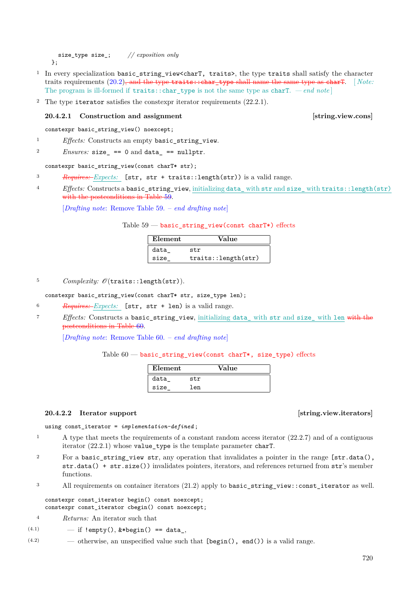size\_type size\_; *// exposition only*  $\lambda$ :

- <sup>1</sup> In every specialization basic\_string\_view<charT, traits>, the type traits shall satisfy the character traits requirements  $(20.2)$ , and the type traits:: char\_type shall name the same type as charT. [*Note:* The program is ill-formed if  $\text{trails::char\_type}$  is not the same type as  $\text{charT.} -end$  note
- <sup>2</sup> The type iterator satisfies the constexpr iterator requirements (22.2.1).

### <span id="page-48-0"></span>**20.4.2.1** Construction and assignment [string.view.cons]

constexpr basic\_string\_view() noexcept;

<sup>1</sup> *Effects:* Constructs an empty basic string view.

 $P_{\text{2}}$  *Ensures:* size == 0 and data == nullptr.

constexpr basic string view(const charT\* str);

- <sup>3</sup> *Requires: Expects:* [str, str + traits::length(str)) is a valid range.
- <sup>4</sup> *Effects:* Constructs a basic\_string\_view, initializing data\_ with str and size\_ with traits::length(str) with the postconditions in Table [59.](#page-48-2)

[*Drafting note*: Remove Table [59.](#page-48-2) – *end drafting note*]

### Table  $59$  — basic\_string\_view(const charT\*) effects

<span id="page-48-2"></span>

| Element | Value               |
|---------|---------------------|
| data    | str                 |
| size    | traits::length(str) |

 $5$  *Complexity:*  $\mathcal{O}(\text{traits::length(str)}).$ 

constexpr basic\_string\_view(const charT\* str, size\_type len);

- <sup>6</sup> *Requires: Expects:* [str, str + len) is a valid range.
- <sup>7</sup> *Effects:* Constructs a basic\_string\_view, initializing data\_ with str and size\_ with len with the postconditions in Table [60.](#page-48-3)

[*Drafting note*: Remove Table [60.](#page-48-3) – *end drafting note*]

### Table  $60$  — basic string view(const charT\*, size type) effects

<span id="page-48-3"></span>

| Element |     | Value |  |
|---------|-----|-------|--|
| data    | str |       |  |
| size    | len |       |  |

### <span id="page-48-1"></span>**20.4.2.2** Iterator support **and item** [string.view.iterators]

```
using const_iterator = implementation-defined ;
```
- <sup>1</sup> A type that meets the requirements of a constant random access iterator (22.2.7) and of a contiguous iterator (22.2.1) whose value\_type is the template parameter charT.
- <sup>2</sup> For a basic\_string\_view str, any operation that invalidates a pointer in the range [str.data(), str.data() + str.size()) invalidates pointers, iterators, and references returned from str's member functions.
- <sup>3</sup> All requirements on container iterators (21.2) apply to basic\_string\_view::const\_iterator as well.

constexpr const\_iterator begin() const noexcept; constexpr const\_iterator cbegin() const noexcept;

- <sup>4</sup> *Returns:* An iterator such that
- (4.1)  $-$  if !empty(), &\*begin() == data,
- (4.2) otherwise, an unspecified value such that [begin(), end()) is a valid range.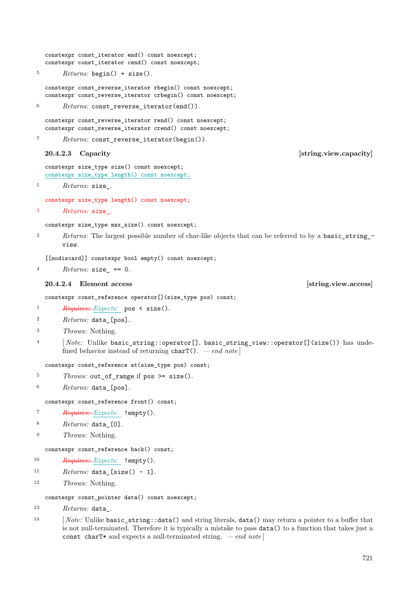<span id="page-49-1"></span><span id="page-49-0"></span><sup>5</sup> *Returns:* begin() + size(). constexpr const\_reverse\_iterator rbegin() const noexcept; constexpr const\_reverse\_iterator crbegin() const noexcept; <sup>6</sup> *Returns:* const reverse iterator(end()). constexpr const\_reverse\_iterator rend() const noexcept; constexpr const reverse iterator crend() const noexcept; <sup>7</sup> *Returns:* const\_reverse\_iterator(begin()). **20.4.2.3 Capacity [string.view.capacity]** constexpr size\_type size() const noexcept; constexpr size\_type length() const noexcept; <sup>1</sup> *Returns:* size\_. constexpr size\_type length() const noexcept; <sup>2</sup> *Returns:* size\_. constexpr size\_type max\_size() const noexcept; <sup>3</sup> *Returns:* The largest possible number of char-like objects that can be referred to by a basic\_string\_ view. [[nodiscard]] constexpr bool empty() const noexcept;  $4$   $Returns: size = 0.$ **20.4.2.4 Element access [string.view.access]** constexpr const\_reference operator[](size\_type pos) const; <sup>1</sup> *Requires: Expects:* pos < size(). <sup>2</sup> *Returns:* data\_[pos]. <sup>3</sup> *Throws:* Nothing. <sup>4</sup> [*Note:* Unlike basic string::operator[], basic string view::operator[](size()) has undefined behavior instead of returning charT(). *— end note* ] constexpr const\_reference at(size\_type pos) const; <sup>5</sup> *Throws:* out\_of\_range if pos >= size(). <sup>6</sup> *Returns:* data\_[pos]. constexpr const\_reference front() const; <sup>7</sup> *Requires: Expects:* !empty(). <sup>8</sup> *Returns:* data\_[0]. <sup>9</sup> *Throws:* Nothing. constexpr const\_reference back() const; <sup>10</sup> *Requires: Expects:* !empty(). 11  $Returns: data_{size() - 1}.$ <sup>12</sup> *Throws:* Nothing.

constexpr const\_pointer data() const noexcept;

constexpr const\_iterator end() const noexcept; constexpr const\_iterator cend() const noexcept;

```
13 Returns: data_.
```
14 [*Note:* Unlike basic string::data() and string literals, data() may return a pointer to a buffer that is not null-terminated. Therefore it is typically a mistake to pass data() to a function that takes just a const charT\* and expects a null-terminated string. *— end note* ]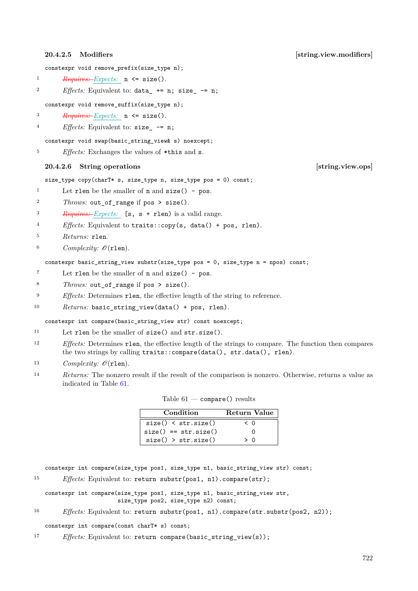constexpr void remove\_prefix(size\_type n);

<sup>1</sup> *Requires: Expects:* n <= size().

2 *Effects:* Equivalent to: data  $+= n$ : size  $= n$ ;

constexpr void remove\_suffix(size\_type n);

<sup>3</sup> *Requires: Expects:* n <= size().

<sup>4</sup> *Effects:* Equivalent to: size\_ -= n;

constexpr void swap(basic\_string\_view& s) noexcept;

<sup>5</sup> *Effects:* Exchanges the values of \*this and s.

### <span id="page-50-1"></span>**20.4.2.6 String operations [string.view.ops]**

size\_type copy(charT\* s, size\_type n, size\_type pos = 0) const;

<sup>1</sup> Let rlen be the smaller of **n** and  $size()$  - pos.

<sup>2</sup> *Throws:* out\_of\_range if pos > size().

<sup>3</sup> *Requires: Expects:* [s, s + rlen) is a valid range.

- <sup>4</sup> *Effects:* Equivalent to traits::copy(s, data() + pos, rlen).
- <sup>5</sup> *Returns:* rlen.
- 6  $Complexity: \mathcal{O}(\text{rlen}).$

constexpr basic\_string\_view substr(size\_type pos = 0, size\_type n = npos) const;

- <sup>7</sup> Let rlen be the smaller of n and size() pos.
- <sup>8</sup> *Throws:* out\_of\_range if pos > size().
- <sup>9</sup> *Effects:* Determines rlen, the effective length of the string to reference.
- <sup>10</sup> *Returns:* basic\_string\_view(data() + pos, rlen).

constexpr int compare(basic string view str) const noexcept;

- <sup>11</sup> Let rlen be the smaller of size() and str.size().
- <sup>12</sup> *Effects:* Determines rlen, the effective length of the strings to compare. The function then compares the two strings by calling traits::compare(data(), str.data(), rlen).
- 13 *Complexity:*  $\mathcal{O}(\texttt{rlen}).$
- <sup>14</sup> *Returns:* The nonzero result if the result of the comparison is nonzero. Otherwise, returns a value as indicated in Table [61.](#page-50-2)

| Condition              | Return Value |
|------------------------|--------------|
| size() < str.size()    | $\leq$ 0     |
| $size() == str.size()$ |              |
| size() > str.size()    | > ∩          |

<span id="page-50-2"></span>Table  $61$  — compare() results

constexpr int compare(size\_type pos1, size\_type n1, basic\_string\_view str) const;

<sup>15</sup> *Effects:* Equivalent to: return substr(pos1, n1).compare(str);

constexpr int compare(size\_type pos1, size\_type n1, basic\_string\_view str, size\_type pos2, size\_type n2) const;

<sup>16</sup> *Effects:* Equivalent to: return substr(pos1, n1).compare(str.substr(pos2, n2));

constexpr int compare(const charT\* s) const;

<sup>17</sup> *Effects:* Equivalent to: return compare(basic string view(s));

<span id="page-50-0"></span>**20.4.2.5 Modifiers [string.view.modifiers]**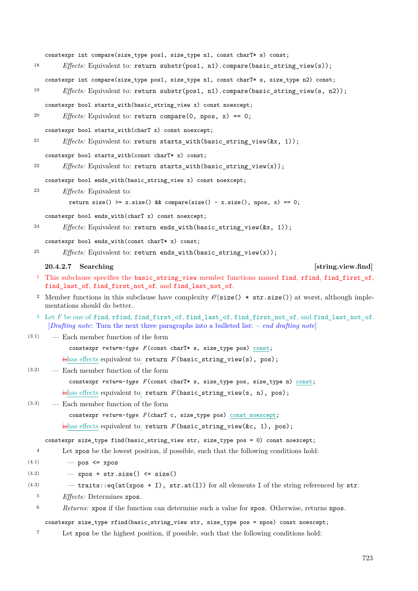<span id="page-51-0"></span>constexpr int compare(size\_type pos1, size\_type n1, const charT\* s) const; <sup>18</sup> *Effects:* Equivalent to: return substr(pos1, n1).compare(basic\_string\_view(s)); constexpr int compare(size\_type pos1, size\_type n1, const charT\* s, size\_type n2) const; 19 *Effects:* Equivalent to: return substr(pos1, n1).compare(basic\_string\_view(s, n2)); constexpr bool starts\_with(basic\_string\_view x) const noexcept; <sup>20</sup> *Effects:* Equivalent to: return compare(0, npos, x) == 0; constexpr bool starts with(charT x) const noexcept; <sup>21</sup> *Effects:* Equivalent to: return starts\_with(basic\_string\_view(&x, 1)); constexpr bool starts\_with(const charT\* x) const; <sup>22</sup> *Effects:* Equivalent to: return starts with(basic string view(x)); constexpr bool ends\_with(basic\_string\_view x) const noexcept; <sup>23</sup> *Effects:* Equivalent to: return size() >= x.size() && compare(size() - x.size(), npos, x) == 0; constexpr bool ends\_with(charT x) const noexcept; <sup>24</sup> *Effects:* Equivalent to: return ends\_with(basic\_string\_view(&x, 1)); constexpr bool ends\_with(const charT\* x) const; <sup>25</sup> *Effects:* Equivalent to: return ends\_with(basic\_string\_view(x)); **20.4.2.7** Searching *Searching Searching Searching Searching Searching Searching Searching Searching Searching Searching Searching Searching Searching Searching Sea* <sup>1</sup> This subclause specifies the basic\_string\_view member functions named find, rfind, find\_first\_of, find\_last\_of, find\_first\_not\_of, and find\_last\_not\_of. <sup>2</sup> Member functions in this subclause have complexity  $\mathcal{O}(size() * str.size())$  at worst, although implementations should do better. <sup>3</sup> Let *F* be one of find, rfind, find first\_of, find\_last\_of, find\_first\_not\_of, and find\_last\_not\_of. [*Drafting note*: Turn the next three paragraphs into a bulleted list: – *end drafting note*] (3.1) — Each member function of the form constexpr  $return-type$  *F* (const charT\* s, size\_type pos) const; ishas effects equivalent to: return *F* (basic\_string\_view(s), pos); (3.2) — Each member function of the form constexpr *return-type F* (const charT\* s, size\_type pos, size\_type n) const; ishas effects equivalent to: return *F* (basic\_string\_view(s, n), pos); (3.3) — Each member function of the form constexpr *return-type F* (charT c, size\_type pos) const noexcept; ishas effects equivalent to: return *F* (basic\_string\_view(&c, 1), pos); constexpr size\_type find(basic\_string\_view str, size\_type pos = 0) const noexcept; <sup>4</sup> Let xpos be the lowest position, if possible, such that the following conditions hold:  $(4.1)$   $\qquad$   $\qquad$  pos  $\leq$  xpos  $(4.2)$  – xpos + str.size() <= size()  $(4.3)$  - traits::eq(at(xpos + I), str.at(I)) for all elements I of the string referenced by str. <sup>5</sup> *Effects:* Determines xpos. <sup>6</sup> *Returns:* xpos if the function can determine such a value for xpos. Otherwise, returns npos. constexpr size\_type rfind(basic\_string\_view str, size\_type pos = npos) const noexcept; <sup>7</sup> Let xpos be the highest position, if possible, such that the following conditions hold: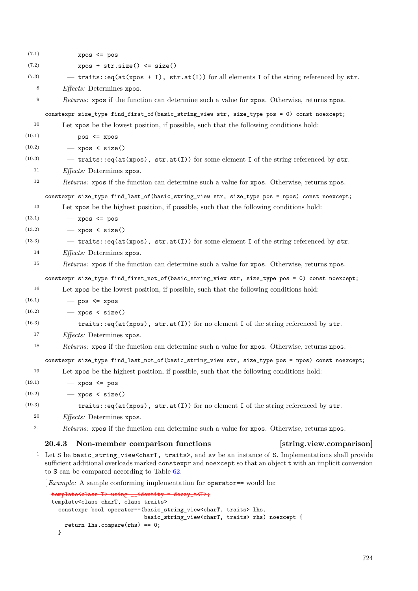| (7.1)  | $-$ xpos $\leq$ pos                                                                               |  |  |  |
|--------|---------------------------------------------------------------------------------------------------|--|--|--|
| (7.2)  | $xpos + str.size() \leq size()$<br>$\overline{\phantom{a}}$                                       |  |  |  |
| (7.3)  | $-$ traits::eq(at(xpos + I), str.at(I)) for all elements I of the string referenced by str.       |  |  |  |
| 8      | <i>Effects:</i> Determines xpos.                                                                  |  |  |  |
| $\,9$  | Returns: xpos if the function can determine such a value for xpos. Otherwise, returns npos.       |  |  |  |
|        | constexpr size_type find_first_of(basic_string_view str, size_type pos = 0) const noexcept;       |  |  |  |
| 10     | Let xpos be the lowest position, if possible, such that the following conditions hold:            |  |  |  |
| (10.1) | $-$ pos $\leq$ xpos                                                                               |  |  |  |
| (10.2) | $-$ xpos < size()                                                                                 |  |  |  |
| (10.3) | $-$ traits::eq(at(xpos), str.at(I)) for some element I of the string referenced by str.           |  |  |  |
| 11     | <i>Effects:</i> Determines xpos.                                                                  |  |  |  |
| 12     | Returns: xpos if the function can determine such a value for xpos. Otherwise, returns npos.       |  |  |  |
|        | constexpr size_type find_last_of(basic_string_view str, size_type pos = npos) const noexcept;     |  |  |  |
| 13     | Let xpos be the highest position, if possible, such that the following conditions hold:           |  |  |  |
| (13.1) | $-$ xpos $\leq$ pos                                                                               |  |  |  |
| (13.2) | $-$ xpos < size()                                                                                 |  |  |  |
| (13.3) | $-$ traits::eq(at(xpos), str.at(I)) for some element I of the string referenced by str.           |  |  |  |
| 14     | <i>Effects:</i> Determines xpos.                                                                  |  |  |  |
| 15     | Returns: xpos if the function can determine such a value for xpos. Otherwise, returns npos.       |  |  |  |
|        | constexpr size_type find_first_not_of(basic_string_view str, size_type pos = 0) const noexcept;   |  |  |  |
| 16     | Let xpos be the lowest position, if possible, such that the following conditions hold:            |  |  |  |
| (16.1) | $-$ pos $\leq$ xpos                                                                               |  |  |  |
| (16.2) | $-$ xpos < size()                                                                                 |  |  |  |
| (16.3) | $-$ traits::eq(at(xpos), str.at(I)) for no element I of the string referenced by str.             |  |  |  |
| 17     | Effects: Determines xpos.                                                                         |  |  |  |
| 18     | Returns: xpos if the function can determine such a value for xpos. Otherwise, returns npos.       |  |  |  |
|        | constexpr size_type find_last_not_of(basic_string_view str, size_type pos = npos) const noexcept; |  |  |  |
| 19     | Let xpos be the highest position, if possible, such that the following conditions hold:           |  |  |  |
| (19.1) | $-$ xpos $\leq$ pos                                                                               |  |  |  |
| (19.2) | $-$ xpos < size()                                                                                 |  |  |  |
| (19.3) | $-$ traits::eq(at(xpos), str.at(I)) for no element I of the string referenced by str.             |  |  |  |
| 20     | <i>Effects:</i> Determines xpos.                                                                  |  |  |  |
| 21     | Returns: xpos if the function can determine such a value for xpos. Otherwise, returns npos.       |  |  |  |
|        | Non-member comparison functions<br>[string.view.comparison]<br><b>20.4.3</b>                      |  |  |  |
|        |                                                                                                   |  |  |  |

<span id="page-52-0"></span><sup>1</sup> Let S be basic\_string\_view<charT, traits>, and sv be an instance of S. Implementations shall provide sufficient additional overloads marked constexpr and noexcept so that an object t with an implicit conversion to S can be compared according to Table [62.](#page-53-0)

[*Example:* A sample conforming implementation for operator== would be:

```
template<class T> using __identity = decay_t<T>;
template<class charT, class traits>
 constexpr bool operator==(basic_string_view<charT, traits> lhs,
                           basic_string_view<charT, traits> rhs) noexcept {
   return lhs.compare(rhs) == 0;
 }
```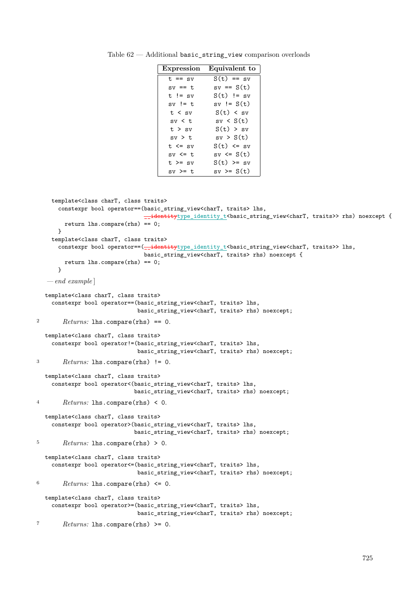<span id="page-53-0"></span>

| Expression   | Equivalent to  |
|--------------|----------------|
| $t == sv$    | $S(t) == sv$   |
| $sv == t$    | $sv == S(t)$   |
| $t$ != sv    | $S(t)$ != sv   |
| $sv$ != t    | sv != S(t)     |
| t < sv       | S(t) < sv      |
| sv < t       | sv < S(t)      |
| t > sv       | S(t) > sv      |
| $sv$ $>$ $t$ | sv > S(t)      |
| $t \leq sv$  | $S(t)$ <= $sv$ |
| $sv \leq t$  | $sv \le S(t)$  |
| $t \geq sv$  | $S(t)$ >= sv   |
| $sv \geq t$  | $sv \geq S(t)$ |

Table 62 — Additional basic\_string\_view comparison overloads

```
template<class charT, class traits>
      constexpr bool operator==(basic_string_view<charT, traits> lhs,
                                \pmidentitytype_identity_t<br/>>basic_string_view<charT, traits>> rhs) noexcept {
        return lhs.compare(rhs) == 0;
      }
    template<class charT, class traits>
      constexpr bool operator==(__identitytype_identity_t<br/>kbasic_string_view<charT, traits>> lhs,
                                basic_string_view<charT, traits> rhs) noexcept {
        return \text{lns}.\text{compare}(\text{rhs}) == 0;}
   — end example ]
  template<class charT, class traits>
    constexpr bool operator==(basic_string_view<charT, traits> lhs,
                              basic_string_view<charT, traits> rhs) noexcept;
2 Returns: lhs.compare(rhs) == 0.
  template<class charT, class traits>
    constexpr bool operator!=(basic_string_view<charT, traits> lhs,
                              basic_string_view<charT, traits> rhs) noexcept;
3 Returns: lhs.compare(rhs) != 0.
  template<class charT, class traits>
    constexpr bool operator<(basic_string_view<charT, traits> lhs,
                             basic_string_view<charT, traits> rhs) noexcept;
4 Returns: lhs.compare(rhs) < 0.
  template<class charT, class traits>
    constexpr bool operator>(basic_string_view<charT, traits> lhs,
                             basic_string_view<charT, traits> rhs) noexcept;
5 Returns: lhs.compare(rhs) > 0.
  template<class charT, class traits>
    constexpr bool operator<=(basic_string_view<charT, traits> lhs,
                              basic_string_view<charT, traits> rhs) noexcept;
6 Returns: lhs.compare(rhs) \leq 0.
  template<class charT, class traits>
    constexpr bool operator>=(basic_string_view<charT, traits> lhs,
                              basic_string_view<charT, traits> rhs) noexcept;
7 Returns: lhs.compare(rhs) >= 0.
```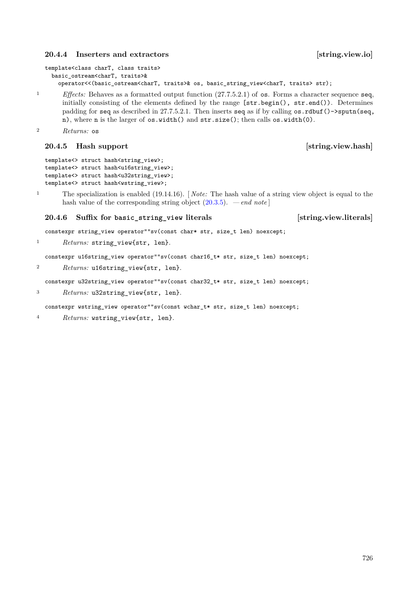### <span id="page-54-0"></span>**20.4.4 Inserters and extractors [string.view.io]**

```
constexpr string_view operator""sv(const char* str, size_t len) noexcept;
```

```
1 Returns: string view{str, len}.
```
constexpr u16string\_view operator""sv(const char16\_t\* str, size\_t len) noexcept;

hash value of the corresponding string object [\(20.3.5\)](#page-44-0). *— end note* ]

```
<sup>2</sup> Returns: u16string view{str, len}.
```
constexpr u32string\_view operator""sv(const char32\_t\* str, size\_t len) noexcept;

```
3 Returns: u32string_view{str, len}.
```
constexpr wstring\_view operator""sv(const wchar\_t\* str, size\_t len) noexcept;

<sup>4</sup> *Returns:* wstring\_view{str, len}.

726

```
template<class charT, class traits>
 basic_ostream<charT, traits>&
    operator<<(basic_ostream<charT, traits>& os, basic_string_view<charT, traits> str);
```
<sup>1</sup> *Effects:* Behaves as a formatted output function (27.7.5.2.1) of os. Forms a character sequence seq, initially consisting of the elements defined by the range [str.begin(), str.end()). Determines padding for seq as described in 27.7.5.2.1. Then inserts seq as if by calling os.rdbuf()->sputn(seq, n), where n is the larger of os.width() and str.size(); then calls os.width(0).

<sup>1</sup> The specialization is enabled (19.14.16). [ *Note:* The hash value of a string view object is equal to the

```
2 Returns: os
```
### <span id="page-54-1"></span>**20.4.5 Hash support [string.view.hash]**

```
template<> struct hash<string_view>;
template<> struct hash<u16string view>:
template<> struct hash<u32string view>;
template<> struct hash<wstring_view>;
```

```
20.4.6 Suffix for basic_string_view literals [string.view.literals]
```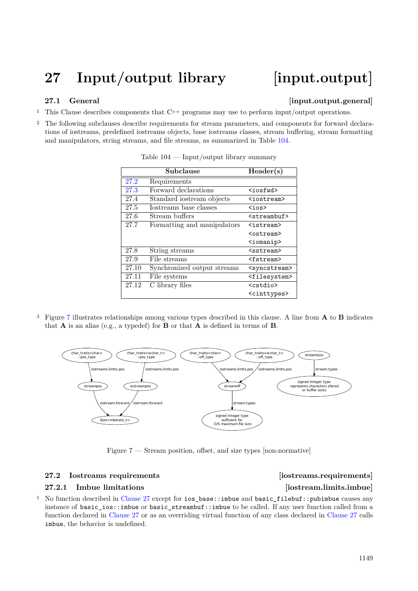# <span id="page-55-0"></span>**27 Input/output library [input.output]**

### <span id="page-55-1"></span>**27.1 General Constant Constant Constant Constant Constant Constant Constant Constant Constant Constant Constant Constant Constant Constant Constant Constant Constant Constant Constant Constant Constant Constant Constant C**

- <sup>1</sup> This Clause describes components that C++ programs may use to perform input/output operations.
- <sup>2</sup> The following subclauses describe requirements for stream parameters, and components for forward declarations of iostreams, predefined iostreams objects, base iostreams classes, stream buffering, stream formatting and manipulators, string streams, and file streams, as summarized in Table [104.](#page-55-4)

| Subclause |                             | Header(s)                 |
|-----------|-----------------------------|---------------------------|
| 27.2      | Requirements                |                           |
| 27.3      | Forward declarations        | <iosfwd></iosfwd>         |
| 27.4      | Standard iostream objects   | <iostream></iostream>     |
| 27.5      | Iostreams base classes      | <ios></ios>               |
| 27.6      | Stream buffers              | <streambuf></streambuf>   |
| 27.7      | Formatting and manipulators | <istream></istream>       |
|           |                             | $<$ ostream $>$           |
|           |                             | <iomanip></iomanip>       |
| 27.8      | String streams              | $<$ sstream $>$           |
| 27.9      | File streams                | <fstream></fstream>       |
| 27.10     | Synchronized output streams | <syncstream></syncstream> |
| 27.11     | File systems                | <filesystem></filesystem> |
| 27.12     | C library files             | <cstdio></cstdio>         |
|           |                             | <cinttypes></cinttypes>   |

### <span id="page-55-4"></span>Table 104 — Input/output library summary

<sup>3</sup> Figure [7](#page-55-5) illustrates relationships among various types described in this clause. A line from **A** to **B** indicates that **A** is an alias (e.g., a typedef) for **B** or that **A** is defined in terms of **B**.



<span id="page-55-5"></span>Figure 7 — Stream position, offset, and size types [non-normative]

### <span id="page-55-2"></span>**27.2 Iostreams requirements [iostreams.requirements]**

# <span id="page-55-3"></span>**27.2.1** Imbue limitations [iostream.limits.imbue]

<sup>1</sup> No function described in [Clause 27](#page-55-1) except for ios\_base::imbue and basic\_filebuf::pubimbue causes any instance of basic\_ios::imbue or basic\_streambuf::imbue to be called. If any user function called from a function declared in [Clause 27](#page-55-1) or as an overriding virtual function of any class declared in [Clause 27](#page-55-1) calls imbue, the behavior is undefined.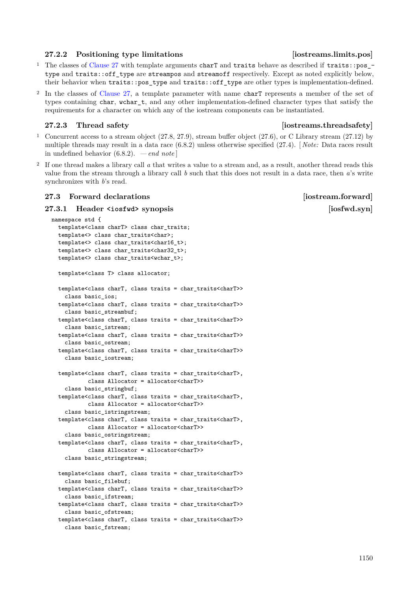### <span id="page-56-0"></span>**27.2.2 Positioning type limitations [iostreams.limits.pos]**

- <sup>1</sup> The classes of [Clause 27](#page-55-1) with template arguments charT and traits behave as described if traits::pos\_ type and traits::off type are streampos and streamoff respectively. Except as noted explicitly below, their behavior when traits::pos\_type and traits::off\_type are other types is implementation-defined.
- <sup>2</sup> In the classes of [Clause 27,](#page-55-1) a template parameter with name charT represents a member of the set of types containing char, wchar\_t, and any other implementation-defined character types that satisfy the requirements for a character on which any of the iostream components can be instantiated.

### <span id="page-56-1"></span>**27.2.3 Thread safety [iostreams.threadsafety]**

- <sup>1</sup> Concurrent access to a stream object (27.8, 27.9), stream buffer object (27.6), or C Library stream (27.12) by multiple threads may result in a data race (6.8.2) unless otherwise specified (27.4). [ *Note:* Data races result in undefined behavior (6.8.2). *— end note* ]
- <sup>2</sup> If one thread makes a library call *a* that writes a value to a stream and, as a result, another thread reads this value from the stream through a library call *b* such that this does not result in a data race, then *a*'s write synchronizes with *b*'s read.

### <span id="page-56-2"></span>**27.3 Forward declarations is a constrained a constrained a constrained a constrained a constrained a constrained a constrained a constrained a constrained a constrained a constrained a constrained a constrained a constrai**

### <span id="page-56-3"></span>**27.3.1 Header <iosfwd>** synopsis  $\left[$ iosfwd.syn $\right]$

```
namespace std {
  template<class charT> class char_traits;
  template<> class char_traits<char>;
  template<> class char traits<char16 t>;
  template<> class char_traits<char32_t>;
  template<> class char traits<wchar t>;
  template<class T> class allocator;
  template<class charT, class traits = char_traits<charT>>
    class basic_ios;
  template<class charT, class traits = char_traits<charT>>
    class basic_streambuf;
  template<class charT, class traits = char traits<charT>>
    class basic_istream;
  template<class charT, class traits = char traits<charT>>
    class basic_ostream;
  template<class charT, class traits = char_traits<charT>>
    class basic_iostream;
  template<class charT, class traits = char_traits<charT>,
           class Allocator = allocator<charT>>
    class basic_stringbuf;
  template<class charT, class traits = char_traits<charT>,
           class Allocator = allocator<charT>>
    class basic_istringstream;
  template<class charT, class traits = char traits<charT>,
           class Allocator = allocator<charT>>
    class basic_ostringstream;
  template<class charT, class traits = char_traits<charT>,
           class Allocator = allocator<charT>>
    class basic_stringstream;
  template<class charT, class traits = char_traits<charT>>
    class basic_filebuf;
  template<class charT, class traits = char_traits<charT>>
    class basic_ifstream;
  template<class charT, class traits = char traits<charT>>
    class basic_ofstream;
  template<class charT, class traits = char_traits<charT>>
    class basic_fstream;
```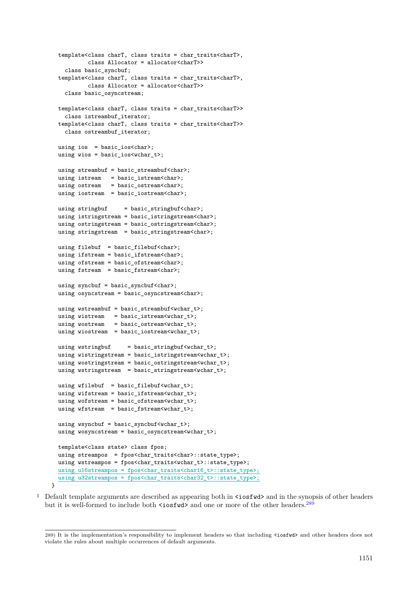```
template<class charT, class traits = char_traits<charT>,
          class Allocator = allocator<charT>>
   class basic_syncbuf;
 template<class charT, class traits = char_traits<charT>,
           class Allocator = allocator<charT>>
   class basic_osyncstream;
 template<class charT, class traits = char_traits<charT>>
   class istreambuf_iterator;
 template<class charT, class traits = char_traits<charT>>
   class ostreambuf_iterator;
 using ios = basic_ios<char>;
 using wios = basic_ios<wchar_t>;
 using streambuf = basic_streambuf<char>;
 using istream = basic_istream<char>;
 using ostream = basic_ostream<char>;
 using iostream = basic_iostream<char>;
 using stringbuf = basic_stringbuf <char>;
 using istringstream = basic_istringstream<char>;
 using ostringstream = basic_ostringstream<char>;
 using stringstream = basic_stringstream<char>;
 using filebuf = basic_filebuf<char>;
 using ifstream = basic_ifstream<char>;
 using ofstream = basic_ofstream<char>;
 using fstream = basic_fstream<char>;
 using syncbuf = basic_syncbuf<char>;
 using osyncstream = basic_osyncstream<char>;
 using wstreambuf = basic_streambuf<wchar_t>;
 using wistream = basic_istream<wchar_t>;
 using wostream = basic_ostream<wchar_t>;
 using wiostream = basic_iostream<wchar_t>;
 using wstringbuf = basic_stringbuf<wchar_t>;
 using wistringstream = basic_istringstream<wchar_t>;
 using wostringstream = basic_ostringstream<wchar_t>;
 using wstringstream = basic_stringstream<wchar_t>;
 using wfilebuf = basic_filebuf<wchar_t>;
 using wifstream = basic_ifstream<wchar_t>;
 using wofstream = basic_ofstream<wchar_t>;
 using wfstream = basic_fstream<wchar_t>;
 using wsyncbuf = basic_syncbuf\langlewchar_t>;
 using wosyncstream = basic_osyncstream<wchar_t>;
 template<class state> class fpos;
 using streampos = fpos<char_traits<char>::state_type>;
 using wstreampos = fpos<char_traits<wchar_t>::state_type>;
 using u16streampos = fpos<char_traits<char16_t>::state_type>;
 using u32streampos = fpos<char_traits<char32_t>::state_type>;
\overline{1}
```
<sup>1</sup> Default template arguments are described as appearing both in  $\zeta$  is  $\zeta$  and in the synopsis of other headers but it is well-formed to include both  $\leq$  iosfwd> and one or more of the other headers.<sup>[289](#page-57-0)</sup>

<span id="page-57-0"></span><sup>289)</sup> It is the implementation's responsibility to implement headers so that including <iosfwd> and other headers does not violate the rules about multiple occurrences of default arguments.